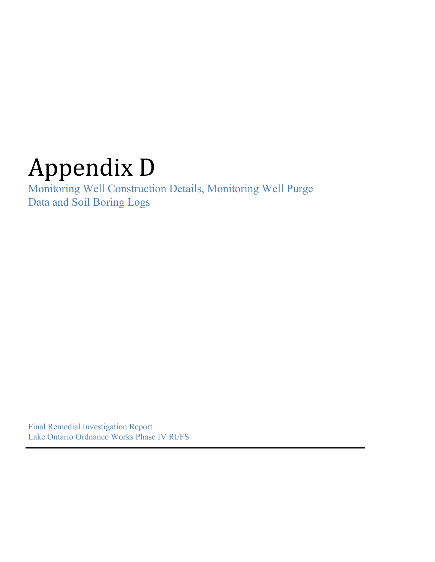### **Appendix D**

Monitoring Well Construction Details, Monitoring Well Purge Data and Soil Boring Logs

Final Remedial Investigation Report Lake Ontario Ordnance Works Phase IV RI/FS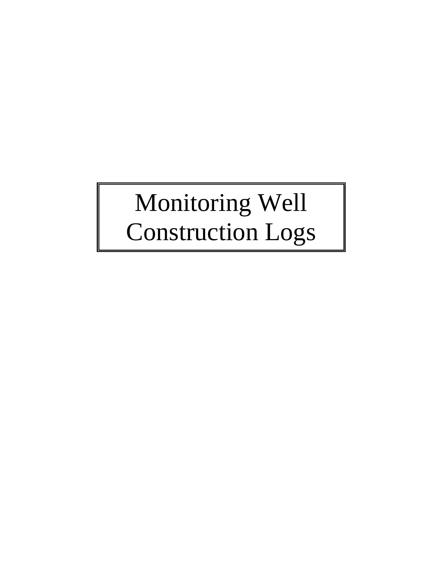### Monitoring Well Construction Logs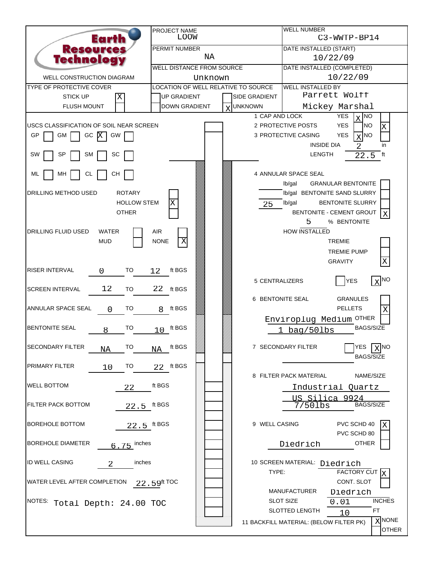|                                               | PROJECT NAME                           |                                | <b>WELL NUMBER</b>                                           |
|-----------------------------------------------|----------------------------------------|--------------------------------|--------------------------------------------------------------|
| Earth                                         | <b>LOOW</b>                            |                                | C3-WWTP-BP14                                                 |
| <b>Resource</b>                               | <b>PERMIT NUMBER</b>                   |                                | DATE INSTALLED (START)                                       |
| Technolog                                     | ΝA                                     |                                | 10/22/09                                                     |
|                                               | <b>WELL DISTANCE FROM SOURCE</b>       |                                | DATE INSTALLED (COMPLETED)                                   |
| WELL CONSTRUCTION DIAGRAM                     | Unknown                                |                                | 10/22/09                                                     |
| <b>TYPE OF PROTECTIVE COVER</b>               | LOCATION OF WELL RELATIVE TO SOURCE    |                                | <b>WELL INSTALLED BY</b>                                     |
| X<br><b>STICK UP</b>                          | <b>UP GRADIENT</b>                     | <b>SIDE GRADIENT</b>           | Parrett Wolff                                                |
| <b>FLUSH MOUNT</b>                            | <b>DOWN GRADIENT</b>                   | <b>UNKNOWN</b>                 | Mickey Marshal                                               |
|                                               |                                        | $\mathbf{x}$<br>1 CAP AND LOCK | <b>YES</b><br>$\overline{X}$ NO                              |
| USCS CLASSIFICATION OF SOIL NEAR SCREEN       |                                        |                                | <b>YES</b><br>2 PROTECTIVE POSTS<br><b>NO</b>                |
| GC<br>GP<br>GM<br>X<br>GW                     |                                        |                                | X<br>3 PROTECTIVE CASING<br><b>YES</b><br>$\underline{x}$ NO |
|                                               |                                        |                                | <b>INSIDE DIA</b>                                            |
|                                               |                                        |                                | in<br>2<br>LENGTH                                            |
| <b>SW</b><br>SP<br>SM<br>SC                   |                                        |                                | $22.5$ ft                                                    |
|                                               |                                        |                                |                                                              |
| CН<br>ML<br>MН<br>CL                          |                                        |                                | 4 ANNULAR SPACE SEAL                                         |
|                                               |                                        |                                | <b>GRANULAR BENTONITE</b><br>lb/gal                          |
| DRILLING METHOD USED<br><b>ROTARY</b>         |                                        |                                | Ib/gal BENTONITE SAND SLURRY                                 |
| <b>HOLLOW STEM</b>                            | Χ                                      | 25                             | <b>BENTONITE SLURRY</b><br>lb/gal                            |
| <b>OTHER</b>                                  |                                        |                                | <b>BENTONITE - CEMENT GROUT</b><br>X                         |
|                                               |                                        |                                | 5<br>% BENTONITE                                             |
| <b>DRILLING FLUID USED</b><br><b>WATER</b>    | <b>AIR</b>                             |                                | <b>HOW INSTALLED</b>                                         |
| <b>MUD</b>                                    | $\overline{\mathrm{x}}$<br><b>NONE</b> |                                | <b>TREMIE</b>                                                |
|                                               |                                        |                                | <b>TREMIE PUMP</b>                                           |
|                                               |                                        |                                | Χ<br><b>GRAVITY</b>                                          |
| <b>RISER INTERVAL</b><br>TO<br>$\overline{0}$ | ft BGS<br>12                           |                                |                                                              |
|                                               |                                        | 5 CENTRALIZERS                 | $X$ <sup>NO</sup><br><b>YES</b>                              |
| 12<br><b>TO</b><br><b>SCREEN INTERVAL</b>     | 22<br>ft BGS                           |                                |                                                              |
|                                               |                                        | 6 BENTONITE SEAL               | <b>GRANULES</b>                                              |
| ANNULAR SPACE SEAL<br>TO<br>$\Omega$          | ft BGS<br>8                            |                                | <b>PELLETS</b><br>$\overline{X}$                             |
|                                               |                                        |                                | Enviroplug Medium OTHER                                      |
| <b>BENTONITE SEAL</b><br>TO<br>8              | $10$ ft BGS                            |                                | <b>BAGS/SIZE</b><br>$baq/50$ l $bs$                          |
|                                               |                                        |                                |                                                              |
| <b>SECONDARY FILTER</b><br>TO<br>NA           | ft BGS<br>NA                           |                                | 7 SECONDARY FILTER<br>YES<br>$X$ NO                          |
|                                               |                                        |                                | <b>BAGS/SIZE</b>                                             |
| <b>PRIMARY FILTER</b><br>TO<br>10             | 22 ft BGS                              |                                |                                                              |
|                                               |                                        |                                | 8 FILTER PACK MATERIAL<br>NAME/SIZE                          |
| <b>WELL BOTTOM</b><br>22                      | ft BGS                                 |                                | Industrial Quartz                                            |
|                                               |                                        |                                | US Silica 9924                                               |
| <b>FILTER PACK BOTTOM</b><br>22.5 ft BGS      |                                        |                                | BAGS/SIZE<br>$7/50$ lbs                                      |
|                                               |                                        |                                |                                                              |
| <b>BOREHOLE BOTTOM</b><br>22.5 ft BGS         |                                        | 9 WELL CASING                  | PVC SCHD 40<br>Χ                                             |
|                                               |                                        |                                | PVC SCHD 80                                                  |
| <b>BOREHOLE DIAMETER</b><br>6.75 inches       |                                        |                                | <b>OTHER</b><br>Diedrich                                     |
|                                               |                                        |                                |                                                              |
| <b>ID WELL CASING</b><br>inches<br>2          |                                        |                                | 10 SCREEN MATERIAL: Diedrich                                 |
|                                               |                                        | TYPE:                          | <b>FACTORY CUT</b><br>Ιx                                     |
| WATER LEVEL AFTER COMPLETION                  | $22.59$ ft TOC                         |                                | CONT. SLOT                                                   |
|                                               |                                        |                                | <b>MANUFACTURER</b><br>Diedrich                              |
| NOTES: Total Depth: 24.00 TOC                 |                                        |                                | <b>INCHES</b><br><b>SLOT SIZE</b><br>0.01                    |
|                                               |                                        |                                | <b>FT</b><br><b>SLOTTED LENGTH</b><br>10                     |
|                                               |                                        |                                | <b>X</b> NONE<br>11 BACKFILL MATERIAL: (BELOW FILTER PK)     |
|                                               |                                        |                                | <b>OTHER</b>                                                 |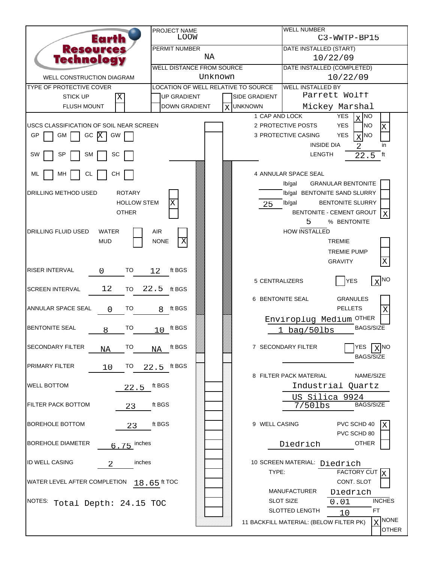|                                                          | PROJECT NAME                                             | <b>WELL NUMBER</b>                                                             |
|----------------------------------------------------------|----------------------------------------------------------|--------------------------------------------------------------------------------|
| Earth                                                    | <b>LOOW</b>                                              | C3-WWTP-BP15                                                                   |
| <b>Resource</b>                                          | <b>PERMIT NUMBER</b>                                     | DATE INSTALLED (START)                                                         |
| Technolog                                                | ΝA                                                       | 10/22/09                                                                       |
|                                                          | WELL DISTANCE FROM SOURCE                                | DATE INSTALLED (COMPLETED)                                                     |
| <b>WELL CONSTRUCTION DIAGRAM</b>                         | Unknown                                                  | 10/22/09                                                                       |
| TYPE OF PROTECTIVE COVER                                 | <b>LOCATION OF WELL RELATIVE TO SOURCE</b>               | <b>WELL INSTALLED BY</b>                                                       |
|                                                          | <b>UP GRADIENT</b>                                       | Parrett Wolff                                                                  |
| X<br><b>STICK UP</b>                                     | SIDE GRADIENT                                            |                                                                                |
| <b>FLUSH MOUNT</b>                                       | <b>DOWN GRADIENT</b><br><b>UNKNOWN</b><br>$\overline{X}$ | Mickey Marshal                                                                 |
|                                                          | 1 CAP AND LOCK                                           | <b>YES</b><br>$x$ NO                                                           |
| USCS CLASSIFICATION OF SOIL NEAR SCREEN                  |                                                          | <b>YES</b><br>2 PROTECTIVE POSTS<br><b>NO</b><br>$\overline{\text{X}}$         |
| GC<br>$\mathbf{X}^-$<br>GP<br>GM<br>GW                   |                                                          | 3 PROTECTIVE CASING<br><b>YES</b><br>$X$ NO                                    |
|                                                          |                                                          | <b>INSIDE DIA</b><br><i>in</i><br>2.                                           |
| SW<br>SP<br>SM<br>SC                                     |                                                          | <b>LENGTH</b><br>$22.5$ ft                                                     |
|                                                          |                                                          |                                                                                |
| ML.<br>CL.<br>CН<br>MН                                   |                                                          | 4 ANNULAR SPACE SEAL                                                           |
|                                                          |                                                          | <b>GRANULAR BENTONITE</b><br>lb/gal                                            |
| DRILLING METHOD USED<br><b>ROTARY</b>                    |                                                          | Ib/gal BENTONITE SAND SLURRY                                                   |
| <b>HOLLOW STEM</b>                                       | X<br>25                                                  | <b>BENTONITE SLURRY</b><br>lb/gal                                              |
| <b>OTHER</b>                                             |                                                          | BENTONITE - CEMENT GROUT<br>X                                                  |
|                                                          |                                                          | 5<br>% BENTONITE                                                               |
| <b>DRILLING FLUID USED</b><br><b>WATER</b><br><b>AIR</b> |                                                          | <b>HOW INSTALLED</b>                                                           |
| <b>MUD</b>                                               | $\overline{\mathbf{X}}$<br><b>NONE</b>                   | <b>TREMIE</b>                                                                  |
|                                                          |                                                          | <b>TREMIE PUMP</b>                                                             |
|                                                          |                                                          | <b>GRAVITY</b>                                                                 |
| <b>RISER INTERVAL</b><br>TO<br>$\mathbf 0$<br>12         | ft BGS                                                   |                                                                                |
|                                                          | 5 CENTRALIZERS                                           | $x^{NQ}$<br><b>YES</b>                                                         |
| 12<br>22.5<br><b>TO</b><br><b>SCREEN INTERVAL</b>        | ft BGS                                                   |                                                                                |
|                                                          | 6 BENTONITE SEAL                                         | <b>GRANULES</b>                                                                |
| ANNULAR SPACE SEAL<br>TO<br>$\Omega$                     | ft BGS<br>8                                              | <b>PELLETS</b><br>X                                                            |
|                                                          |                                                          | Enviroplug Medium OTHER                                                        |
| <b>BENTONITE SEAL</b><br>TO<br>8                         | $10$ ft BGS                                              | <b>BAGS/SIZE</b><br>$baq/50$ l $bs$                                            |
|                                                          |                                                          |                                                                                |
| <b>SECONDARY FILTER</b><br>TO<br>ΝA<br>ΝA                | ft BGS                                                   | 7 SECONDARY FILTER<br><b>YES</b><br>$ X $ NO                                   |
|                                                          |                                                          | <b>BAGS/SIZE</b>                                                               |
| <b>PRIMARY FILTER</b><br>TO<br>10                        | 22.5 ft BGS                                              |                                                                                |
|                                                          |                                                          | 8 FILTER PACK MATERIAL<br>NAME/SIZE                                            |
| <b>WELL BOTTOM</b><br>22.5                               | ft BGS                                                   | Industrial Quartz                                                              |
|                                                          |                                                          |                                                                                |
| <b>FILTER PACK BOTTOM</b><br>23                          | ft BGS                                                   | <u>US Silica 9924</u><br><b>BAGS/SIZE</b><br>$7/50$ lbs                        |
|                                                          |                                                          |                                                                                |
| <b>BOREHOLE BOTTOM</b>                                   | ft BGS<br>9 WELL CASING                                  | PVC SCHD 40<br>Χ                                                               |
| 23                                                       |                                                          | PVC SCHD 80                                                                    |
| <b>BOREHOLE DIAMETER</b>                                 |                                                          | <b>OTHER</b><br>Diedrich                                                       |
| 6.75 inches                                              |                                                          |                                                                                |
| <b>ID WELL CASING</b><br>inches                          |                                                          | 10 SCREEN MATERIAL: Diedrich                                                   |
| 2                                                        | TYPE:                                                    | <b>FACTORY CUT</b>                                                             |
| WATER LEVEL AFTER COMPLETION<br>18.65 ft TOC             |                                                          | Ιx<br>CONT. SLOT                                                               |
|                                                          |                                                          | <b>MANUFACTURER</b>                                                            |
| NOTES:                                                   |                                                          | Diedrich<br><b>INCHES</b><br><b>SLOT SIZE</b>                                  |
| Total Depth: 24.15 TOC                                   |                                                          | 0.01<br><b>FT</b><br><b>SLOTTED LENGTH</b>                                     |
|                                                          |                                                          | 10                                                                             |
|                                                          |                                                          | $X$ <sup>NONE</sup><br>11 BACKFILL MATERIAL: (BELOW FILTER PK)<br><b>OTHER</b> |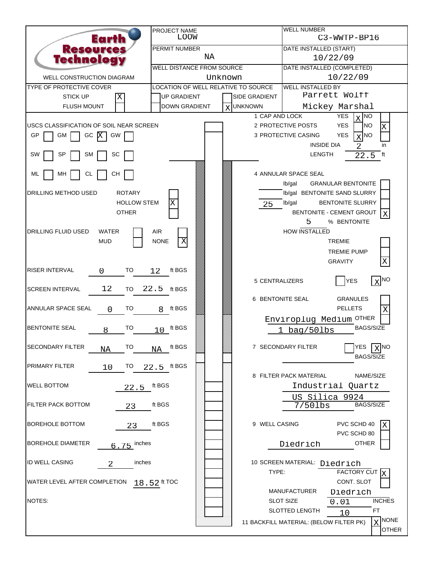| <b>LOOW</b><br>C3-WWTP-BP16<br>Earth<br><b>Resource</b><br><b>PERMIT NUMBER</b><br>DATE INSTALLED (START)<br>ΝA<br>Technolog<br>10/22/09<br><b>WELL DISTANCE FROM SOURCE</b><br>DATE INSTALLED (COMPLETED)<br>Unknown<br>10/22/09<br>WELL CONSTRUCTION DIAGRAM<br>LOCATION OF WELL RELATIVE TO SOURCE<br><b>WELL INSTALLED BY</b><br><b>TYPE OF PROTECTIVE COVER</b><br>Parrett Wolff<br>X<br><b>UP GRADIENT</b><br><b>SIDE GRADIENT</b><br><b>STICK UP</b><br>Mickey Marshal<br><b>FLUSH MOUNT</b><br><b>DOWN GRADIENT</b><br><b>x UNKNOWN</b><br>1 CAP AND LOCK<br><b>YES</b><br>$\overline{X}$ NO<br><b>YES</b><br>2 PROTECTIVE POSTS<br><b>NO</b><br>USCS CLASSIFICATION OF SOIL NEAR SCREEN<br>X<br>GC<br>GP<br>GM<br>X<br>3 PROTECTIVE CASING<br><b>YES</b><br>$\underline{x}$ NO<br>GW<br><b>INSIDE DIA</b><br>in<br>2<br>LENGTH<br><b>SW</b><br>$22.5$ ft<br>SP<br>SM<br>SC<br>4 ANNULAR SPACE SEAL<br>CН<br>ML<br>MН<br>CL<br><b>GRANULAR BENTONITE</b><br>lb/gal<br>Ib/gal BENTONITE SAND SLURRY<br>DRILLING METHOD USED<br><b>ROTARY</b><br><b>HOLLOW STEM</b><br><b>BENTONITE SLURRY</b><br>lb/gal<br>Χ<br>25<br><b>BENTONITE - CEMENT GROUT</b><br><b>OTHER</b><br>X<br>5<br>% BENTONITE<br><b>HOW INSTALLED</b><br><b>DRILLING FLUID USED</b><br><b>WATER</b><br><b>AIR</b><br>$\overline{\mathrm{X}}$<br><b>MUD</b><br><b>NONE</b><br><b>TREMIE</b><br><b>TREMIE PUMP</b><br>Χ<br><b>GRAVITY</b><br><b>RISER INTERVAL</b><br>TO<br>ft BGS<br>$\overline{0}$<br>12<br>$X$ <sup>NO</sup><br><b>YES</b><br>5 CENTRALIZERS<br>12<br>22.5<br><b>TO</b><br>ft BGS<br><b>SCREEN INTERVAL</b><br>6 BENTONITE SEAL<br><b>GRANULES</b><br>ANNULAR SPACE SEAL<br><b>PELLETS</b><br>$\overline{X}$<br>TO<br>ft BGS<br>$\Omega$<br>8<br>Enviroplug Medium OTHER<br><b>BENTONITE SEAL</b><br><b>BAGS/SIZE</b><br>TO<br>$10$ ft BGS<br>8<br>$baq/50$ l $bs$<br><b>SECONDARY FILTER</b><br>TO<br>ft BGS<br>7 SECONDARY FILTER<br>YES<br>$X$ <sub>NO</sub><br>NA<br>NA<br><b>BAGS/SIZE</b> |
|------------------------------------------------------------------------------------------------------------------------------------------------------------------------------------------------------------------------------------------------------------------------------------------------------------------------------------------------------------------------------------------------------------------------------------------------------------------------------------------------------------------------------------------------------------------------------------------------------------------------------------------------------------------------------------------------------------------------------------------------------------------------------------------------------------------------------------------------------------------------------------------------------------------------------------------------------------------------------------------------------------------------------------------------------------------------------------------------------------------------------------------------------------------------------------------------------------------------------------------------------------------------------------------------------------------------------------------------------------------------------------------------------------------------------------------------------------------------------------------------------------------------------------------------------------------------------------------------------------------------------------------------------------------------------------------------------------------------------------------------------------------------------------------------------------------------------------------------------------------------------------------------------------------------------------------------------------------------------------------|
|                                                                                                                                                                                                                                                                                                                                                                                                                                                                                                                                                                                                                                                                                                                                                                                                                                                                                                                                                                                                                                                                                                                                                                                                                                                                                                                                                                                                                                                                                                                                                                                                                                                                                                                                                                                                                                                                                                                                                                                          |
|                                                                                                                                                                                                                                                                                                                                                                                                                                                                                                                                                                                                                                                                                                                                                                                                                                                                                                                                                                                                                                                                                                                                                                                                                                                                                                                                                                                                                                                                                                                                                                                                                                                                                                                                                                                                                                                                                                                                                                                          |
|                                                                                                                                                                                                                                                                                                                                                                                                                                                                                                                                                                                                                                                                                                                                                                                                                                                                                                                                                                                                                                                                                                                                                                                                                                                                                                                                                                                                                                                                                                                                                                                                                                                                                                                                                                                                                                                                                                                                                                                          |
|                                                                                                                                                                                                                                                                                                                                                                                                                                                                                                                                                                                                                                                                                                                                                                                                                                                                                                                                                                                                                                                                                                                                                                                                                                                                                                                                                                                                                                                                                                                                                                                                                                                                                                                                                                                                                                                                                                                                                                                          |
|                                                                                                                                                                                                                                                                                                                                                                                                                                                                                                                                                                                                                                                                                                                                                                                                                                                                                                                                                                                                                                                                                                                                                                                                                                                                                                                                                                                                                                                                                                                                                                                                                                                                                                                                                                                                                                                                                                                                                                                          |
|                                                                                                                                                                                                                                                                                                                                                                                                                                                                                                                                                                                                                                                                                                                                                                                                                                                                                                                                                                                                                                                                                                                                                                                                                                                                                                                                                                                                                                                                                                                                                                                                                                                                                                                                                                                                                                                                                                                                                                                          |
|                                                                                                                                                                                                                                                                                                                                                                                                                                                                                                                                                                                                                                                                                                                                                                                                                                                                                                                                                                                                                                                                                                                                                                                                                                                                                                                                                                                                                                                                                                                                                                                                                                                                                                                                                                                                                                                                                                                                                                                          |
|                                                                                                                                                                                                                                                                                                                                                                                                                                                                                                                                                                                                                                                                                                                                                                                                                                                                                                                                                                                                                                                                                                                                                                                                                                                                                                                                                                                                                                                                                                                                                                                                                                                                                                                                                                                                                                                                                                                                                                                          |
|                                                                                                                                                                                                                                                                                                                                                                                                                                                                                                                                                                                                                                                                                                                                                                                                                                                                                                                                                                                                                                                                                                                                                                                                                                                                                                                                                                                                                                                                                                                                                                                                                                                                                                                                                                                                                                                                                                                                                                                          |
|                                                                                                                                                                                                                                                                                                                                                                                                                                                                                                                                                                                                                                                                                                                                                                                                                                                                                                                                                                                                                                                                                                                                                                                                                                                                                                                                                                                                                                                                                                                                                                                                                                                                                                                                                                                                                                                                                                                                                                                          |
|                                                                                                                                                                                                                                                                                                                                                                                                                                                                                                                                                                                                                                                                                                                                                                                                                                                                                                                                                                                                                                                                                                                                                                                                                                                                                                                                                                                                                                                                                                                                                                                                                                                                                                                                                                                                                                                                                                                                                                                          |
|                                                                                                                                                                                                                                                                                                                                                                                                                                                                                                                                                                                                                                                                                                                                                                                                                                                                                                                                                                                                                                                                                                                                                                                                                                                                                                                                                                                                                                                                                                                                                                                                                                                                                                                                                                                                                                                                                                                                                                                          |
|                                                                                                                                                                                                                                                                                                                                                                                                                                                                                                                                                                                                                                                                                                                                                                                                                                                                                                                                                                                                                                                                                                                                                                                                                                                                                                                                                                                                                                                                                                                                                                                                                                                                                                                                                                                                                                                                                                                                                                                          |
|                                                                                                                                                                                                                                                                                                                                                                                                                                                                                                                                                                                                                                                                                                                                                                                                                                                                                                                                                                                                                                                                                                                                                                                                                                                                                                                                                                                                                                                                                                                                                                                                                                                                                                                                                                                                                                                                                                                                                                                          |
|                                                                                                                                                                                                                                                                                                                                                                                                                                                                                                                                                                                                                                                                                                                                                                                                                                                                                                                                                                                                                                                                                                                                                                                                                                                                                                                                                                                                                                                                                                                                                                                                                                                                                                                                                                                                                                                                                                                                                                                          |
|                                                                                                                                                                                                                                                                                                                                                                                                                                                                                                                                                                                                                                                                                                                                                                                                                                                                                                                                                                                                                                                                                                                                                                                                                                                                                                                                                                                                                                                                                                                                                                                                                                                                                                                                                                                                                                                                                                                                                                                          |
|                                                                                                                                                                                                                                                                                                                                                                                                                                                                                                                                                                                                                                                                                                                                                                                                                                                                                                                                                                                                                                                                                                                                                                                                                                                                                                                                                                                                                                                                                                                                                                                                                                                                                                                                                                                                                                                                                                                                                                                          |
|                                                                                                                                                                                                                                                                                                                                                                                                                                                                                                                                                                                                                                                                                                                                                                                                                                                                                                                                                                                                                                                                                                                                                                                                                                                                                                                                                                                                                                                                                                                                                                                                                                                                                                                                                                                                                                                                                                                                                                                          |
|                                                                                                                                                                                                                                                                                                                                                                                                                                                                                                                                                                                                                                                                                                                                                                                                                                                                                                                                                                                                                                                                                                                                                                                                                                                                                                                                                                                                                                                                                                                                                                                                                                                                                                                                                                                                                                                                                                                                                                                          |
|                                                                                                                                                                                                                                                                                                                                                                                                                                                                                                                                                                                                                                                                                                                                                                                                                                                                                                                                                                                                                                                                                                                                                                                                                                                                                                                                                                                                                                                                                                                                                                                                                                                                                                                                                                                                                                                                                                                                                                                          |
|                                                                                                                                                                                                                                                                                                                                                                                                                                                                                                                                                                                                                                                                                                                                                                                                                                                                                                                                                                                                                                                                                                                                                                                                                                                                                                                                                                                                                                                                                                                                                                                                                                                                                                                                                                                                                                                                                                                                                                                          |
|                                                                                                                                                                                                                                                                                                                                                                                                                                                                                                                                                                                                                                                                                                                                                                                                                                                                                                                                                                                                                                                                                                                                                                                                                                                                                                                                                                                                                                                                                                                                                                                                                                                                                                                                                                                                                                                                                                                                                                                          |
|                                                                                                                                                                                                                                                                                                                                                                                                                                                                                                                                                                                                                                                                                                                                                                                                                                                                                                                                                                                                                                                                                                                                                                                                                                                                                                                                                                                                                                                                                                                                                                                                                                                                                                                                                                                                                                                                                                                                                                                          |
|                                                                                                                                                                                                                                                                                                                                                                                                                                                                                                                                                                                                                                                                                                                                                                                                                                                                                                                                                                                                                                                                                                                                                                                                                                                                                                                                                                                                                                                                                                                                                                                                                                                                                                                                                                                                                                                                                                                                                                                          |
|                                                                                                                                                                                                                                                                                                                                                                                                                                                                                                                                                                                                                                                                                                                                                                                                                                                                                                                                                                                                                                                                                                                                                                                                                                                                                                                                                                                                                                                                                                                                                                                                                                                                                                                                                                                                                                                                                                                                                                                          |
|                                                                                                                                                                                                                                                                                                                                                                                                                                                                                                                                                                                                                                                                                                                                                                                                                                                                                                                                                                                                                                                                                                                                                                                                                                                                                                                                                                                                                                                                                                                                                                                                                                                                                                                                                                                                                                                                                                                                                                                          |
|                                                                                                                                                                                                                                                                                                                                                                                                                                                                                                                                                                                                                                                                                                                                                                                                                                                                                                                                                                                                                                                                                                                                                                                                                                                                                                                                                                                                                                                                                                                                                                                                                                                                                                                                                                                                                                                                                                                                                                                          |
|                                                                                                                                                                                                                                                                                                                                                                                                                                                                                                                                                                                                                                                                                                                                                                                                                                                                                                                                                                                                                                                                                                                                                                                                                                                                                                                                                                                                                                                                                                                                                                                                                                                                                                                                                                                                                                                                                                                                                                                          |
|                                                                                                                                                                                                                                                                                                                                                                                                                                                                                                                                                                                                                                                                                                                                                                                                                                                                                                                                                                                                                                                                                                                                                                                                                                                                                                                                                                                                                                                                                                                                                                                                                                                                                                                                                                                                                                                                                                                                                                                          |
|                                                                                                                                                                                                                                                                                                                                                                                                                                                                                                                                                                                                                                                                                                                                                                                                                                                                                                                                                                                                                                                                                                                                                                                                                                                                                                                                                                                                                                                                                                                                                                                                                                                                                                                                                                                                                                                                                                                                                                                          |
|                                                                                                                                                                                                                                                                                                                                                                                                                                                                                                                                                                                                                                                                                                                                                                                                                                                                                                                                                                                                                                                                                                                                                                                                                                                                                                                                                                                                                                                                                                                                                                                                                                                                                                                                                                                                                                                                                                                                                                                          |
|                                                                                                                                                                                                                                                                                                                                                                                                                                                                                                                                                                                                                                                                                                                                                                                                                                                                                                                                                                                                                                                                                                                                                                                                                                                                                                                                                                                                                                                                                                                                                                                                                                                                                                                                                                                                                                                                                                                                                                                          |
|                                                                                                                                                                                                                                                                                                                                                                                                                                                                                                                                                                                                                                                                                                                                                                                                                                                                                                                                                                                                                                                                                                                                                                                                                                                                                                                                                                                                                                                                                                                                                                                                                                                                                                                                                                                                                                                                                                                                                                                          |
|                                                                                                                                                                                                                                                                                                                                                                                                                                                                                                                                                                                                                                                                                                                                                                                                                                                                                                                                                                                                                                                                                                                                                                                                                                                                                                                                                                                                                                                                                                                                                                                                                                                                                                                                                                                                                                                                                                                                                                                          |
|                                                                                                                                                                                                                                                                                                                                                                                                                                                                                                                                                                                                                                                                                                                                                                                                                                                                                                                                                                                                                                                                                                                                                                                                                                                                                                                                                                                                                                                                                                                                                                                                                                                                                                                                                                                                                                                                                                                                                                                          |
|                                                                                                                                                                                                                                                                                                                                                                                                                                                                                                                                                                                                                                                                                                                                                                                                                                                                                                                                                                                                                                                                                                                                                                                                                                                                                                                                                                                                                                                                                                                                                                                                                                                                                                                                                                                                                                                                                                                                                                                          |
|                                                                                                                                                                                                                                                                                                                                                                                                                                                                                                                                                                                                                                                                                                                                                                                                                                                                                                                                                                                                                                                                                                                                                                                                                                                                                                                                                                                                                                                                                                                                                                                                                                                                                                                                                                                                                                                                                                                                                                                          |
| <b>PRIMARY FILTER</b><br>TO<br>22.5 ft BGS<br>10                                                                                                                                                                                                                                                                                                                                                                                                                                                                                                                                                                                                                                                                                                                                                                                                                                                                                                                                                                                                                                                                                                                                                                                                                                                                                                                                                                                                                                                                                                                                                                                                                                                                                                                                                                                                                                                                                                                                         |
| 8 FILTER PACK MATERIAL<br>NAME/SIZE                                                                                                                                                                                                                                                                                                                                                                                                                                                                                                                                                                                                                                                                                                                                                                                                                                                                                                                                                                                                                                                                                                                                                                                                                                                                                                                                                                                                                                                                                                                                                                                                                                                                                                                                                                                                                                                                                                                                                      |
| <b>WELL BOTTOM</b><br>Industrial Quartz<br>ft BGS                                                                                                                                                                                                                                                                                                                                                                                                                                                                                                                                                                                                                                                                                                                                                                                                                                                                                                                                                                                                                                                                                                                                                                                                                                                                                                                                                                                                                                                                                                                                                                                                                                                                                                                                                                                                                                                                                                                                        |
| 22.5                                                                                                                                                                                                                                                                                                                                                                                                                                                                                                                                                                                                                                                                                                                                                                                                                                                                                                                                                                                                                                                                                                                                                                                                                                                                                                                                                                                                                                                                                                                                                                                                                                                                                                                                                                                                                                                                                                                                                                                     |
| <u>US Silica 9924</u>                                                                                                                                                                                                                                                                                                                                                                                                                                                                                                                                                                                                                                                                                                                                                                                                                                                                                                                                                                                                                                                                                                                                                                                                                                                                                                                                                                                                                                                                                                                                                                                                                                                                                                                                                                                                                                                                                                                                                                    |
| <b>BAGS/SIZE</b><br><b>FILTER PACK BOTTOM</b><br>ft BGS<br>$7/50$ lbs<br>23                                                                                                                                                                                                                                                                                                                                                                                                                                                                                                                                                                                                                                                                                                                                                                                                                                                                                                                                                                                                                                                                                                                                                                                                                                                                                                                                                                                                                                                                                                                                                                                                                                                                                                                                                                                                                                                                                                              |
|                                                                                                                                                                                                                                                                                                                                                                                                                                                                                                                                                                                                                                                                                                                                                                                                                                                                                                                                                                                                                                                                                                                                                                                                                                                                                                                                                                                                                                                                                                                                                                                                                                                                                                                                                                                                                                                                                                                                                                                          |
| <b>BOREHOLE BOTTOM</b><br>ft BGS<br>9 WELL CASING<br>PVC SCHD 40<br>X<br>23                                                                                                                                                                                                                                                                                                                                                                                                                                                                                                                                                                                                                                                                                                                                                                                                                                                                                                                                                                                                                                                                                                                                                                                                                                                                                                                                                                                                                                                                                                                                                                                                                                                                                                                                                                                                                                                                                                              |
| PVC SCHD 80                                                                                                                                                                                                                                                                                                                                                                                                                                                                                                                                                                                                                                                                                                                                                                                                                                                                                                                                                                                                                                                                                                                                                                                                                                                                                                                                                                                                                                                                                                                                                                                                                                                                                                                                                                                                                                                                                                                                                                              |
| <b>BOREHOLE DIAMETER</b><br><b>OTHER</b><br>6.75 inches<br>Diedrich                                                                                                                                                                                                                                                                                                                                                                                                                                                                                                                                                                                                                                                                                                                                                                                                                                                                                                                                                                                                                                                                                                                                                                                                                                                                                                                                                                                                                                                                                                                                                                                                                                                                                                                                                                                                                                                                                                                      |
|                                                                                                                                                                                                                                                                                                                                                                                                                                                                                                                                                                                                                                                                                                                                                                                                                                                                                                                                                                                                                                                                                                                                                                                                                                                                                                                                                                                                                                                                                                                                                                                                                                                                                                                                                                                                                                                                                                                                                                                          |
| <b>ID WELL CASING</b><br>10 SCREEN MATERIAL: Diedrich<br>inches<br>2                                                                                                                                                                                                                                                                                                                                                                                                                                                                                                                                                                                                                                                                                                                                                                                                                                                                                                                                                                                                                                                                                                                                                                                                                                                                                                                                                                                                                                                                                                                                                                                                                                                                                                                                                                                                                                                                                                                     |
| TYPE:<br><b>FACTORY CUT</b><br>Ιx                                                                                                                                                                                                                                                                                                                                                                                                                                                                                                                                                                                                                                                                                                                                                                                                                                                                                                                                                                                                                                                                                                                                                                                                                                                                                                                                                                                                                                                                                                                                                                                                                                                                                                                                                                                                                                                                                                                                                        |
| CONT. SLOT<br>WATER LEVEL AFTER COMPLETION<br>18.52 ft TOC                                                                                                                                                                                                                                                                                                                                                                                                                                                                                                                                                                                                                                                                                                                                                                                                                                                                                                                                                                                                                                                                                                                                                                                                                                                                                                                                                                                                                                                                                                                                                                                                                                                                                                                                                                                                                                                                                                                               |
| <b>MANUFACTURER</b><br>Diedrich                                                                                                                                                                                                                                                                                                                                                                                                                                                                                                                                                                                                                                                                                                                                                                                                                                                                                                                                                                                                                                                                                                                                                                                                                                                                                                                                                                                                                                                                                                                                                                                                                                                                                                                                                                                                                                                                                                                                                          |
| <b>INCHES</b><br>NOTES:<br><b>SLOT SIZE</b><br>0.01                                                                                                                                                                                                                                                                                                                                                                                                                                                                                                                                                                                                                                                                                                                                                                                                                                                                                                                                                                                                                                                                                                                                                                                                                                                                                                                                                                                                                                                                                                                                                                                                                                                                                                                                                                                                                                                                                                                                      |
| <b>FT</b><br><b>SLOTTED LENGTH</b><br>10                                                                                                                                                                                                                                                                                                                                                                                                                                                                                                                                                                                                                                                                                                                                                                                                                                                                                                                                                                                                                                                                                                                                                                                                                                                                                                                                                                                                                                                                                                                                                                                                                                                                                                                                                                                                                                                                                                                                                 |
| $\frac{1}{X}$ NONE                                                                                                                                                                                                                                                                                                                                                                                                                                                                                                                                                                                                                                                                                                                                                                                                                                                                                                                                                                                                                                                                                                                                                                                                                                                                                                                                                                                                                                                                                                                                                                                                                                                                                                                                                                                                                                                                                                                                                                       |
| 11 BACKFILL MATERIAL: (BELOW FILTER PK)<br><b>OTHER</b>                                                                                                                                                                                                                                                                                                                                                                                                                                                                                                                                                                                                                                                                                                                                                                                                                                                                                                                                                                                                                                                                                                                                                                                                                                                                                                                                                                                                                                                                                                                                                                                                                                                                                                                                                                                                                                                                                                                                  |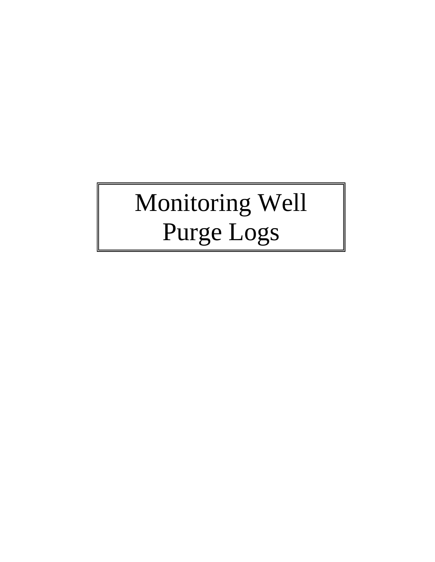## Monitoring Well Purge Logs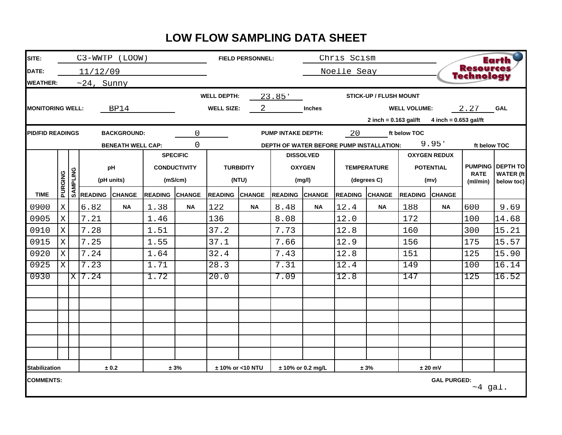### **LOW FLOW SAMPLING DATA SHEET**

| SITE:                   |                         |                 | C3-WWTP (LOOW)   |                          |                |                     |                       | <b>FIELD PERSONNEL:</b> |                           |                   | Chris Scism                              |                               |                     |                         |                                       | <b>Earth</b>                         |
|-------------------------|-------------------------|-----------------|------------------|--------------------------|----------------|---------------------|-----------------------|-------------------------|---------------------------|-------------------|------------------------------------------|-------------------------------|---------------------|-------------------------|---------------------------------------|--------------------------------------|
| DATE:                   |                         |                 | 11/12/09         |                          |                |                     |                       |                         |                           |                   | Noelle Seay                              |                               |                     |                         | <b>Resources</b><br><b>Technology</b> |                                      |
| <b>WEATHER:</b>         |                         |                 | $\sim$ 24, Sunny |                          |                |                     |                       |                         |                           |                   |                                          |                               |                     |                         |                                       |                                      |
|                         |                         |                 |                  |                          |                |                     | <b>WELL DEPTH:</b>    |                         | 23.85'                    |                   |                                          | <b>STICK-UP / FLUSH MOUNT</b> |                     |                         |                                       |                                      |
| <b>MONITORING WELL:</b> |                         |                 |                  | BP14                     |                |                     | <b>WELL SIZE:</b>     | $\overline{2}$          |                           | <b>Inches</b>     |                                          |                               | <b>WELL VOLUME:</b> |                         | 2.27                                  | <b>GAL</b>                           |
|                         |                         |                 |                  |                          |                |                     |                       |                         |                           |                   |                                          | 2 inch = $0.163$ gal/ft       |                     | 4 inch = $0.653$ gal/ft |                                       |                                      |
| <b>PID/FID READINGS</b> |                         |                 |                  | <b>BACKGROUND:</b>       |                | 0                   |                       |                         | <b>PUMP INTAKE DEPTH:</b> |                   | 20                                       |                               | ft below TOC        |                         |                                       |                                      |
|                         |                         |                 |                  | <b>BENEATH WELL CAP:</b> |                | $\mathbf 0$         |                       |                         |                           |                   | DEPTH OF WATER BEFORE PUMP INSTALLATION: |                               |                     | 9.95'                   | ft below TOC                          |                                      |
|                         |                         |                 |                  |                          |                | <b>SPECIFIC</b>     |                       |                         |                           | <b>DISSOLVED</b>  |                                          |                               |                     | <b>OXYGEN REDUX</b>     |                                       |                                      |
|                         |                         |                 |                  | pH                       |                | <b>CONDUCTIVITY</b> |                       | <b>TURBIDITY</b>        |                           | <b>OXYGEN</b>     |                                          | <b>TEMPERATURE</b>            |                     | <b>POTENTIAL</b>        | <b>RATE</b>                           | PUMPING DEPTH TO<br><b>WATER</b> (ft |
|                         | PURGING                 | <b>SAMPLING</b> |                  | (pH units)               |                | (mS/cm)             |                       | (NTU)                   |                           | (mg/l)            |                                          | (degrees C)                   |                     | (mv)                    | (ml/min)                              | below toc)                           |
| <b>TIME</b>             |                         |                 | <b>READING</b>   | <b>CHANGE</b>            | <b>READING</b> | <b>CHANGE</b>       | <b>READING CHANGE</b> |                         | <b>READING</b>            | <b>CHANGE</b>     | READING CHANGE                           |                               | <b>READING</b>      | <b>CHANGE</b>           |                                       |                                      |
| 0900                    | $\rm X$                 |                 | 6.82             | <b>NA</b>                | 1.38           | <b>NA</b>           | 122                   | <b>NA</b>               | 8.48                      | <b>NA</b>         | 12.4                                     | <b>NA</b>                     | 188                 | <b>NA</b>               | 600                                   | 9.69                                 |
| 0905                    | $\rm X$                 |                 | 7.21             |                          | 1.46           |                     | 136                   |                         | 8.08                      |                   | 12.0                                     |                               | 172                 |                         | 100                                   | 14.68                                |
| 0910                    | $\rm X$                 |                 | 7.28             |                          | 1.51           |                     | 37.2                  |                         | 7.73                      |                   | 12.8                                     |                               | 160                 |                         | 300                                   | 15.21                                |
| 0915                    | $\overline{\mathrm{X}}$ |                 | 7.25             |                          | 1.55           |                     | 37.1                  |                         | 7.66                      |                   | 12.9                                     |                               | 156                 |                         | 175                                   | 15.57                                |
| 0920                    | $\rm X$                 |                 | 7.24             |                          | 1.64           |                     | 32.4                  |                         | 7.43                      |                   | 12.8                                     |                               | 151                 |                         | 125                                   | 15.90                                |
| 0925                    | $\mathbf X$             |                 | 7.23             |                          | 1.71           |                     | 28.3                  |                         | 7.31                      |                   | 12.4                                     |                               | 149                 |                         | 100                                   | 16.14                                |
| 0930                    |                         | $\overline{X}$  | 7.24             |                          | 1.72           |                     | 20.0                  |                         | 7.09                      |                   | 12.8                                     |                               | 147                 |                         | 125                                   | 16.52                                |
|                         |                         |                 |                  |                          |                |                     |                       |                         |                           |                   |                                          |                               |                     |                         |                                       |                                      |
|                         |                         |                 |                  |                          |                |                     |                       |                         |                           |                   |                                          |                               |                     |                         |                                       |                                      |
|                         |                         |                 |                  |                          |                |                     |                       |                         |                           |                   |                                          |                               |                     |                         |                                       |                                      |
|                         |                         |                 |                  |                          |                |                     |                       |                         |                           |                   |                                          |                               |                     |                         |                                       |                                      |
|                         |                         |                 |                  |                          |                |                     |                       |                         |                           |                   |                                          |                               |                     |                         |                                       |                                      |
|                         |                         |                 |                  |                          |                |                     |                       |                         |                           |                   |                                          |                               |                     |                         |                                       |                                      |
| <b>Stabilization</b>    |                         |                 |                  | ± 0.2                    |                | ± 3%                |                       | $± 10\%$ or <10 NTU     |                           | ± 10% or 0.2 mg/L |                                          | ± 3%                          |                     | $± 20$ mV               |                                       |                                      |
| <b>COMMENTS:</b>        |                         |                 |                  |                          |                |                     |                       |                         |                           |                   |                                          |                               |                     | <b>GAL PURGED:</b>      | $~1$ gal.                             |                                      |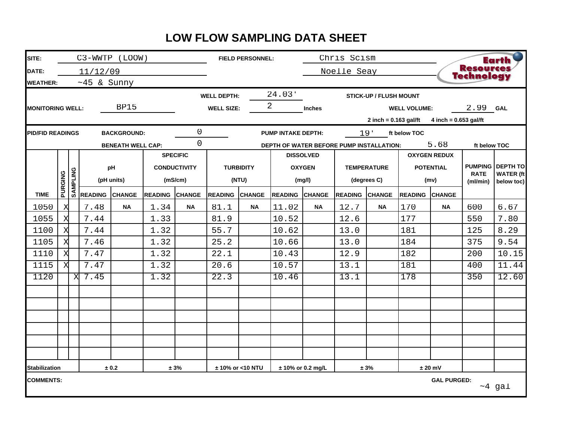### **LOW FLOW SAMPLING DATA SHEET**

| SITE:                   |         |          |                | C3-WWTP (LOOW)           |                       |                     |                    | <b>FIELD PERSONNEL:</b> |                           |                   | Chris Scism                              |                               |                       |                         |                                       | Earth                                       |
|-------------------------|---------|----------|----------------|--------------------------|-----------------------|---------------------|--------------------|-------------------------|---------------------------|-------------------|------------------------------------------|-------------------------------|-----------------------|-------------------------|---------------------------------------|---------------------------------------------|
| DATE:                   |         |          | 11/12/09       |                          |                       |                     |                    |                         |                           |                   | Noelle Seay                              |                               |                       |                         | <b>Resources</b><br><b>Technology</b> |                                             |
| <b>WEATHER:</b>         |         |          | $~15$ & Sunny  |                          |                       |                     |                    |                         |                           |                   |                                          |                               |                       |                         |                                       |                                             |
|                         |         |          |                |                          |                       |                     | <b>WELL DEPTH:</b> |                         | 24.03'                    |                   |                                          | <b>STICK-UP / FLUSH MOUNT</b> |                       |                         |                                       |                                             |
| <b>MONITORING WELL:</b> |         |          |                | <b>BP15</b>              |                       |                     | <b>WELL SIZE:</b>  |                         | 2                         | <b>Inches</b>     |                                          |                               | <b>WELL VOLUME:</b>   |                         | 2.99 GAL                              |                                             |
|                         |         |          |                |                          |                       |                     |                    |                         |                           |                   |                                          | 2 inch = $0.163$ gal/ft       |                       | $4$ inch = 0.653 gal/ft |                                       |                                             |
| <b>PID/FID READINGS</b> |         |          |                | <b>BACKGROUND:</b>       |                       | 0                   |                    |                         | <b>PUMP INTAKE DEPTH:</b> |                   |                                          | 19'                           | ft below TOC          |                         |                                       |                                             |
|                         |         |          |                | <b>BENEATH WELL CAP:</b> |                       | 0                   |                    |                         |                           |                   | DEPTH OF WATER BEFORE PUMP INSTALLATION: |                               |                       | 5.68                    | ft below TOC                          |                                             |
|                         |         |          |                |                          |                       | <b>SPECIFIC</b>     |                    |                         |                           | <b>DISSOLVED</b>  |                                          |                               |                       | <b>OXYGEN REDUX</b>     |                                       |                                             |
|                         |         |          |                | pH                       |                       | <b>CONDUCTIVITY</b> |                    | <b>TURBIDITY</b>        |                           | <b>OXYGEN</b>     |                                          | <b>TEMPERATURE</b>            |                       | <b>POTENTIAL</b>        | <b>RATE</b>                           | <b>PUMPING DEPTH TO</b><br><b>WATER</b> (ft |
|                         | PURGING | SAMPLING |                | (pH units)               |                       | (mS/cm)             |                    | (NTU)                   |                           | (mg/l)            |                                          | (degrees C)                   |                       | (mv)                    | (ml/min)                              | below toc)                                  |
| <b>TIME</b>             |         |          | <b>READING</b> | <b>CHANGE</b>            | <b>READING CHANGE</b> |                     | <b>READING</b>     | <b>CHANGE</b>           | <b>READING</b>            | <b>CHANGE</b>     | <b>READING</b>                           | <b>CHANGE</b>                 | <b>READING CHANGE</b> |                         |                                       |                                             |
| 1050                    | X       |          | 7.48           | <b>NA</b>                | 1.34                  | <b>NA</b>           | 81.1               | <b>NA</b>               | 11.02                     | <b>NA</b>         | 12.7                                     | <b>NA</b>                     | 170                   | <b>NA</b>               | 600                                   | 6.67                                        |
| 1055                    | X       |          | 7.44           |                          | 1.33                  |                     | 81.9               |                         | 10.52                     |                   | 12.6                                     |                               | 177                   |                         | 550                                   | 7.80                                        |
| 1100                    | Χ       |          | 7.44           |                          | 1.32                  |                     | 55.7               |                         | 10.62                     |                   | 13.0                                     |                               | 181                   |                         | 125                                   | 8.29                                        |
| 1105                    | X       |          | 7.46           |                          | 1.32                  |                     | 25.2               |                         | 10.66                     |                   | 13.0                                     |                               | 184                   |                         | 375                                   | 9.54                                        |
| 1110                    | X       |          | 7.47           |                          | 1.32                  |                     | 22.1               |                         | 10.43                     |                   | 12.9                                     |                               | 182                   |                         | 200                                   | 10.15                                       |
| 1115                    | X       |          | 7.47           |                          | 1.32                  |                     | 20.6               |                         | 10.57                     |                   | 13.1                                     |                               | 181                   |                         | 400                                   | 11.44                                       |
| 1120                    |         | X        | 7.45           |                          | 1.32                  |                     | 22.3               |                         | 10.46                     |                   | 13.1                                     |                               | 178                   |                         | 350                                   | 12.60                                       |
|                         |         |          |                |                          |                       |                     |                    |                         |                           |                   |                                          |                               |                       |                         |                                       |                                             |
|                         |         |          |                |                          |                       |                     |                    |                         |                           |                   |                                          |                               |                       |                         |                                       |                                             |
|                         |         |          |                |                          |                       |                     |                    |                         |                           |                   |                                          |                               |                       |                         |                                       |                                             |
|                         |         |          |                |                          |                       |                     |                    |                         |                           |                   |                                          |                               |                       |                         |                                       |                                             |
|                         |         |          |                |                          |                       |                     |                    |                         |                           |                   |                                          |                               |                       |                         |                                       |                                             |
|                         |         |          |                |                          |                       |                     |                    |                         |                           |                   |                                          |                               |                       |                         |                                       |                                             |
| <b>Stabilization</b>    |         |          |                | ± 0.2                    |                       | ± 3%                |                    | $± 10\%$ or <10 NTU     |                           | ± 10% or 0.2 mg/L |                                          | $\pm 3 \%$                    |                       | $± 20$ mV               |                                       |                                             |
| <b>COMMENTS:</b>        |         |          |                |                          |                       |                     |                    |                         |                           |                   |                                          |                               |                       | <b>GAL PURGED:</b>      |                                       | $~1$ gal                                    |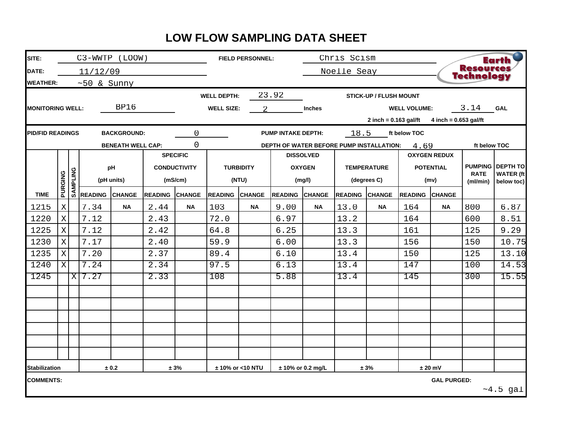### **LOW FLOW SAMPLING DATA SHEET**

| SITE:                   |             |                |                | C3-WWTP (LOOW)           |                |                     |                    | <b>FIELD PERSONNEL:</b> |                                                      |                  | Chris Scism    |                               |                       |                         |                                       | Earth                                |
|-------------------------|-------------|----------------|----------------|--------------------------|----------------|---------------------|--------------------|-------------------------|------------------------------------------------------|------------------|----------------|-------------------------------|-----------------------|-------------------------|---------------------------------------|--------------------------------------|
| DATE:                   |             |                | 11/12/09       |                          |                |                     |                    |                         |                                                      |                  | Noelle Seay    |                               |                       |                         | <b>Resources</b><br><b>Technology</b> |                                      |
| <b>WEATHER:</b>         |             |                | $~50$ & Sunny  |                          |                |                     |                    |                         |                                                      |                  |                |                               |                       |                         |                                       |                                      |
|                         |             |                |                |                          |                |                     | <b>WELL DEPTH:</b> |                         | 23.92                                                |                  |                | <b>STICK-UP / FLUSH MOUNT</b> |                       |                         |                                       |                                      |
| <b>MONITORING WELL:</b> |             |                |                | BP16                     |                |                     | <b>WELL SIZE:</b>  | $\overline{2}$          |                                                      | <b>Inches</b>    |                |                               | <b>WELL VOLUME:</b>   |                         | 3.14                                  | <b>GAL</b>                           |
|                         |             |                |                |                          |                |                     |                    |                         |                                                      |                  |                | $2$ inch = 0.163 gal/ft       |                       | $4$ inch = 0.653 gal/ft |                                       |                                      |
| <b>PID/FID READINGS</b> |             |                |                | <b>BACKGROUND:</b>       |                | $\mathbf 0$         |                    |                         | <b>PUMP INTAKE DEPTH:</b>                            |                  |                | 18.5                          | ft below TOC          |                         |                                       |                                      |
|                         |             |                |                | <b>BENEATH WELL CAP:</b> |                | $\mathbf 0$         |                    |                         | <b>DEPTH OF WATER BEFORE PUMP INSTALLATION: 4.69</b> |                  |                |                               |                       |                         | ft below TOC                          |                                      |
|                         |             |                |                |                          |                | <b>SPECIFIC</b>     |                    |                         |                                                      | <b>DISSOLVED</b> |                |                               |                       | <b>OXYGEN REDUX</b>     |                                       |                                      |
|                         |             |                |                | pH                       |                | <b>CONDUCTIVITY</b> |                    | <b>TURBIDITY</b>        |                                                      | <b>OXYGEN</b>    |                | <b>TEMPERATURE</b>            |                       | <b>POTENTIAL</b>        | <b>RATE</b>                           | PUMPING DEPTH TO<br><b>WATER</b> (ft |
|                         | PURGING     | SAMPLING       |                | (pH units)               |                | (mS/cm)             |                    | (NTU)                   |                                                      | (mg/l)           |                | (degrees C)                   |                       | (mv)                    | (ml/min)                              | below toc)                           |
| <b>TIME</b>             |             |                | <b>READING</b> | <b>CHANGE</b>            | <b>READING</b> | <b>CHANGE</b>       | <b>READING</b>     | <b>CHANGE</b>           | <b>READING</b>                                       | <b>CHANGE</b>    | <b>READING</b> | <b>CHANGE</b>                 | <b>READING CHANGE</b> |                         |                                       |                                      |
| 1215                    | Χ           |                | 7.34           | <b>NA</b>                | 2.44           | <b>NA</b>           | 103                | <b>NA</b>               | 9.00                                                 | <b>NA</b>        | 13.0           | <b>NA</b>                     | 164                   | <b>NA</b>               | 800                                   | 6.87                                 |
| 1220                    | X           |                | 7.12           |                          | 2.43           |                     | 72.0               |                         | 6.97                                                 |                  | 13.2           |                               | 164                   |                         | 600                                   | 8.51                                 |
| 1225                    | X           |                | 7.12           |                          | 2.42           |                     | 64.8               |                         | 6.25                                                 |                  | 13.3           |                               | 161                   |                         | 125                                   | 9.29                                 |
| 1230                    | X           |                | 7.17           |                          | 2.40           |                     | 59.9               |                         | 6.00                                                 |                  | 13.3           |                               | 156                   |                         | 150                                   | 10.75                                |
| 1235                    | Χ           |                | 7.20           |                          | 2.37           |                     | 89.4               |                         | 6.10                                                 |                  | 13.4           |                               | 150                   |                         | 125                                   | 13.10                                |
| 1240                    | $\mathbf X$ |                | 7.24           |                          | 2.34           |                     | 97.5               |                         | 6.13                                                 |                  | 13.4           |                               | 147                   |                         | 100                                   | 14.53                                |
| 1245                    |             | $\overline{X}$ | 7.27           |                          | 2.33           |                     | 108                |                         | 5.88                                                 |                  | 13.4           |                               | 145                   |                         | 300                                   | 15.55                                |
|                         |             |                |                |                          |                |                     |                    |                         |                                                      |                  |                |                               |                       |                         |                                       |                                      |
|                         |             |                |                |                          |                |                     |                    |                         |                                                      |                  |                |                               |                       |                         |                                       |                                      |
|                         |             |                |                |                          |                |                     |                    |                         |                                                      |                  |                |                               |                       |                         |                                       |                                      |
|                         |             |                |                |                          |                |                     |                    |                         |                                                      |                  |                |                               |                       |                         |                                       |                                      |
|                         |             |                |                |                          |                |                     |                    |                         |                                                      |                  |                |                               |                       |                         |                                       |                                      |
|                         |             |                |                |                          |                |                     |                    |                         |                                                      |                  |                |                               |                       |                         |                                       |                                      |
| <b>Stabilization</b>    |             |                |                | ± 0.2                    |                | ± 3%                |                    | ± 10% or <10 NTU        |                                                      | ±10% or 0.2 mg/L |                | ± 3%                          |                       | $± 20$ mV               |                                       |                                      |
| <b>COMMENTS:</b>        |             |                |                |                          |                |                     |                    |                         |                                                      |                  |                |                               |                       | <b>GAL PURGED:</b>      |                                       | $~1.5$ gal                           |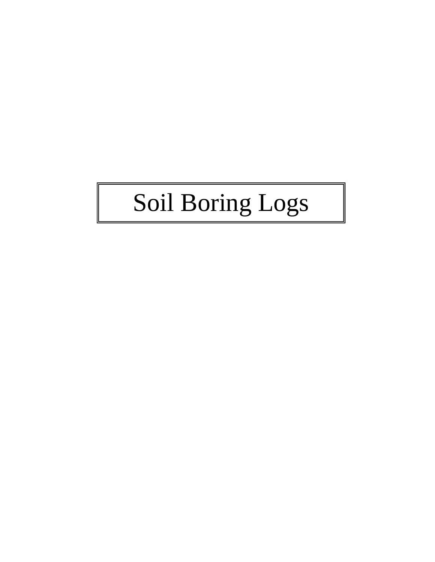# Soil Boring Logs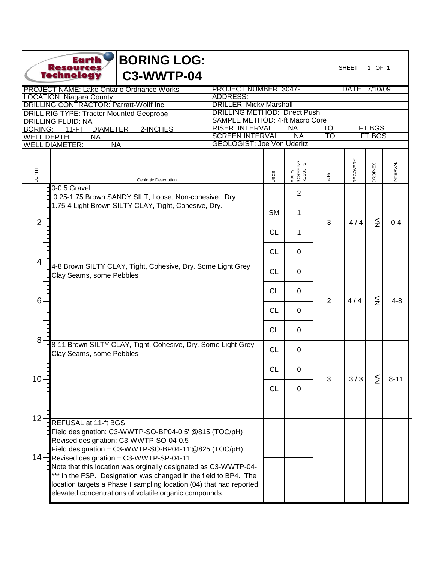| <b>BORING LOG:</b><br>Earth<br><b>Resources</b><br><b>Technology</b><br>C3-WWTP-04                                                                                                                                                                                                                                |                                                                              |           |                              |                | <b>SHEET</b>    | 1 OF 1               |                |
|-------------------------------------------------------------------------------------------------------------------------------------------------------------------------------------------------------------------------------------------------------------------------------------------------------------------|------------------------------------------------------------------------------|-----------|------------------------------|----------------|-----------------|----------------------|----------------|
| <b>PROJECT NAME: Lake Ontario Ordnance Works</b>                                                                                                                                                                                                                                                                  | <b>PROJECT NUMBER: 3047-</b>                                                 |           |                              |                | DATE: 7/10/09   |                      |                |
| <b>LOCATION: Niagara County</b>                                                                                                                                                                                                                                                                                   | <b>ADDRESS:</b>                                                              |           |                              |                |                 |                      |                |
| <b>DRILLING CONTRACTOR: Parratt-Wolff Inc.</b>                                                                                                                                                                                                                                                                    | <b>DRILLER: Micky Marshall</b>                                               |           |                              |                |                 |                      |                |
| <b>DRILL RIG TYPE: Tractor Mounted Geoprobe</b>                                                                                                                                                                                                                                                                   | <b>DRILLING METHOD: Direct Push</b><br><b>SAMPLE METHOD: 4-ft Macro Core</b> |           |                              |                |                 |                      |                |
| <b>DRILLING FLUID: NA</b><br><b>DIAMETER</b><br>2-INCHES<br><b>BORING:</b>                                                                                                                                                                                                                                        | <b>RISER INTERVAL</b>                                                        |           | <b>NA</b>                    | то             |                 | FT BGS               |                |
| $11-FT$<br><b>WELL DEPTH:</b><br><b>NA</b>                                                                                                                                                                                                                                                                        | <b>SCREEN INTERVAL</b>                                                       |           | <b>NA</b>                    | TO             |                 | FT BGS               |                |
| <b>NA</b><br><b>WELL DIAMETER:</b>                                                                                                                                                                                                                                                                                | <b>GEOLOGIST: Joe Von Uderitz</b>                                            |           |                              |                |                 |                      |                |
| DEPTH<br>Geologic Description                                                                                                                                                                                                                                                                                     |                                                                              | USCS      | FIELD<br>SCREEING<br>RESULTS | 吉              | <b>RECOVERY</b> | DROP-EX              | <b>NTERVAL</b> |
| 0-0.5 Gravel<br>0.25-1.75 Brown SANDY SILT, Loose, Non-cohesive. Dry                                                                                                                                                                                                                                              |                                                                              |           | 2                            |                |                 |                      |                |
| 1.75-4 Light Brown SILTY CLAY, Tight, Cohesive, Dry.                                                                                                                                                                                                                                                              |                                                                              | <b>SM</b> | 1                            |                |                 |                      |                |
| $\overline{2}$                                                                                                                                                                                                                                                                                                    |                                                                              | CL        | 1                            | 3              | 4/4             | $\frac{4}{2}$        | $0 - 4$        |
|                                                                                                                                                                                                                                                                                                                   |                                                                              | <b>CL</b> | $\Omega$                     |                |                 |                      |                |
| 4<br>4-8 Brown SILTY CLAY, Tight, Cohesive, Dry. Some Light Grey<br>Clay Seams, some Pebbles                                                                                                                                                                                                                      |                                                                              | <b>CL</b> | $\Omega$                     |                |                 |                      |                |
|                                                                                                                                                                                                                                                                                                                   |                                                                              | CL        | $\Omega$                     |                |                 |                      |                |
| 6                                                                                                                                                                                                                                                                                                                 |                                                                              | <b>CL</b> | $\Omega$                     | $\overline{2}$ | 4/4             | $\widetilde{\Sigma}$ | $4 - 8$        |
|                                                                                                                                                                                                                                                                                                                   |                                                                              | <b>CL</b> | $\Omega$                     |                |                 |                      |                |
| 8<br>8-11 Brown SILTY CLAY, Tight, Cohesive, Dry. Some Light Grey                                                                                                                                                                                                                                                 |                                                                              | <b>CL</b> | $\Omega$                     |                |                 |                      |                |
| Clay Seams, some Pebbles                                                                                                                                                                                                                                                                                          |                                                                              |           |                              |                |                 |                      |                |
| 10 <sup>°</sup>                                                                                                                                                                                                                                                                                                   |                                                                              | <b>CL</b> | 0                            | 3              | 3/3             | $\frac{4}{2}$        | $8 - 11$       |
|                                                                                                                                                                                                                                                                                                                   |                                                                              | <b>CL</b> | 0                            |                |                 |                      |                |
| $12 -$                                                                                                                                                                                                                                                                                                            |                                                                              |           |                              |                |                 |                      |                |
| <b>REFUSAL at 11-ft BGS</b><br>Field designation: C3-WWTP-SO-BP04-0.5' @815 (TOC/pH)                                                                                                                                                                                                                              |                                                                              |           |                              |                |                 |                      |                |
| Revised designation: C3-WWTP-SO-04-0.5<br>Field designation = C3-WWTP-SO-BP04-11'@825 (TOC/pH)                                                                                                                                                                                                                    |                                                                              |           |                              |                |                 |                      |                |
| 14 Revised designation = C3-WWTP-SP-04-11<br>Note that this location was orginally designated as C3-WWTP-04-<br>*** in the FSP. Designation was changed in the field to BP4. The<br>location targets a Phase I sampling location (04) that had reported<br>elevated concentrations of volatile organic compounds. |                                                                              |           |                              |                |                 |                      |                |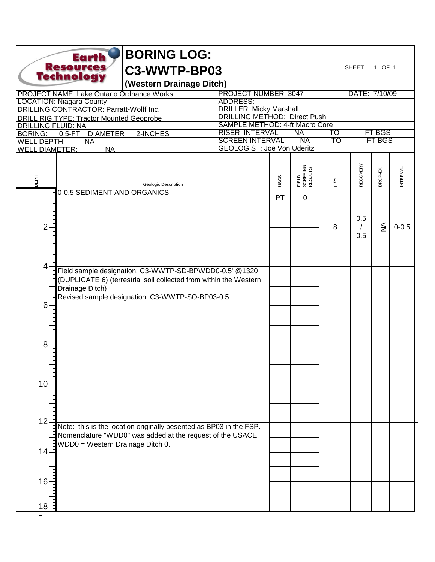| <b>BORING LOG:</b><br>Earth<br><b>Resources</b><br>Technology<br>C3-WWTP-BP03<br>(Western Drainage Ditch)                        |                                                             |           |                              |    | <b>SHEET</b>    | 1 OF 1        |           |
|----------------------------------------------------------------------------------------------------------------------------------|-------------------------------------------------------------|-----------|------------------------------|----|-----------------|---------------|-----------|
| <b>PROJECT NAME: Lake Ontario Ordnance Works</b>                                                                                 | <b>PROJECT NUMBER: 3047-</b>                                |           |                              |    | DATE: 7/10/09   |               |           |
| <b>LOCATION: Niagara County</b><br><b>DRILLING CONTRACTOR: Parratt-Wolff Inc.</b>                                                | <b>ADDRESS:</b><br><b>DRILLER: Micky Marshall</b>           |           |                              |    |                 |               |           |
| <b>DRILL RIG TYPE: Tractor Mounted Geoprobe</b>                                                                                  | <b>DRILLING METHOD: Direct Push</b>                         |           |                              |    |                 |               |           |
| <b>DRILLING FLUID: NA</b>                                                                                                        | <b>SAMPLE METHOD: 4-ft Macro Core</b>                       |           |                              |    |                 |               |           |
| <b>BORING:</b><br><b>DIAMETER</b><br>2-INCHES<br>$0.5-FT$                                                                        | <b>RISER INTERVAL</b>                                       |           | <b>NA</b>                    | TO |                 | FT BGS        |           |
| <b>WELL DEPTH:</b><br><b>NA</b>                                                                                                  | <b>SCREEN INTERVAL</b><br><b>GEOLOGIST: Joe Von Uderitz</b> |           | <b>NA</b>                    | TO |                 | FT BGS        |           |
| <b>WELL DIAMETER:</b><br><b>NA</b>                                                                                               |                                                             |           |                              |    |                 |               |           |
| DEPTH<br>Geologic Description                                                                                                    |                                                             | uscs      | FIELD<br>SCREEING<br>RESULTS | 古山 | <b>RECOVERY</b> | DROP-EX       | NTERVAL   |
| 0-0.5 SEDIMENT AND ORGANICS                                                                                                      |                                                             | <b>PT</b> | $\Omega$                     |    |                 |               |           |
|                                                                                                                                  |                                                             |           |                              |    | 0.5             |               |           |
| $\overline{2}$                                                                                                                   |                                                             |           |                              | 8  | 0.5             | $\frac{4}{2}$ | $0 - 0.5$ |
|                                                                                                                                  |                                                             |           |                              |    |                 |               |           |
|                                                                                                                                  |                                                             |           |                              |    |                 |               |           |
| 4<br>Field sample designation: C3-WWTP-SD-BPWDD0-0.5' @1320<br>(DUPLICATE 6) (terrestrial soil collected from within the Western |                                                             |           |                              |    |                 |               |           |
| Drainage Ditch)                                                                                                                  |                                                             |           |                              |    |                 |               |           |
| Revised sample designation: C3-WWTP-SO-BP03-0.5<br>6                                                                             |                                                             |           |                              |    |                 |               |           |
|                                                                                                                                  |                                                             |           |                              |    |                 |               |           |
|                                                                                                                                  |                                                             |           |                              |    |                 |               |           |
| 8                                                                                                                                |                                                             |           |                              |    |                 |               |           |
|                                                                                                                                  |                                                             |           |                              |    |                 |               |           |
|                                                                                                                                  |                                                             |           |                              |    |                 |               |           |
| 10                                                                                                                               |                                                             |           |                              |    |                 |               |           |
|                                                                                                                                  |                                                             |           |                              |    |                 |               |           |
|                                                                                                                                  |                                                             |           |                              |    |                 |               |           |
| $12 -$<br>Note: this is the location originally pesented as BP03 in the FSP.                                                     |                                                             |           |                              |    |                 |               |           |
| Nomenclature "WDD0" was added at the request of the USACE.                                                                       |                                                             |           |                              |    |                 |               |           |
| WDD0 = Western Drainage Ditch 0.<br>14                                                                                           |                                                             |           |                              |    |                 |               |           |
|                                                                                                                                  |                                                             |           |                              |    |                 |               |           |
| $16 -$                                                                                                                           |                                                             |           |                              |    |                 |               |           |
|                                                                                                                                  |                                                             |           |                              |    |                 |               |           |
| 18                                                                                                                               |                                                             |           |                              |    |                 |               |           |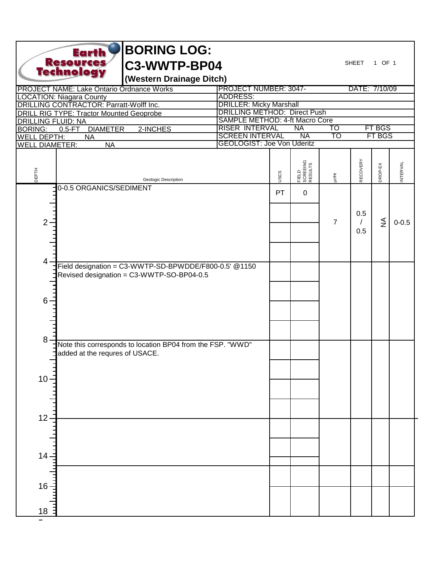| Earth<br><b>Resources</b><br><b>Technology</b>                      | <b>BORING LOG:</b><br>C3-WWTP-BP04<br>(Western Drainage Ditch) |                                                                |      |                              |     | <b>SHEET</b>    | 1 OF 1     |                 |
|---------------------------------------------------------------------|----------------------------------------------------------------|----------------------------------------------------------------|------|------------------------------|-----|-----------------|------------|-----------------|
| <b>PROJECT NAME: Lake Ontario Ordnance Works</b>                    |                                                                | <b>PROJECT NUMBER: 3047-</b>                                   |      |                              |     | DATE: 7/10/09   |            |                 |
| <b>LOCATION: Niagara County</b>                                     |                                                                | <b>ADDRESS:</b>                                                |      |                              |     |                 |            |                 |
| <b>DRILLING CONTRACTOR: Parratt-Wolff Inc.</b>                      |                                                                | <b>DRILLER: Micky Marshall</b>                                 |      |                              |     |                 |            |                 |
| <b>DRILL RIG TYPE: Tractor Mounted Geoprobe</b>                     |                                                                | <b>DRILLING METHOD: Direct Push</b>                            |      |                              |     |                 |            |                 |
| <b>DRILLING FLUID: NA</b>                                           |                                                                | <b>SAMPLE METHOD: 4-ft Macro Core</b><br><b>RISER INTERVAL</b> |      | <b>NA</b>                    | TO  |                 | FT BGS     |                 |
| <b>DIAMETER</b><br><b>BORING:</b><br>$0.5-FT$<br><b>WELL DEPTH:</b> | 2-INCHES                                                       | <b>SCREEN INTERVAL</b>                                         |      | <b>NA</b>                    | TO  |                 | FT BGS     |                 |
| <b>NA</b><br><b>WELL DIAMETER:</b><br><b>NA</b>                     |                                                                | <b>GEOLOGIST: Joe Von Uderitz</b>                              |      |                              |     |                 |            |                 |
|                                                                     |                                                                |                                                                |      |                              |     |                 |            |                 |
| <b>DEPTH</b>                                                        | Geologic Description                                           |                                                                | USCS | FIELD<br>SCREEING<br>RESULTS | Η'n | <b>RECOVERY</b> | DROP-EX    | <b>INTERVAL</b> |
| 0-0.5 ORGANICS/SEDIMENT                                             |                                                                |                                                                | PT   | 0                            |     |                 |            |                 |
|                                                                     |                                                                |                                                                |      |                              |     | 0.5             |            |                 |
| $\overline{2}$                                                      |                                                                |                                                                |      |                              | 7   | $\prime$        | $\lessgtr$ | $0 - 0.5$       |
|                                                                     |                                                                |                                                                |      |                              |     | 0.5             |            |                 |
|                                                                     |                                                                |                                                                |      |                              |     |                 |            |                 |
|                                                                     |                                                                |                                                                |      |                              |     |                 |            |                 |
|                                                                     |                                                                |                                                                |      |                              |     |                 |            |                 |
| 4                                                                   | Field designation = C3-WWTP-SD-BPWDDE/F800-0.5' @1150          |                                                                |      |                              |     |                 |            |                 |
|                                                                     | Revised designation = C3-WWTP-SO-BP04-0.5                      |                                                                |      |                              |     |                 |            |                 |
|                                                                     |                                                                |                                                                |      |                              |     |                 |            |                 |
|                                                                     |                                                                |                                                                |      |                              |     |                 |            |                 |
| 6                                                                   |                                                                |                                                                |      |                              |     |                 |            |                 |
|                                                                     |                                                                |                                                                |      |                              |     |                 |            |                 |
|                                                                     |                                                                |                                                                |      |                              |     |                 |            |                 |
|                                                                     |                                                                |                                                                |      |                              |     |                 |            |                 |
|                                                                     |                                                                |                                                                |      |                              |     |                 |            |                 |
| 8                                                                   | Note this corresponds to location BP04 from the FSP. "WWD"     |                                                                |      |                              |     |                 |            |                 |
| added at the requres of USACE.                                      |                                                                |                                                                |      |                              |     |                 |            |                 |
|                                                                     |                                                                |                                                                |      |                              |     |                 |            |                 |
|                                                                     |                                                                |                                                                |      |                              |     |                 |            |                 |
| 10                                                                  |                                                                |                                                                |      |                              |     |                 |            |                 |
|                                                                     |                                                                |                                                                |      |                              |     |                 |            |                 |
|                                                                     |                                                                |                                                                |      |                              |     |                 |            |                 |
|                                                                     |                                                                |                                                                |      |                              |     |                 |            |                 |
|                                                                     |                                                                |                                                                |      |                              |     |                 |            |                 |
| 12                                                                  |                                                                |                                                                |      |                              |     |                 |            |                 |
|                                                                     |                                                                |                                                                |      |                              |     |                 |            |                 |
|                                                                     |                                                                |                                                                |      |                              |     |                 |            |                 |
|                                                                     |                                                                |                                                                |      |                              |     |                 |            |                 |
| 14                                                                  |                                                                |                                                                |      |                              |     |                 |            |                 |
|                                                                     |                                                                |                                                                |      |                              |     |                 |            |                 |
|                                                                     |                                                                |                                                                |      |                              |     |                 |            |                 |
| 16                                                                  |                                                                |                                                                |      |                              |     |                 |            |                 |
|                                                                     |                                                                |                                                                |      |                              |     |                 |            |                 |
| 18                                                                  |                                                                |                                                                |      |                              |     |                 |            |                 |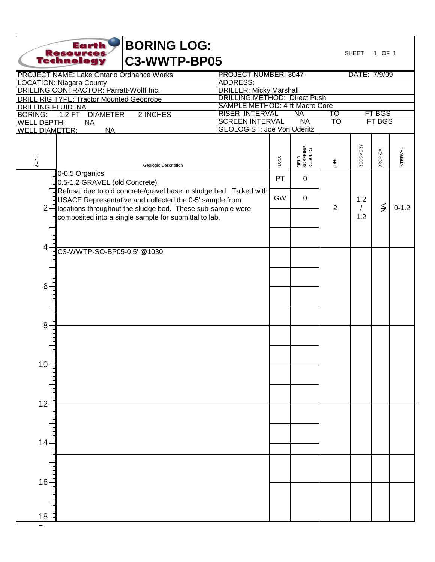| <b>BORING LOG:</b><br>Earth<br><b>Resource</b><br>C3-WWTP-BP05<br>Technology                                                                                                                         |                                                             |           |                              |                | <b>SHEET</b>    | 1 OF 1     |                 |
|------------------------------------------------------------------------------------------------------------------------------------------------------------------------------------------------------|-------------------------------------------------------------|-----------|------------------------------|----------------|-----------------|------------|-----------------|
| <b>PROJECT NAME: Lake Ontario Ordnance Works</b>                                                                                                                                                     | <b>PROJECT NUMBER: 3047-</b>                                |           |                              |                | DATE: 7/9/09    |            |                 |
| <b>LOCATION: Niagara County</b>                                                                                                                                                                      | <b>ADDRESS:</b>                                             |           |                              |                |                 |            |                 |
| <b>DRILLING CONTRACTOR: Parratt-Wolff Inc.</b>                                                                                                                                                       | <b>DRILLER: Micky Marshall</b>                              |           |                              |                |                 |            |                 |
| <b>DRILL RIG TYPE: Tractor Mounted Geoprobe</b>                                                                                                                                                      | <b>DRILLING METHOD: Direct Push</b>                         |           |                              |                |                 |            |                 |
| <b>DRILLING FLUID: NA</b>                                                                                                                                                                            | <b>SAMPLE METHOD: 4-ft Macro Core</b>                       |           |                              |                |                 |            |                 |
| <b>BORING:</b><br><b>DIAMETER</b><br>2-INCHES<br>$1.2-FT$                                                                                                                                            | RISER INTERVAL                                              |           | <b>NA</b>                    | TO             |                 | FT BGS     |                 |
| <b>WELL DEPTH:</b><br><b>NA</b>                                                                                                                                                                      | <b>SCREEN INTERVAL</b><br><b>GEOLOGIST: Joe Von Uderitz</b> |           | <b>NA</b>                    | TO             |                 | FT BGS     |                 |
| <b>NA</b><br><b>WELL DIAMETER:</b>                                                                                                                                                                   |                                                             |           |                              |                |                 |            |                 |
| <b>DEPTH</b><br>Geologic Description                                                                                                                                                                 |                                                             | uscs      | FIELD<br>SCREEING<br>RESULTS | ŧ              | <b>RECOVERY</b> | DROP-EX    | <b>INTERVAL</b> |
| 0-0.5 Organics<br>0.5-1.2 GRAVEL (old Concrete)                                                                                                                                                      |                                                             | <b>PT</b> | $\mathbf 0$                  |                |                 |            |                 |
| Refusal due to old concrete/gravel base in sludge bed. Talked with<br>USACE Representative and collected the 0-5' sample from<br>$2 -$<br>locations throughout the sludge bed. These sub-sample were |                                                             | <b>GW</b> | $\Omega$                     | $\overline{2}$ | 1.2             | $\lessgtr$ | $0 - 1.2$       |
| composited into a single sample for submittal to lab.                                                                                                                                                |                                                             |           |                              |                | 1.2             |            |                 |
|                                                                                                                                                                                                      |                                                             |           |                              |                |                 |            |                 |
| 4<br>C3-WWTP-SO-BP05-0.5' @1030                                                                                                                                                                      |                                                             |           |                              |                |                 |            |                 |
|                                                                                                                                                                                                      |                                                             |           |                              |                |                 |            |                 |
| 6                                                                                                                                                                                                    |                                                             |           |                              |                |                 |            |                 |
|                                                                                                                                                                                                      |                                                             |           |                              |                |                 |            |                 |
| 8                                                                                                                                                                                                    |                                                             |           |                              |                |                 |            |                 |
|                                                                                                                                                                                                      |                                                             |           |                              |                |                 |            |                 |
| 10                                                                                                                                                                                                   |                                                             |           |                              |                |                 |            |                 |
|                                                                                                                                                                                                      |                                                             |           |                              |                |                 |            |                 |
| 12                                                                                                                                                                                                   |                                                             |           |                              |                |                 |            |                 |
|                                                                                                                                                                                                      |                                                             |           |                              |                |                 |            |                 |
|                                                                                                                                                                                                      |                                                             |           |                              |                |                 |            |                 |
|                                                                                                                                                                                                      |                                                             |           |                              |                |                 |            |                 |
|                                                                                                                                                                                                      |                                                             |           |                              |                |                 |            |                 |
| 16                                                                                                                                                                                                   |                                                             |           |                              |                |                 |            |                 |
|                                                                                                                                                                                                      |                                                             |           |                              |                |                 |            |                 |
| 18                                                                                                                                                                                                   |                                                             |           |                              |                |                 |            |                 |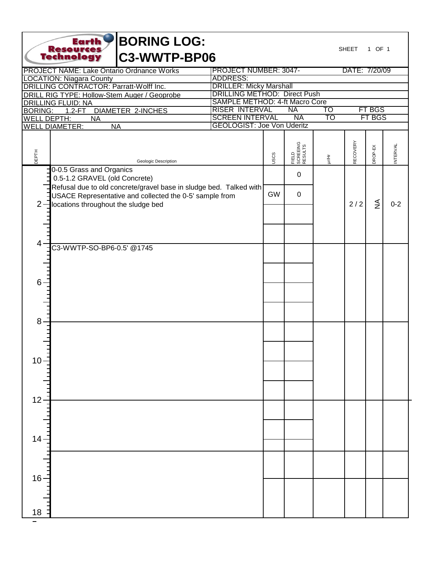|                       | Earth<br><b>Resources<br/>Technology</b>                                          | <b>BORING LOG:</b>                                                                                                            |                                                   |      |                              |        | <b>SHEET</b>    | 1 OF 1        |                |
|-----------------------|-----------------------------------------------------------------------------------|-------------------------------------------------------------------------------------------------------------------------------|---------------------------------------------------|------|------------------------------|--------|-----------------|---------------|----------------|
|                       |                                                                                   | C3-WWTP-BP06                                                                                                                  |                                                   |      |                              |        |                 |               |                |
|                       | <b>PROJECT NAME: Lake Ontario Ordnance Works</b>                                  |                                                                                                                               | <b>PROJECT NUMBER: 3047-</b>                      |      |                              |        | DATE: 7/20/09   |               |                |
|                       | <b>LOCATION: Niagara County</b><br><b>DRILLING CONTRACTOR: Parratt-Wolff Inc.</b> |                                                                                                                               | <b>ADDRESS:</b><br><b>DRILLER: Micky Marshall</b> |      |                              |        |                 |               |                |
|                       |                                                                                   | DRILL RIG TYPE: Hollow-Stem Auger / Geoprobe                                                                                  | <b>DRILLING METHOD: Direct Push</b>               |      |                              |        |                 |               |                |
|                       | <b>DRILLING FLUID: NA</b>                                                         |                                                                                                                               | <b>SAMPLE METHOD: 4-ft Macro Core</b>             |      |                              |        |                 |               |                |
| <b>BORING:</b>        | $1.2-FT$                                                                          | <b>DIAMETER 2-INCHES</b>                                                                                                      | <b>RISER INTERVAL</b>                             |      | <b>NA</b>                    | то     |                 | FT BGS        |                |
| <b>WELL DEPTH:</b>    | <b>NA</b>                                                                         |                                                                                                                               | <b>SCREEN INTERVAL</b>                            |      | <b>NA</b>                    | TO     |                 | FT BGS        |                |
| <b>WELL DIAMETER:</b> | <b>NA</b>                                                                         |                                                                                                                               | <b>GEOLOGIST: Joe Von Uderitz</b>                 |      |                              |        |                 |               |                |
| DEPTH                 |                                                                                   |                                                                                                                               |                                                   | USCS | FIELD<br>SCREEING<br>RESULTS | 古<br>上 | <b>RECOVERY</b> | DROP-EX       | <b>NTERVAL</b> |
|                       | 0-0.5 Grass and Organics                                                          | Geologic Description                                                                                                          |                                                   |      |                              |        |                 |               |                |
|                       | 0.5-1.2 GRAVEL (old Concrete)                                                     |                                                                                                                               |                                                   |      | $\mathbf 0$                  |        |                 |               |                |
|                       |                                                                                   | Refusal due to old concrete/gravel base in sludge bed. Talked with<br>USACE Representative and collected the 0-5' sample from |                                                   | GW   | 0                            |        |                 |               |                |
| $2 -$                 | locations throughout the sludge bed                                               |                                                                                                                               |                                                   |      |                              |        | 2/2             | $\frac{1}{2}$ | $0 - 2$        |
|                       |                                                                                   |                                                                                                                               |                                                   |      |                              |        |                 |               |                |
|                       |                                                                                   |                                                                                                                               |                                                   |      |                              |        |                 |               |                |
| 4                     |                                                                                   |                                                                                                                               |                                                   |      |                              |        |                 |               |                |
|                       | C3-WWTP-SO-BP6-0.5' @1745                                                         |                                                                                                                               |                                                   |      |                              |        |                 |               |                |
|                       |                                                                                   |                                                                                                                               |                                                   |      |                              |        |                 |               |                |
|                       |                                                                                   |                                                                                                                               |                                                   |      |                              |        |                 |               |                |
| 6                     |                                                                                   |                                                                                                                               |                                                   |      |                              |        |                 |               |                |
|                       |                                                                                   |                                                                                                                               |                                                   |      |                              |        |                 |               |                |
|                       |                                                                                   |                                                                                                                               |                                                   |      |                              |        |                 |               |                |
| 8                     |                                                                                   |                                                                                                                               |                                                   |      |                              |        |                 |               |                |
|                       |                                                                                   |                                                                                                                               |                                                   |      |                              |        |                 |               |                |
|                       |                                                                                   |                                                                                                                               |                                                   |      |                              |        |                 |               |                |
| $\exists$<br>10       |                                                                                   |                                                                                                                               |                                                   |      |                              |        |                 |               |                |
|                       |                                                                                   |                                                                                                                               |                                                   |      |                              |        |                 |               |                |
|                       |                                                                                   |                                                                                                                               |                                                   |      |                              |        |                 |               |                |
|                       |                                                                                   |                                                                                                                               |                                                   |      |                              |        |                 |               |                |
| 12                    |                                                                                   |                                                                                                                               |                                                   |      |                              |        |                 |               |                |
|                       |                                                                                   |                                                                                                                               |                                                   |      |                              |        |                 |               |                |
|                       |                                                                                   |                                                                                                                               |                                                   |      |                              |        |                 |               |                |
| 14                    |                                                                                   |                                                                                                                               |                                                   |      |                              |        |                 |               |                |
|                       |                                                                                   |                                                                                                                               |                                                   |      |                              |        |                 |               |                |
|                       |                                                                                   |                                                                                                                               |                                                   |      |                              |        |                 |               |                |
|                       |                                                                                   |                                                                                                                               |                                                   |      |                              |        |                 |               |                |
| 16                    |                                                                                   |                                                                                                                               |                                                   |      |                              |        |                 |               |                |
|                       |                                                                                   |                                                                                                                               |                                                   |      |                              |        |                 |               |                |
|                       |                                                                                   |                                                                                                                               |                                                   |      |                              |        |                 |               |                |
| 18                    |                                                                                   |                                                                                                                               |                                                   |      |                              |        |                 |               |                |

 $\Gamma$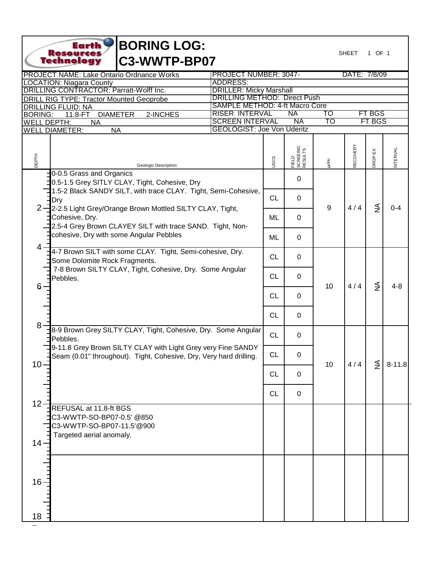| <b>BORING LOG:</b><br>Earth<br><b>Resources</b>                                                                                  |                                                                |           |                              |    | SHEET        | 1 OF 1        |                |
|----------------------------------------------------------------------------------------------------------------------------------|----------------------------------------------------------------|-----------|------------------------------|----|--------------|---------------|----------------|
| C3-WWTP-BP07<br><b>Technology</b>                                                                                                |                                                                |           |                              |    |              |               |                |
| <b>PROJECT NAME: Lake Ontario Ordnance Works</b>                                                                                 | <b>PROJECT NUMBER: 3047-</b>                                   |           |                              |    | DATE: 7/8/09 |               |                |
| <b>LOCATION: Niagara County</b>                                                                                                  | <b>ADDRESS:</b>                                                |           |                              |    |              |               |                |
| <b>DRILLING CONTRACTOR: Parratt-Wolff Inc.</b>                                                                                   | <b>DRILLER: Micky Marshall</b>                                 |           |                              |    |              |               |                |
| <b>DRILL RIG TYPE: Tractor Mounted Geoprobe</b>                                                                                  | <b>DRILLING METHOD: Direct Push</b>                            |           |                              |    |              |               |                |
| <b>DRILLING FLUID: NA</b>                                                                                                        | <b>SAMPLE METHOD: 4-ft Macro Core</b><br><b>RISER INTERVAL</b> |           | <b>NA</b>                    | то |              | FT BGS        |                |
| <b>BORING:</b><br><b>DIAMETER</b><br>2-INCHES<br>11.8-FT<br><b>WELL DEPTH:</b><br><b>NA</b>                                      | <b>SCREEN INTERVAL</b>                                         |           | <b>NA</b>                    | TO |              | FT BGS        |                |
| <b>NA</b><br><b>WELL DIAMETER:</b>                                                                                               | <b>GEOLOGIST: Joe Von Uderitz</b>                              |           |                              |    |              |               |                |
|                                                                                                                                  |                                                                |           |                              |    |              |               |                |
| <b>DEPTH</b>                                                                                                                     |                                                                |           | FIELD<br>SCREEING<br>RESULTS |    | RECOVERY     | DROP-EX       | <b>NTERVAL</b> |
| Geologic Description<br>0-0.5 Grass and Organics                                                                                 |                                                                | uscs      |                              | ŧ  |              |               |                |
| 0.5-1.5 Grey SITLY CLAY, Tight, Cohesive, Dry                                                                                    |                                                                |           | 0                            |    |              |               |                |
| 1.5-2 Black SANDY SILT, with trace CLAY. Tight, Semi-Cohesive,<br>Dry                                                            |                                                                | <b>CL</b> | $\Omega$                     |    |              |               |                |
| 2-2-2.5 Light Grey/Orange Brown Mottled SILTY CLAY, Tight,<br>Cohesive, Dry.                                                     |                                                                | ML        | $\Omega$                     | 9  | 4/4          | $\frac{4}{2}$ | $0 - 4$        |
| 2.5-4 Grey Brown CLAYEY SILT with trace SAND. Tight, Non-                                                                        |                                                                |           |                              |    |              |               |                |
| cohesive, Dry with some Angular Pebbles<br>$4 -$                                                                                 |                                                                | <b>ML</b> | $\mathbf 0$                  |    |              |               |                |
| 4-7 Brown SILT with some CLAY. Tight, Semi-cohesive, Dry.<br>Some Dolomite Rock Fragments.                                       |                                                                | <b>CL</b> | $\Omega$                     |    |              |               |                |
| 7-8 Brown SILTY CLAY, Tight, Cohesive, Dry. Some Angular<br>Pebbles.                                                             |                                                                | <b>CL</b> | 0                            |    |              |               |                |
| $6 -$                                                                                                                            |                                                                | <b>CL</b> | $\Omega$                     | 10 | 4/4          | $\frac{4}{2}$ | $4 - 8$        |
|                                                                                                                                  |                                                                | <b>CL</b> | $\mathbf 0$                  |    |              |               |                |
| 8-<br>8-9 Brown Grey SILTY CLAY, Tight, Cohesive, Dry. Some Angular                                                              |                                                                |           |                              |    |              |               |                |
| Pebbles.<br>9-11.8 Grey Brown SILTY CLAY with Light Grey very Fine SANDY                                                         |                                                                | <b>CL</b> | $\Omega$                     |    |              |               |                |
| Seam (0.01" throughout). Tight, Cohesive, Dry, Very hard drilling.<br>$10 -$                                                     |                                                                | <b>CL</b> | 0                            | 10 | 4/4          | $\frac{4}{2}$ | $8 - 11.8$     |
|                                                                                                                                  |                                                                | <b>CL</b> | $\mathbf 0$                  |    |              |               |                |
|                                                                                                                                  |                                                                | <b>CL</b> | $\mathbf 0$                  |    |              |               |                |
| $12 -$<br>REFUSAL at 11.8-ft BGS<br>C3-WWTP-SO-BP07-0.5' @850<br>C3-WWTP-SO-BP07-11.5'@900<br>Targeted aerial anomaly.<br>$14 -$ |                                                                |           |                              |    |              |               |                |
| 16 <sup>°</sup><br>18                                                                                                            |                                                                |           |                              |    |              |               |                |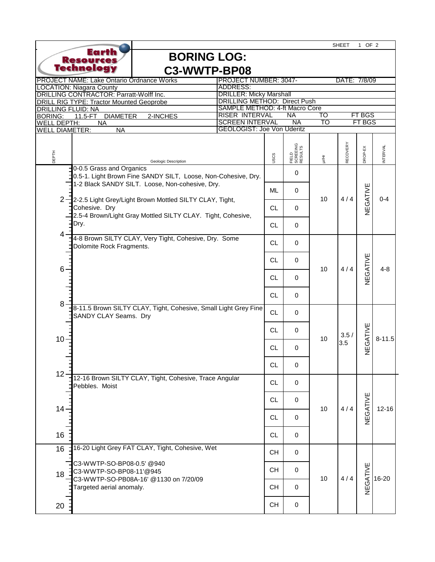|                                           |                                                                                                                                           |                                                                       |           |                              |     | <b>SHEET</b>    | 1 OF 2   |                |
|-------------------------------------------|-------------------------------------------------------------------------------------------------------------------------------------------|-----------------------------------------------------------------------|-----------|------------------------------|-----|-----------------|----------|----------------|
|                                           | Earth<br><b>BORING LOG:</b><br><b>Resources</b>                                                                                           |                                                                       |           |                              |     |                 |          |                |
|                                           | Technology<br>C3-WWTP-BP08                                                                                                                |                                                                       |           |                              |     |                 |          |                |
|                                           | <b>PROJECT NAME: Lake Ontario Ordnance Works</b>                                                                                          | PROJECT NUMBER: 3047-                                                 |           |                              |     | DATE: 7/8/09    |          |                |
|                                           | <b>LOCATION: Niagara County</b>                                                                                                           | <b>ADDRESS:</b>                                                       |           |                              |     |                 |          |                |
|                                           | <b>DRILLING CONTRACTOR: Parratt-Wolff Inc.</b>                                                                                            | <b>DRILLER: Micky Marshall</b>                                        |           |                              |     |                 |          |                |
| <b>DRILL</b><br><b>DRILLING FLUID: NA</b> | <b>RIG TYPE: Tractor Mounted Geoprobe</b>                                                                                                 | <b>DRILLING METHOD: Direct Push</b><br>SAMPLE METHOD: 4-ft Macro Core |           |                              |     |                 |          |                |
| <b>BORING:</b>                            | <b>DIAMETER</b><br>2-INCHES<br>$11.5 - FT$                                                                                                | <b>RISER INTERVAL</b>                                                 |           | <b>NA</b>                    | TO  |                 | FT BGS   |                |
| <b>WELL DEPTH:</b>                        | <b>NA</b>                                                                                                                                 | <b>SCREEN INTERVAL</b>                                                |           | <b>NA</b>                    | TO  |                 | FT BGS   |                |
| <b>WELL DIAMETER:</b>                     | <b>NA</b>                                                                                                                                 | GEOLOGIST: Joe Von Uderitz                                            |           |                              |     |                 |          |                |
| $DEFTH$                                   | Geologic Description                                                                                                                      |                                                                       | uscs      | FIELD<br>SCREEING<br>RESULTS | H/H | <b>RECOVERY</b> | DROP-EX  | <b>NTERVAL</b> |
|                                           | 0-0.5 Grass and Organics<br>0.5-1. Light Brown Fine SANDY SILT, Loose, Non-Cohesive, Dry.                                                 |                                                                       |           | 0                            |     |                 |          |                |
|                                           | 1-2 Black SANDY SILT. Loose, Non-cohesive, Dry.                                                                                           |                                                                       | ML        | 0                            |     |                 |          |                |
|                                           | 2-2-2.5 Light Grey/Light Brown Mottled SILTY CLAY, Tight,<br>Cohesive. Dry<br>2.5-4 Brown/Light Gray Mottled SILTY CLAY. Tight, Cohesive, |                                                                       | <b>CL</b> | 0                            | 10  | 4/4             | NEGATIVE | $0 - 4$        |
| 4 -                                       | Dry.                                                                                                                                      |                                                                       | <b>CL</b> | 0                            |     |                 |          |                |
|                                           | 4-8 Brown SILTY CLAY, Very Tight, Cohesive, Dry. Some<br>Dolomite Rock Fragments.                                                         |                                                                       | <b>CL</b> | 0                            |     |                 |          |                |
| 6                                         |                                                                                                                                           |                                                                       | <b>CL</b> | 0                            | 10  | 4/4             | NEGATIVE | $4 - 8$        |
|                                           |                                                                                                                                           |                                                                       | CL.       | 0                            |     |                 |          |                |
| 8                                         |                                                                                                                                           |                                                                       | <b>CL</b> | 0                            |     |                 |          |                |
|                                           | 8-11.5 Brown SILTY CLAY, Tight, Cohesive, Small Light Grey Fine<br>SANDY CLAY Seams. Dry                                                  |                                                                       | <b>CL</b> | 0                            |     |                 |          |                |
| 10                                        |                                                                                                                                           |                                                                       | <b>CL</b> | 0                            | 10  | 3.5/<br>3.5     | NEGATIVE | $8 - 11.5$     |
|                                           |                                                                                                                                           |                                                                       | <b>CL</b> | 0                            |     |                 |          |                |
| $12 -$                                    | 12-16 Brown SILTY CLAY, Tight, Cohesive, Trace Angular                                                                                    |                                                                       | CL        | 0                            |     |                 |          |                |
|                                           | Pebbles. Moist                                                                                                                            |                                                                       | CL        | $\mathbf 0$                  |     |                 |          |                |
| 14                                        |                                                                                                                                           |                                                                       | CL        | 0                            | 10  | 4/4             | NEGATIVE | $12 - 16$      |
|                                           |                                                                                                                                           |                                                                       | <b>CL</b> | $\mathbf 0$                  |     |                 |          |                |
| 16                                        |                                                                                                                                           |                                                                       | <b>CL</b> | $\mathbf 0$                  |     |                 |          |                |
| 16                                        | 16-20 Light Grey FAT CLAY, Tight, Cohesive, Wet<br>C3-WWTP-SO-BP08-0.5' @940                                                              |                                                                       | CН        | $\mathbf 0$                  |     |                 |          |                |
| 18                                        | C3-WWTP-SO-BP08-11'@945<br>C3-WWTP-SO-PB08A-16' @1130 on 7/20/09                                                                          |                                                                       | CН        | 0                            | 10  | 4/4             | NEGATIVE | 16-20          |
|                                           | Targeted aerial anomaly.                                                                                                                  |                                                                       | <b>CH</b> | 0                            |     |                 |          |                |
| 20                                        |                                                                                                                                           |                                                                       | CН        | 0                            |     |                 |          |                |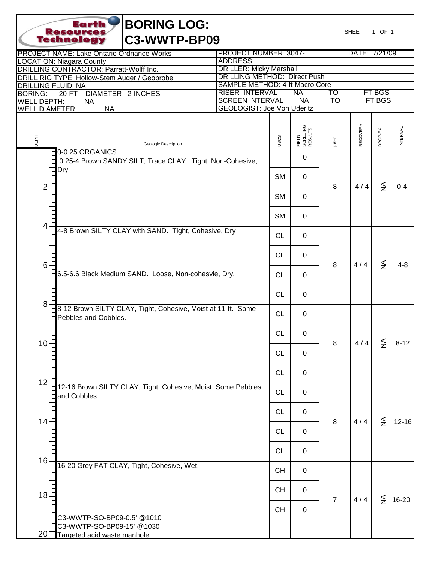| <b>BORING LOG:</b><br>Earth<br><b>Resources<br/>Technology</b><br>C3-WWTP-BP09            |                                                 |           |                              |                | <b>SHEET</b>    | 1 OF 1             |                 |
|-------------------------------------------------------------------------------------------|-------------------------------------------------|-----------|------------------------------|----------------|-----------------|--------------------|-----------------|
| <b>PROJECT NAME: Lake Ontario Ordnance Works</b>                                          | PROJECT NUMBER: 3047-                           |           |                              |                | DATE: 7/21/09   |                    |                 |
| <b>LOCATION: Niagara County</b>                                                           | <b>ADDRESS:</b>                                 |           |                              |                |                 |                    |                 |
| <b>DRILLING CONTRACTOR: Parratt-Wolff Inc.</b>                                            | <b>DRILLER: Micky Marshall</b>                  |           |                              |                |                 |                    |                 |
| DRILL RIG TYPE: Hollow-Stem Auger / Geoprobe                                              | <b>DRILLING METHOD: Direct Push</b>             |           |                              |                |                 |                    |                 |
| <b>DRILLING FLUID: NA</b>                                                                 | <b>SAMPLE METHOD: 4-ft Macro Core</b>           |           |                              |                |                 | FT BGS             |                 |
| DIAMETER 2-INCHES<br><b>BORING:</b><br>20-FT                                              | <b>RISER INTERVAL</b><br><b>SCREEN INTERVAL</b> |           | <b>NA</b><br><b>NA</b>       | то<br>TO       |                 | FT BGS             |                 |
| <b>WELL DEPTH:</b><br><b>NA</b><br><b>WELL DIAMETER:</b><br><b>NA</b>                     | <b>GEOLOGIST: Joe Von Uderitz</b>               |           |                              |                |                 |                    |                 |
|                                                                                           |                                                 |           |                              |                |                 |                    |                 |
| DEPTH<br>Geologic Description                                                             |                                                 | uscs      | FIELD<br>SCREEING<br>RESULTS | 古山             | <b>RECOVERY</b> | DROP-EX            | <b>INTERVAL</b> |
| 0-0.25 ORGANICS<br>0.25-4 Brown SANDY SILT, Trace CLAY. Tight, Non-Cohesive,              |                                                 |           | 0                            |                |                 |                    |                 |
| Dry.<br>$\overline{2}$                                                                    |                                                 | <b>SM</b> | $\mathbf 0$                  | 8              | 4/4             | $\widetilde{\geq}$ | $0 - 4$         |
|                                                                                           |                                                 | <b>SM</b> | 0                            |                |                 |                    |                 |
|                                                                                           |                                                 | <b>SM</b> | 0                            |                |                 |                    |                 |
| 4<br>4-8 Brown SILTY CLAY with SAND. Tight, Cohesive, Dry                                 |                                                 | <b>CL</b> | $\mathbf 0$                  |                |                 |                    |                 |
|                                                                                           |                                                 | <b>CL</b> | $\mathbf 0$                  |                |                 |                    |                 |
| 6<br>6.5-6.6 Black Medium SAND. Loose, Non-cohesvie, Dry.                                 |                                                 | <b>CL</b> | 0                            | 8              | 4/4             | $\sum_{i=1}^{n}$   | $4 - 8$         |
|                                                                                           |                                                 | <b>CL</b> | $\Omega$                     |                |                 |                    |                 |
| 8<br>8-12 Brown SILTY CLAY, Tight, Cohesive, Moist at 11-ft. Some<br>Pebbles and Cobbles. |                                                 | <b>CL</b> | $\Omega$                     |                |                 |                    |                 |
|                                                                                           |                                                 | CL        | 0                            |                |                 |                    |                 |
| 10                                                                                        |                                                 | <b>CL</b> | $\mathbf 0$                  | 8              | 4/4             | ₹                  | $8 - 12$        |
|                                                                                           |                                                 | CL        | $\pmb{0}$                    |                |                 |                    |                 |
| $12 -$<br>12-16 Brown SILTY CLAY, Tight, Cohesive, Moist, Some Pebbles<br>and Cobbles.    |                                                 | CL        | $\mathbf 0$                  |                |                 |                    |                 |
|                                                                                           |                                                 | CL        | $\pmb{0}$                    |                |                 |                    |                 |
| 14                                                                                        |                                                 | <b>CL</b> | $\pmb{0}$                    | 8              | 4/4             | $\frac{4}{2}$      | $12 - 16$       |
|                                                                                           |                                                 | <b>CL</b> | $\mathbf 0$                  |                |                 |                    |                 |
| 16<br>16-20 Grey FAT CLAY, Tight, Cohesive, Wet.                                          |                                                 | <b>CH</b> | $\pmb{0}$                    |                |                 |                    |                 |
| 18                                                                                        |                                                 | <b>CH</b> | $\pmb{0}$                    |                |                 |                    |                 |
| C3-WWTP-SO-BP09-0.5' @1010                                                                |                                                 | <b>CH</b> | $\mathbf 0$                  | $\overline{7}$ | 4/4             | $\widetilde{\geq}$ | 16-20           |
| C3-WWTP-SO-BP09-15' @1030<br>$20 -$<br>Targeted acid waste manhole                        |                                                 |           |                              |                |                 |                    |                 |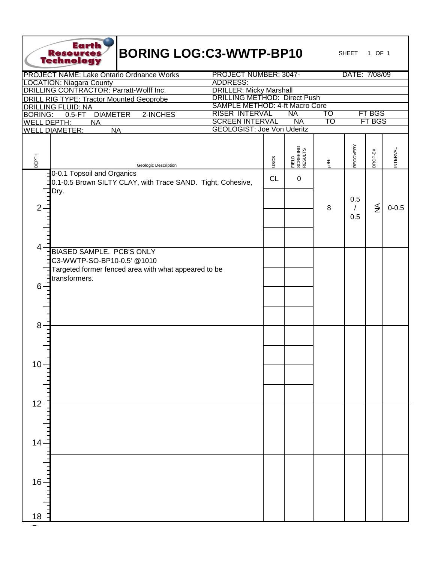| Earth<br><b>BORING LOG:C3-WWTP-BP10</b><br><b>Resources</b><br>Technology                                                                  |                                       |                   |                                   |     | <b>SHEET</b>    | 1 OF 1             |                 |
|--------------------------------------------------------------------------------------------------------------------------------------------|---------------------------------------|-------------------|-----------------------------------|-----|-----------------|--------------------|-----------------|
| <b>PROJECT NAME: Lake Ontario Ordnance Works</b>                                                                                           | <b>PROJECT NUMBER: 3047-</b>          |                   |                                   |     | DATE: 7/08/09   |                    |                 |
| <b>LOCATION: Niagara County</b>                                                                                                            | <b>ADDRESS:</b>                       |                   |                                   |     |                 |                    |                 |
| <b>DRILLING CONTRACTOR: Parratt-Wolff Inc.</b>                                                                                             | <b>DRILLER: Micky Marshall</b>        |                   |                                   |     |                 |                    |                 |
| <b>DRILL RIG TYPE: Tractor Mounted Geoprobe</b>                                                                                            | <b>DRILLING METHOD: Direct Push</b>   |                   |                                   |     |                 |                    |                 |
| <b>DRILLING FLUID: NA</b>                                                                                                                  | <b>SAMPLE METHOD: 4-ft Macro Core</b> |                   |                                   |     |                 |                    |                 |
| <b>DIAMETER</b><br>2-INCHES<br><b>BORING:</b><br>$0.5-FT$                                                                                  | <b>RISER INTERVAL</b>                 |                   | <b>NA</b>                         | TO  |                 | FT BGS             |                 |
| <b>WELL DEPTH:</b><br><b>NA</b>                                                                                                            | <b>SCREEN INTERVAL</b>                |                   | <b>NA</b>                         | TO  |                 | FT BGS             |                 |
| <b>WELL DIAMETER:</b><br><b>NA</b>                                                                                                         | <b>GEOLOGIST: Joe Von Uderitz</b>     |                   |                                   |     |                 |                    |                 |
| <b>DEPTH</b><br>Geologic Description<br>0-0.1 Topsoil and Organics                                                                         |                                       | USCS<br><b>CL</b> | FIELD<br>SCREEING<br>RESULTS<br>0 | HNH | <b>RECOVERY</b> | DROP-EX            | <b>INTERVAL</b> |
| 0.1-0.5 Brown SILTY CLAY, with Trace SAND. Tight, Cohesive,<br>Dry.<br>2<br>4                                                              |                                       |                   |                                   | 8   | 0.5<br>0.5      | $\widetilde{\geq}$ | $0 - 0.5$       |
| BIASED SAMPLE. PCB'S ONLY<br>C3-WWTP-SO-BP10-0.5' @1010<br>Targeted former fenced area with what appeared to be<br>transformers.<br>6<br>8 |                                       |                   |                                   |     |                 |                    |                 |
|                                                                                                                                            |                                       |                   |                                   |     |                 |                    |                 |
| 10                                                                                                                                         |                                       |                   |                                   |     |                 |                    |                 |
|                                                                                                                                            |                                       |                   |                                   |     |                 |                    |                 |
|                                                                                                                                            |                                       |                   |                                   |     |                 |                    |                 |
| 12<br>14                                                                                                                                   |                                       |                   |                                   |     |                 |                    |                 |
| 16<br>18                                                                                                                                   |                                       |                   |                                   |     |                 |                    |                 |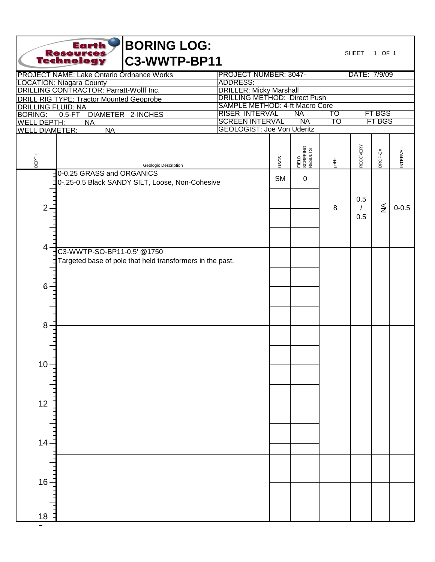| Earth<br><b>Resources</b><br><b>Technology</b>          | <b>BORING LOG:</b><br>C3-WWTP-BP11                                      |                                                                              |                   |                                                  |    | <b>SHEET</b>    | 1 OF 1        |                 |
|---------------------------------------------------------|-------------------------------------------------------------------------|------------------------------------------------------------------------------|-------------------|--------------------------------------------------|----|-----------------|---------------|-----------------|
| <b>PROJECT NAME: Lake Ontario Ordnance Works</b>        |                                                                         | <b>PROJECT NUMBER: 3047-</b>                                                 |                   |                                                  |    | DATE: 7/9/09    |               |                 |
| <b>LOCATION: Niagara County</b>                         |                                                                         | <b>ADDRESS:</b>                                                              |                   |                                                  |    |                 |               |                 |
| <b>DRILLING CONTRACTOR: Parratt-Wolff Inc.</b>          |                                                                         | <b>DRILLER: Micky Marshall</b>                                               |                   |                                                  |    |                 |               |                 |
| <b>DRILL RIG TYPE: Tractor Mounted Geoprobe</b>         |                                                                         | <b>DRILLING METHOD: Direct Push</b><br><b>SAMPLE METHOD: 4-ft Macro Core</b> |                   |                                                  |    |                 |               |                 |
| <b>DRILLING FLUID: NA</b><br><b>BORING:</b><br>$0.5-FT$ |                                                                         | <b>RISER INTERVAL</b>                                                        |                   | <b>NA</b>                                        | TO |                 | FT BGS        |                 |
| <b>WELL DEPTH:</b><br><b>NA</b>                         | DIAMETER 2-INCHES                                                       | <b>SCREEN INTERVAL</b>                                                       |                   | <b>NA</b>                                        | TO |                 | FT BGS        |                 |
| <b>NA</b><br><b>WELL DIAMETER:</b>                      |                                                                         | <b>GEOLOGIST: Joe Von Uderitz</b>                                            |                   |                                                  |    |                 |               |                 |
| <b>DEPTH</b><br>0-0.25 GRASS and ORGANICS               | Geologic Description<br>0-.25-0.5 Black SANDY SILT, Loose, Non-Cohesive |                                                                              | uscs<br><b>SM</b> | FIELD<br>SCREEING<br>RESULTS<br>$\boldsymbol{0}$ | Ĕ  | <b>RECOVERY</b> | DROP-EX       | <b>INTERVAL</b> |
| $\overline{2}$<br>4                                     |                                                                         |                                                                              |                   |                                                  | 8  | 0.5<br>0.5      | $\frac{4}{2}$ | $0 - 0.5$       |
| C3-WWTP-SO-BP11-0.5' @1750<br>6<br>8                    | Targeted base of pole that held transformers in the past.               |                                                                              |                   |                                                  |    |                 |               |                 |
| 10<br>12                                                |                                                                         |                                                                              |                   |                                                  |    |                 |               |                 |
| 14                                                      |                                                                         |                                                                              |                   |                                                  |    |                 |               |                 |
| $16 -$<br>18                                            |                                                                         |                                                                              |                   |                                                  |    |                 |               |                 |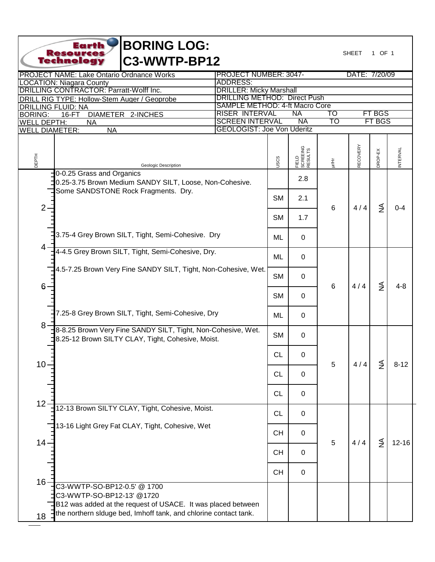|                           | <b>BORING LOG:</b><br>Earth<br><b>Resource:</b><br><b>Technology</b><br>C3-WWTP-BP12                                                                                                         |                                                 |           |                              |          | <b>SHEET</b>  | 1 OF 1        |                |
|---------------------------|----------------------------------------------------------------------------------------------------------------------------------------------------------------------------------------------|-------------------------------------------------|-----------|------------------------------|----------|---------------|---------------|----------------|
|                           |                                                                                                                                                                                              |                                                 |           |                              |          |               |               |                |
|                           | <b>PROJECT NAME: Lake Ontario Ordnance Works</b>                                                                                                                                             | <b>PROJECT NUMBER: 3047-</b><br><b>ADDRESS:</b> |           |                              |          | DATE: 7/20/09 |               |                |
|                           | <b>LOCATION: Niagara County</b><br><b>DRILLING CONTRACTOR: Parratt-Wolff Inc.</b>                                                                                                            | <b>DRILLER: Micky Marshall</b>                  |           |                              |          |               |               |                |
| DRIL                      | RIG TYPE: Hollow-Stem Auger / Geoprobe                                                                                                                                                       | <b>DRILLING METHOD: Direct Push</b>             |           |                              |          |               |               |                |
| <b>DRILLING FLUID: NA</b> |                                                                                                                                                                                              | <b>SAMPLE METHOD: 4-ft Macro Core</b>           |           |                              |          |               |               |                |
| <b>BORING:</b>            | DIAMETER 2-INCHES<br>16-FT                                                                                                                                                                   | <b>RISER INTERVAL</b>                           |           | <b>NA</b>                    | TO       |               | FT BGS        |                |
| <b>WELL DEPTH:</b>        | <b>NA</b>                                                                                                                                                                                    | <b>SCREEN INTERVAL</b>                          |           | <b>NA</b>                    | TO       |               | FT BGS        |                |
| <b>WELL DIAMETER:</b>     | <b>NA</b>                                                                                                                                                                                    | <b>GEOLOGIST: Joe Von Uderitz</b>               |           |                              |          |               |               |                |
| <b>DEPTH</b>              | Geologic Description                                                                                                                                                                         |                                                 | uscs      | FIELD<br>SCREEING<br>RESULTS | <b>H</b> | RECOVERY      | DROP-EX       | <b>NTERVAL</b> |
|                           | 0-0.25 Grass and Organics<br>0.25-3.75 Brown Medium SANDY SILT, Loose, Non-Cohesive.                                                                                                         |                                                 |           | 2.8                          |          |               |               |                |
| 2                         | Some SANDSTONE Rock Fragments. Dry.                                                                                                                                                          |                                                 | <b>SM</b> | 2.1                          | 6        | 4/4           | $\frac{4}{2}$ | $0 - 4$        |
|                           |                                                                                                                                                                                              |                                                 | <b>SM</b> | 1.7                          |          |               |               |                |
| 4                         | 3.75-4 Grey Brown SILT, Tight, Semi-Cohesive. Dry                                                                                                                                            |                                                 | ML        | $\Omega$                     |          |               |               |                |
|                           | 4-4.5 Grey Brown SILT, Tight, Semi-Cohesive, Dry.                                                                                                                                            |                                                 | ML        | $\mathbf 0$                  |          |               |               |                |
|                           | 4.5-7.25 Brown Very Fine SANDY SILT, Tight, Non-Cohesive, Wet.                                                                                                                               |                                                 | <b>SM</b> | 0                            |          |               |               |                |
| 6                         |                                                                                                                                                                                              |                                                 | <b>SM</b> | $\Omega$                     | 6        | 4/4           | $\frac{4}{2}$ | $4 - 8$        |
|                           | 7.25-8 Grey Brown SILT, Tight, Semi-Cohesive, Dry                                                                                                                                            |                                                 | ML        | 0                            |          |               |               |                |
| 8                         | 8-8.25 Brown Very Fine SANDY SILT, Tight, Non-Cohesive, Wet.<br>8.25-12 Brown SILTY CLAY, Tight, Cohesive, Moist.                                                                            |                                                 | <b>SM</b> | 0                            |          |               |               |                |
|                           |                                                                                                                                                                                              |                                                 | <b>CL</b> | 0                            |          |               |               |                |
| $10 -$                    |                                                                                                                                                                                              |                                                 | <b>CL</b> | $\mathbf 0$                  | 5        | 4/4           | $\frac{4}{2}$ | $8 - 12$       |
|                           |                                                                                                                                                                                              |                                                 | <b>CL</b> | $\mathbf 0$                  |          |               |               |                |
| $12 -$                    | 12-13 Brown SILTY CLAY, Tight, Cohesive, Moist.                                                                                                                                              |                                                 | <b>CL</b> | 0                            |          |               |               |                |
|                           | 13-16 Light Grey Fat CLAY, Tight, Cohesive, Wet                                                                                                                                              |                                                 | <b>CH</b> | 0                            |          |               |               |                |
| 14                        |                                                                                                                                                                                              |                                                 | <b>CH</b> | $\mathbf 0$                  | 5        | 4/4           | $\frac{4}{2}$ | $12 - 16$      |
|                           |                                                                                                                                                                                              |                                                 | <b>CH</b> | $\mathbf 0$                  |          |               |               |                |
| 16<br>18                  | C3-WWTP-SO-BP12-0.5' @ 1700<br>C3-WWTP-SO-BP12-13' @1720<br>B12 was added at the request of USACE. It was placed between<br>The northern slduge bed, Imhoff tank, and chlorine contact tank. |                                                 |           |                              |          |               |               |                |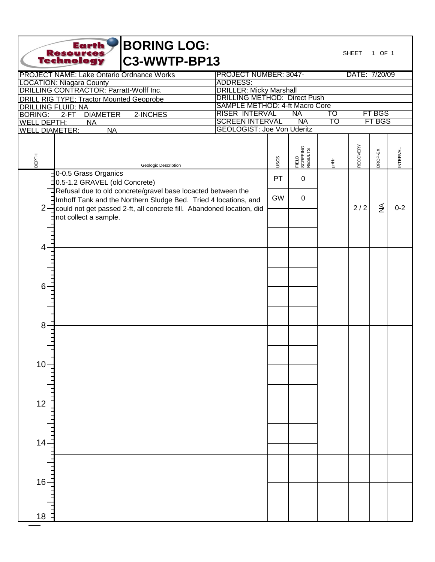|                                             | <b>BORING LOG:</b><br><b>Earth</b><br><b>Resources</b><br><b>Technology</b><br>C3-WWTP-BP13                                                                      |                                                 |                   |                                   |          | <b>SHEET</b>    | 1 OF 1               |                |
|---------------------------------------------|------------------------------------------------------------------------------------------------------------------------------------------------------------------|-------------------------------------------------|-------------------|-----------------------------------|----------|-----------------|----------------------|----------------|
|                                             | <b>PROJECT NAME: Lake Ontario Ordnance Works</b>                                                                                                                 | <b>PROJECT NUMBER: 3047-</b>                    |                   |                                   |          | DATE: 7/20/09   |                      |                |
|                                             | <b>LOCATION: Niagara County</b>                                                                                                                                  | <b>ADDRESS:</b>                                 |                   |                                   |          |                 |                      |                |
|                                             | <b>DRILLING CONTRACTOR: Parratt-Wolff Inc.</b>                                                                                                                   | <b>DRILLER: Micky Marshall</b>                  |                   |                                   |          |                 |                      |                |
|                                             | <b>DRILL RIG TYPE: Tractor Mounted Geoprobe</b>                                                                                                                  | <b>DRILLING METHOD: Direct Push</b>             |                   |                                   |          |                 |                      |                |
| <b>DRILLING FLUID: NA</b>                   |                                                                                                                                                                  | <b>SAMPLE METHOD: 4-ft Macro Core</b>           |                   |                                   |          |                 |                      |                |
| <b>BORING:</b>                              | <b>DIAMETER</b><br>2-INCHES<br>$2-FT$                                                                                                                            | <b>RISER INTERVAL</b><br><b>SCREEN INTERVAL</b> |                   | <b>NA</b><br><b>NA</b>            | TO<br>TO |                 | FT BGS<br>FT BGS     |                |
| <b>WELL DEPTH:</b><br><b>WELL DIAMETER:</b> | <b>NA</b><br><b>NA</b>                                                                                                                                           | <b>GEOLOGIST: Joe Von Uderitz</b>               |                   |                                   |          |                 |                      |                |
| $DEFTH$                                     | Geologic Description<br>$-0.5$ Grass Organics                                                                                                                    |                                                 | USCS<br><b>PT</b> | FIELD<br>SCREEING<br>RESULTS<br>0 | HNH      | <b>RECOVERY</b> | DROP-EX              | <b>NTERVAL</b> |
|                                             | 0.5-1.2 GRAVEL (old Concrete)<br>Refusal due to old concrete/gravel base locacted between the<br>Imhoff Tank and the Northern Sludge Bed. Tried 4 locations, and |                                                 | <b>GW</b>         | $\mathbf 0$                       |          |                 |                      |                |
| $2 -$                                       | could not get passed 2-ft, all concrete fill. Abandoned location, did<br>not collect a sample.                                                                   |                                                 |                   |                                   |          | 2/2             | $\widetilde{\Sigma}$ | $0 - 2$        |
| 4                                           |                                                                                                                                                                  |                                                 |                   |                                   |          |                 |                      |                |
| 6                                           |                                                                                                                                                                  |                                                 |                   |                                   |          |                 |                      |                |
| 8                                           |                                                                                                                                                                  |                                                 |                   |                                   |          |                 |                      |                |
|                                             |                                                                                                                                                                  |                                                 |                   |                                   |          |                 |                      |                |
| 10 <sub>1</sub>                             |                                                                                                                                                                  |                                                 |                   |                                   |          |                 |                      |                |
|                                             |                                                                                                                                                                  |                                                 |                   |                                   |          |                 |                      |                |
| $12 -$                                      |                                                                                                                                                                  |                                                 |                   |                                   |          |                 |                      |                |
| 14                                          |                                                                                                                                                                  |                                                 |                   |                                   |          |                 |                      |                |
|                                             |                                                                                                                                                                  |                                                 |                   |                                   |          |                 |                      |                |
| 16<br>18                                    |                                                                                                                                                                  |                                                 |                   |                                   |          |                 |                      |                |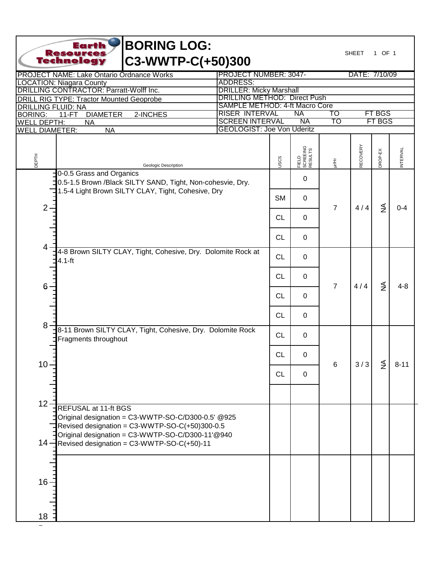| <b>BORING LOG:</b><br><b>Earth</b><br><b>Resources</b><br>C3-WWTP-C(+50)300<br><b>Technology</b>                                                                                                                                         |                                     |           |                              |                | <b>SHEET</b>  | 1 OF 1             |                |
|------------------------------------------------------------------------------------------------------------------------------------------------------------------------------------------------------------------------------------------|-------------------------------------|-----------|------------------------------|----------------|---------------|--------------------|----------------|
| <b>PROJECT NAME: Lake Ontario Ordnance Works</b>                                                                                                                                                                                         | <b>PROJECT NUMBER: 3047-</b>        |           |                              |                | DATE: 7/10/09 |                    |                |
| <b>LOCATION: Niagara County</b>                                                                                                                                                                                                          | <b>ADDRESS:</b>                     |           |                              |                |               |                    |                |
| <b>DRILLING CONTRACTOR: Parratt-Wolff Inc.</b>                                                                                                                                                                                           | <b>DRILLER: Micky Marshall</b>      |           |                              |                |               |                    |                |
| <b>DRILL RIG TYPE: Tractor Mounted Geoprobe</b>                                                                                                                                                                                          | <b>DRILLING METHOD: Direct Push</b> |           |                              |                |               |                    |                |
| <b>DRILLING FLUID: NA</b>                                                                                                                                                                                                                | SAMPLE METHOD: 4-ft Macro Core      |           |                              |                |               |                    |                |
| <b>DIAMETER</b><br>2-INCHES<br><b>BORING:</b><br>$11-FT$                                                                                                                                                                                 | <b>RISER INTERVAL</b>               |           | <b>NA</b>                    | TO             |               | FT BGS             |                |
| <b>WELL DEPTH:</b><br><b>NA</b>                                                                                                                                                                                                          | <b>SCREEN INTERVAL</b>              |           | <b>NA</b>                    | TO             |               | <b>FT BGS</b>      |                |
| <b>NA</b><br><b>WELL DIAMETER:</b>                                                                                                                                                                                                       | <b>GEOLOGIST: Joe Von Uderitz</b>   |           |                              |                |               |                    |                |
| <b>DEPTH</b><br>Geologic Description                                                                                                                                                                                                     |                                     | uscs      | FIELD<br>SCREEING<br>RESULTS | <b>Hyu</b>     | RECOVERY      | DROP-EX            | <b>NTERVAL</b> |
| 0-0.5 Grass and Organics<br>0.5-1.5 Brown /Black SILTY SAND, Tight, Non-cohesvie, Dry.<br>1.5-4 Light Brown SILTY CLAY, Tight, Cohesive, Dry                                                                                             |                                     |           | 0                            |                |               |                    |                |
| $\overline{2}$                                                                                                                                                                                                                           |                                     | <b>SM</b> | 0                            | $\overline{7}$ | 4/4           | $\widetilde{\geq}$ | $0 - 4$        |
|                                                                                                                                                                                                                                          |                                     | <b>CL</b> | 0                            |                |               |                    |                |
| 4                                                                                                                                                                                                                                        |                                     | <b>CL</b> | 0                            |                |               |                    |                |
| 4-8 Brown SILTY CLAY, Tight, Cohesive, Dry. Dolomite Rock at<br>$4.1-ft$                                                                                                                                                                 |                                     | <b>CL</b> | $\Omega$                     |                |               |                    |                |
| 6                                                                                                                                                                                                                                        |                                     | <b>CL</b> | 0                            | $\overline{7}$ | 4/4           | $\frac{4}{2}$      | $4 - 8$        |
|                                                                                                                                                                                                                                          |                                     | <b>CL</b> | 0                            |                |               |                    |                |
|                                                                                                                                                                                                                                          |                                     | <b>CL</b> | 0                            |                |               |                    |                |
| 8<br>8-11 Brown SILTY CLAY, Tight, Cohesive, Dry. Dolomite Rock<br>Fragments throughout                                                                                                                                                  |                                     | <b>CL</b> | 0                            |                |               |                    |                |
| 10                                                                                                                                                                                                                                       |                                     | <b>CL</b> | 0                            | 6              | 3/3           | $\frac{4}{2}$      | $8 - 11$       |
|                                                                                                                                                                                                                                          |                                     | <b>CL</b> | $\mathbf 0$                  |                |               |                    |                |
| $12 -$                                                                                                                                                                                                                                   |                                     |           |                              |                |               |                    |                |
| <b>REFUSAL at 11-ft BGS</b><br>Original designation = C3-WWTP-SO-C/D300-0.5' @925<br>Revised designation = C3-WWTP-SO-C(+50)300-0.5<br>Original designation = C3-WWTP-SO-C/D300-11'@940<br>14 Revised designation = C3-WWTP-SO-C(+50)-11 |                                     |           |                              |                |               |                    |                |
| 16<br>18                                                                                                                                                                                                                                 |                                     |           |                              |                |               |                    |                |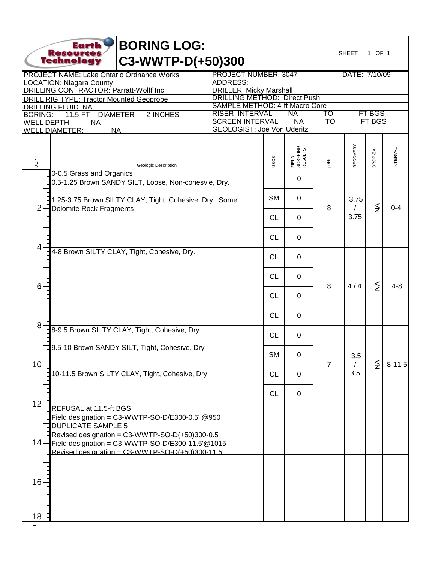| <b>BORING LOG:</b><br>Earth<br><b>Resources</b><br>C3-WWTP-D(+50)300<br>Technology                                                                                                                                                                                                                        |                                       |           |                              |                | SHEET         | 1 OF 1               |                |
|-----------------------------------------------------------------------------------------------------------------------------------------------------------------------------------------------------------------------------------------------------------------------------------------------------------|---------------------------------------|-----------|------------------------------|----------------|---------------|----------------------|----------------|
| <b>PROJECT NAME: Lake Ontario Ordnance Works</b>                                                                                                                                                                                                                                                          | <b>PROJECT NUMBER: 3047-</b>          |           |                              |                | DATE: 7/10/09 |                      |                |
| <b>LOCATION: Niagara County</b>                                                                                                                                                                                                                                                                           | <b>ADDRESS:</b>                       |           |                              |                |               |                      |                |
| <b>DRILLING CONTRACTOR: Parratt-Wolff Inc.</b>                                                                                                                                                                                                                                                            | <b>DRILLER: Micky Marshall</b>        |           |                              |                |               |                      |                |
| <b>RIG TYPE: Tractor Mounted Geoprobe</b><br>DRIL                                                                                                                                                                                                                                                         | <b>DRILLING METHOD: Direct Push</b>   |           |                              |                |               |                      |                |
| <b>DRILLING FLUID: NA</b>                                                                                                                                                                                                                                                                                 | <b>SAMPLE METHOD: 4-ft Macro Core</b> |           |                              |                |               |                      |                |
| <b>DIAMETER</b><br>2-INCHES<br><b>BORING:</b><br>11.5-FT                                                                                                                                                                                                                                                  | <b>RISER INTERVAL</b>                 |           | <b>NA</b>                    | TO             |               | FT BGS               |                |
| <b>WELL DEPTH:</b><br><b>NA</b>                                                                                                                                                                                                                                                                           | <b>SCREEN INTERVAL</b>                |           | <b>NA</b>                    | TO             |               | FT BGS               |                |
| <b>NA</b><br><b>WELL DIAMETER:</b>                                                                                                                                                                                                                                                                        | <b>GEOLOGIST: Joe Von Uderitz</b>     |           |                              |                |               |                      |                |
| <b>DEPTH</b><br>Geologic Description                                                                                                                                                                                                                                                                      |                                       | USCS      | FIELD<br>SCREEING<br>RESULTS | 吉              | RECOVERY      | DROP-EX              | <b>NTERVAL</b> |
| 0-0.5 Grass and Organics<br>0.5-1.25 Brown SANDY SILT, Loose, Non-cohesvie, Dry.                                                                                                                                                                                                                          |                                       |           | 0                            |                |               |                      |                |
| 1.25-3.75 Brown SILTY CLAY, Tight, Cohesive, Dry. Some<br>$2 -$                                                                                                                                                                                                                                           |                                       | <b>SM</b> | 0                            | 8              | 3.75          | $\frac{4}{2}$        | $0 - 4$        |
| <b>Dolomite Rock Fragments</b>                                                                                                                                                                                                                                                                            |                                       | <b>CL</b> | $\mathbf 0$                  |                | 3.75          |                      |                |
|                                                                                                                                                                                                                                                                                                           |                                       | <b>CL</b> | 0                            |                |               |                      |                |
| 4<br>4-8 Brown SILTY CLAY, Tight, Cohesive, Dry.                                                                                                                                                                                                                                                          |                                       | <b>CL</b> | $\Omega$                     |                |               |                      |                |
|                                                                                                                                                                                                                                                                                                           |                                       | <b>CL</b> | $\mathbf 0$                  |                |               |                      |                |
| 6                                                                                                                                                                                                                                                                                                         |                                       | <b>CL</b> | $\Omega$                     | 8              | 4/4           | $\widetilde{\Sigma}$ | $4 - 8$        |
|                                                                                                                                                                                                                                                                                                           |                                       | <b>CL</b> | $\mathbf 0$                  |                |               |                      |                |
| 8<br>8-9.5 Brown SILTY CLAY, Tight, Cohesive, Dry                                                                                                                                                                                                                                                         |                                       | <b>CL</b> | $\Omega$                     |                |               |                      |                |
| 9.5-10 Brown SANDY SILT, Tight, Cohesive, Dry                                                                                                                                                                                                                                                             |                                       | <b>SM</b> | 0                            |                | 3.5           |                      |                |
| $10 -$<br>10-11.5 Brown SILTY CLAY, Tight, Cohesive, Dry                                                                                                                                                                                                                                                  |                                       | <b>CL</b> | $\mathbf 0$                  | $\overline{7}$ | 3.5           | $\frac{4}{2}$        | $8 - 11.5$     |
|                                                                                                                                                                                                                                                                                                           |                                       | <b>CL</b> | $\mathbf 0$                  |                |               |                      |                |
| $12 -$<br>REFUSAL at 11.5-ft BGS<br>Field designation = C3-WWTP-SO-D/E300-0.5' @950<br><b>DUPLICATE SAMPLE 5</b><br>Revised designation = C3-WWTP-SO-D(+50)300-0.5<br>14 - Field designation = C3-WWTP-SO-D/E300-11.5'@1015<br>Revised designation = $C3-WWTP-SO-D(+50)300-11.5$<br>16 <sup>°</sup><br>18 |                                       |           |                              |                |               |                      |                |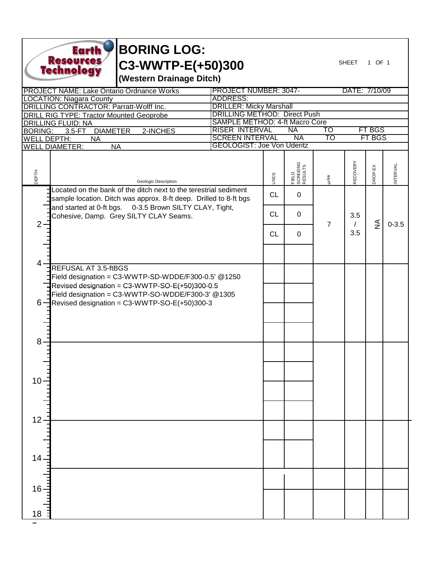|                        | <b>BORING LOG:</b><br>Earth<br><b>Resources</b><br>C3-WWTP-E(+50)300<br><b>Technology</b><br>(Western Drainage Ditch)                                                                                                                                              |                                       |                                             |                                                    |                     | <b>SHEET</b>                  | 1 OF 1                          |                             |
|------------------------|--------------------------------------------------------------------------------------------------------------------------------------------------------------------------------------------------------------------------------------------------------------------|---------------------------------------|---------------------------------------------|----------------------------------------------------|---------------------|-------------------------------|---------------------------------|-----------------------------|
|                        | <b>PROJECT NAME: Lake Ontario Ordnance Works</b>                                                                                                                                                                                                                   | <b>PROJECT NUMBER: 3047-</b>          |                                             |                                                    |                     | DATE: 7/10/09                 |                                 |                             |
|                        | <b>LOCATION: Niagara County</b>                                                                                                                                                                                                                                    | <b>ADDRESS:</b>                       |                                             |                                                    |                     |                               |                                 |                             |
|                        | <b>DRILLING CONTRACTOR: Parratt-Wolff Inc.</b>                                                                                                                                                                                                                     | <b>DRILLER: Micky Marshall</b>        |                                             |                                                    |                     |                               |                                 |                             |
|                        | <b>DRILL RIG TYPE: Tractor Mounted Geoprobe</b>                                                                                                                                                                                                                    | <b>DRILLING METHOD: Direct Push</b>   |                                             |                                                    |                     |                               |                                 |                             |
|                        | <b>DRILLING FLUID: NA</b>                                                                                                                                                                                                                                          | <b>SAMPLE METHOD: 4-ft Macro Core</b> |                                             |                                                    |                     |                               |                                 |                             |
| <b>BORING:</b>         | <b>DIAMETER</b><br>2-INCHES<br>$3.5 - FT$                                                                                                                                                                                                                          | RISER INTERVAL                        |                                             | ΝA                                                 | то                  |                               | <b>FT BGS</b>                   |                             |
| <b>WELL DEPTH:</b>     | <b>NA</b>                                                                                                                                                                                                                                                          | <b>SCREEN INTERVAL</b>                |                                             | <b>NA</b>                                          | TO                  |                               | FT BGS                          |                             |
|                        | <b>WELL DIAMETER:</b><br><b>NA</b>                                                                                                                                                                                                                                 | <b>GEOLOGIST: Joe Von Uderitz</b>     |                                             |                                                    |                     |                               |                                 |                             |
| <b>DEPTH</b><br>2<br>4 | Geologic Description<br>Located on the bank of the ditch next to the terestrial sediment<br>sample location. Ditch was approx. 8-ft deep. Drilled to 8-ft bgs<br>and started at 0-ft bgs. 0-3.5 Brown SILTY CLAY, Tight,<br>Cohesive, Damp. Grey SILTY CLAY Seams. |                                       | uscs<br><b>CL</b><br><b>CL</b><br><b>CL</b> | FIELD<br>SCREEING<br>RESULTS<br>0<br>$\Omega$<br>0 | ŧ<br>$\overline{7}$ | <b>RECOVERY</b><br>3.5<br>3.5 | <b>DROP-EX</b><br>$\frac{4}{2}$ | <b>NTERVAL</b><br>$0 - 3.5$ |
| 6.                     | <b>REFUSAL AT 3.5-ftBGS</b><br>Field designation = C3-WWTP-SD-WDDE/F300-0.5' @1250<br>Revised designation = C3-WWTP-SO-E(+50)300-0.5<br>Field designation = C3-WWTP-SO-WDDE/F300-3' @1305<br>Revised designation = C3-WWTP-SO-E(+50)300-3                          |                                       |                                             |                                                    |                     |                               |                                 |                             |

14

12

10

8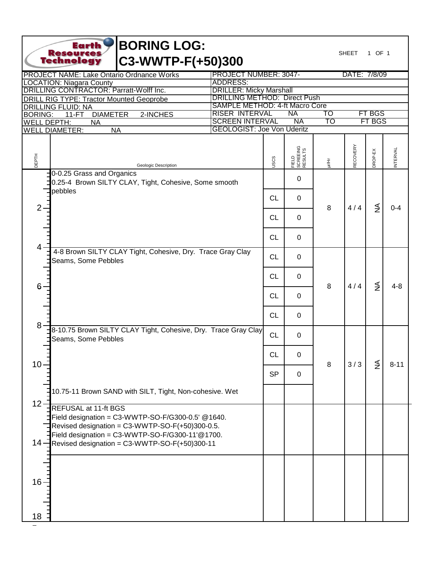| <b>BORING LOG:</b><br>Earth<br><b>Resource:</b><br>C3-WWTP-F(+50)300<br>Technology                                                                                                                          |                                     |           |                              |    | <b>SHEET</b> | 1 OF 1        |                |
|-------------------------------------------------------------------------------------------------------------------------------------------------------------------------------------------------------------|-------------------------------------|-----------|------------------------------|----|--------------|---------------|----------------|
| <b>PROJECT NAME: Lake Ontario Ordnance Works</b>                                                                                                                                                            | <b>PROJECT NUMBER: 3047-</b>        |           |                              |    | DATE: 7/8/09 |               |                |
| <b>LOCATION: Niagara County</b>                                                                                                                                                                             | <b>ADDRESS:</b>                     |           |                              |    |              |               |                |
| <b>DRILLING CONTRACTOR: Parratt-Wolff Inc.</b>                                                                                                                                                              | <b>DRILLER: Micky Marshall</b>      |           |                              |    |              |               |                |
| <b>DRILL RIG TYPE: Tractor Mounted Geoprobe</b>                                                                                                                                                             | <b>DRILLING METHOD: Direct Push</b> |           |                              |    |              |               |                |
| <b>DRILLING FLUID: NA</b>                                                                                                                                                                                   | SAMPL                               |           | E METHOD: 4-ft Macro Core    |    |              |               |                |
| <b>DIAMETER</b><br>2-INCHES<br><b>BORING:</b><br>$11-FT$                                                                                                                                                    | <b>RISER INTERVAL</b>               |           | <b>NA</b>                    | то |              | FT BGS        |                |
| <b>WELL DEPTH:</b><br><b>NA</b>                                                                                                                                                                             | <b>SCREEN INTERVAL</b>              |           | <b>NA</b>                    | TO |              | FT BGS        |                |
| <b>NA</b><br><b>WELL DIAMETER:</b>                                                                                                                                                                          | <b>GEOLOGIST: Joe Von Uderitz</b>   |           |                              |    |              |               |                |
| <b>DEPTH</b><br>Geologic Description                                                                                                                                                                        |                                     | USCS      | FIELD<br>SCREEING<br>RESULTS | ŧ  | RECOVERY     | DROP-EX       | <b>NTERVAL</b> |
| 0-0.25 Grass and Organics<br>0.25-4 Brown SILTY CLAY, Tight, Cohesive, Some smooth<br>pebbles                                                                                                               |                                     |           | 0                            |    |              |               |                |
| $\overline{2}$                                                                                                                                                                                              |                                     | <b>CL</b> | $\Omega$                     | 8  | 4/4          | $\leq$        | $0 - 4$        |
|                                                                                                                                                                                                             |                                     | <b>CL</b> | $\Omega$                     |    |              |               |                |
| 4                                                                                                                                                                                                           |                                     | <b>CL</b> | $\Omega$                     |    |              |               |                |
| 4-8 Brown SILTY CLAY Tight, Cohesive, Dry. Trace Gray Clay<br>Seams, Some Pebbles                                                                                                                           |                                     | <b>CL</b> | $\Omega$                     |    |              |               |                |
|                                                                                                                                                                                                             |                                     | <b>CL</b> | $\Omega$                     |    |              |               |                |
| 6                                                                                                                                                                                                           |                                     | <b>CL</b> | $\Omega$                     | 8  | 4/4          | $\frac{4}{2}$ | $4 - 8$        |
|                                                                                                                                                                                                             |                                     | <b>CL</b> | $\Omega$                     |    |              |               |                |
| $8 -$<br>8-10.75 Brown SILTY CLAY Tight, Cohesive, Dry. Trace Gray Clay                                                                                                                                     |                                     | <b>CL</b> | $\mathbf 0$                  |    |              |               |                |
| Seams, Some Pebbles                                                                                                                                                                                         |                                     | <b>CL</b> | 0                            |    |              |               |                |
| 10                                                                                                                                                                                                          |                                     | <b>SP</b> | $\mathbf 0$                  | 8  | 3/3          | $\frac{4}{2}$ | $8 - 11$       |
| 10.75-11 Brown SAND with SILT, Tight, Non-cohesive. Wet                                                                                                                                                     |                                     |           |                              |    |              |               |                |
| $12 -$<br><b>REFUSAL at 11-ft BGS</b>                                                                                                                                                                       |                                     |           |                              |    |              |               |                |
| Field designation = C3-WWTP-SO-F/G300-0.5' @1640.<br>Revised designation = C3-WWTP-SO-F(+50)300-0.5.<br>Field designation = C3-WWTP-SO-F/G300-11'@1700.<br>14 Revised designation = C3-WWTP-SO-F(+50)300-11 |                                     |           |                              |    |              |               |                |
| 16 <sup>°</sup><br>18                                                                                                                                                                                       |                                     |           |                              |    |              |               |                |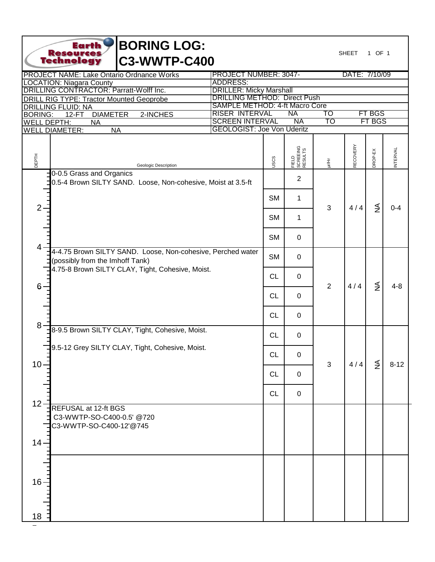| <b>BORING LOG:</b><br><b>Earth</b><br><b>Resource:</b><br><b>C3-WWTP-C400</b><br><b>Technology</b>        |                                       |           |                              |                | <b>SHEET</b>    | 1 OF 1               |                 |
|-----------------------------------------------------------------------------------------------------------|---------------------------------------|-----------|------------------------------|----------------|-----------------|----------------------|-----------------|
| <b>PROJECT NAME: Lake Ontario Ordnance Works</b>                                                          | <b>PROJECT NUMBER: 3047-</b>          |           |                              |                | DATE: 7/10/09   |                      |                 |
| <b>LOCATION: Niagara County</b>                                                                           | <b>ADDRESS:</b>                       |           |                              |                |                 |                      |                 |
| <b>DRILLING CONTRACTOR: Parratt-Wolff Inc.</b>                                                            | <b>DRILLER: Micky Marshall</b>        |           |                              |                |                 |                      |                 |
| <b>RIG TYPE: Tractor Mounted Geoprobe</b><br>DRIL                                                         | <b>DRILLING METHOD: Direct Push</b>   |           |                              |                |                 |                      |                 |
| <b>DRILLING FLUID: NA</b>                                                                                 | <b>SAMPLE METHOD: 4-ft Macro Core</b> |           |                              |                |                 |                      |                 |
| <b>DIAMETER</b><br>2-INCHES<br><b>BORING:</b><br>$12-FT$                                                  | <b>RISER INTERVAL</b>                 |           | <b>NA</b>                    | TO             |                 | FT BGS               |                 |
| <b>WELL DEPTH:</b><br><b>NA</b>                                                                           | <b>SCREEN INTERVAL</b>                |           | <b>NA</b>                    | TO             |                 | FT BGS               |                 |
| <b>NA</b><br><b>WELL DIAMETER:</b>                                                                        | <b>GEOLOGIST: Joe Von Uderitz</b>     |           |                              |                |                 |                      |                 |
|                                                                                                           |                                       |           |                              |                |                 |                      |                 |
| <b>DEPTH</b><br>Geologic Description                                                                      |                                       | USCS      | FIELD<br>SCREEING<br>RESULTS | Ĕ              | <b>RECOVERY</b> | DROP-EX              | <b>INTERVAL</b> |
| 0-0.5 Grass and Organics<br>0.5-4 Brown SILTY SAND. Loose, Non-cohesive, Moist at 3.5-ft                  |                                       |           | 2                            |                |                 |                      |                 |
| $\overline{2}$                                                                                            |                                       | <b>SM</b> | 1                            | 3              | 4/4             | $\widetilde{\Sigma}$ | $0 - 4$         |
|                                                                                                           |                                       | <b>SM</b> | 1                            |                |                 |                      |                 |
| $4 -$                                                                                                     |                                       | <b>SM</b> | 0                            |                |                 |                      |                 |
| 4-4.75 Brown SILTY SAND. Loose, Non-cohesive, Perched water<br>(possibly from the Imhoff Tank)            |                                       | <b>SM</b> | 0                            |                |                 |                      |                 |
| 4.75-8 Brown SILTY CLAY, Tight, Cohesive, Moist.                                                          |                                       | <b>CL</b> | 0                            |                |                 |                      |                 |
| 6                                                                                                         |                                       | <b>CL</b> | 0                            | $\overline{2}$ | 4/4             | $\frac{4}{2}$        | $4 - 8$         |
|                                                                                                           |                                       | <b>CL</b> | 0                            |                |                 |                      |                 |
| 8<br>8-9.5 Brown SILTY CLAY, Tight, Cohesive, Moist.                                                      |                                       | <b>CL</b> | 0                            |                |                 |                      |                 |
| 9.5-12 Grey SILTY CLAY, Tight, Cohesive, Moist.                                                           |                                       | <b>CL</b> | 0                            |                |                 |                      |                 |
| 10                                                                                                        |                                       | <b>CL</b> | 0                            | 3              | 4/4             | $\frac{4}{2}$        | $8 - 12$        |
|                                                                                                           |                                       | <b>CL</b> | $\mathbf 0$                  |                |                 |                      |                 |
| $12 -$<br>REFUSAL at 12-ft BGS<br>C3-WWTP-SO-C400-0.5' @720<br>C3-WWTP-SO-C400-12'@745<br>14 <sub>1</sub> |                                       |           |                              |                |                 |                      |                 |
| 16<br>18                                                                                                  |                                       |           |                              |                |                 |                      |                 |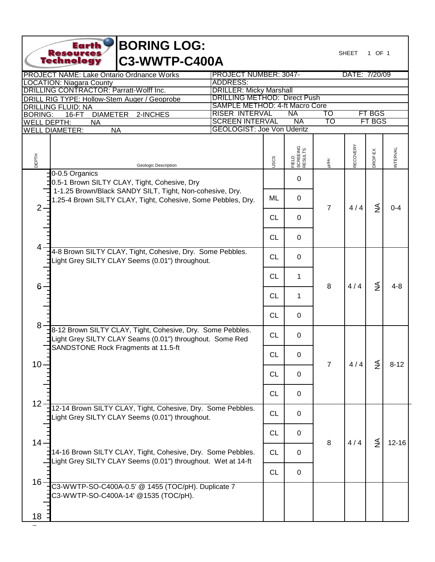| <b>BORING LOG:</b><br>Earth<br><b>Resources</b>                                                                                            |                                                                       |           |                              |                | <b>SHEET</b>  | 1 OF 1        |                |
|--------------------------------------------------------------------------------------------------------------------------------------------|-----------------------------------------------------------------------|-----------|------------------------------|----------------|---------------|---------------|----------------|
| C3-WWTP-C400A<br><b>Technology</b>                                                                                                         |                                                                       |           |                              |                |               |               |                |
| <b>PROJECT NAME: Lake Ontario Ordnance Works</b>                                                                                           | <b>PROJECT NUMBER: 3047-</b><br><b>ADDRESS:</b>                       |           |                              |                | DATE: 7/20/09 |               |                |
| <b>LOCATION: Niagara County</b><br><b>DRILLING CONTRACTOR: Parratt-Wolff Inc.</b>                                                          |                                                                       |           |                              |                |               |               |                |
|                                                                                                                                            | <b>DRILLER: Micky Marshall</b><br><b>DRILLING METHOD: Direct Push</b> |           |                              |                |               |               |                |
| DRILL RIG TYPE: Hollow-Stem Auger / Geoprobe                                                                                               |                                                                       |           |                              |                |               |               |                |
| <b>DRILLING FLUID: NA</b>                                                                                                                  | SAMPLE METHOD: 4-ft Macro Core                                        |           |                              |                |               |               |                |
| DIAMETER 2-INCHES<br><b>BORING:</b><br>16-FT                                                                                               | <b>RISER INTERVAL</b>                                                 |           | <b>NA</b>                    | то             |               | FT BGS        |                |
| <b>WELL DEPTH:</b><br><b>NA</b>                                                                                                            | <b>SCREEN INTERVAL</b>                                                |           | <b>NA</b>                    | TO             |               | FT BGS        |                |
| <b>NA</b><br><b>WELL DIAMETER:</b>                                                                                                         | <b>GEOLOGIST: Joe Von Uderitz</b>                                     |           |                              |                |               |               |                |
| <b>DEPTH</b><br>Geologic Description                                                                                                       |                                                                       | USCS      | FIELD<br>SCREEING<br>RESULTS | Hr/H           | RECOVERY      | DROP-EX       | <b>NTERVAL</b> |
| 0-0.5 Organics<br>0.5-1 Brown SILTY CLAY, Tight, Cohesive, Dry                                                                             |                                                                       |           | 0                            |                |               |               |                |
| 1-1.25 Brown/Black SANDY SILT, Tight, Non-cohesive, Dry.<br>1.25-4 Brown SILTY CLAY, Tight, Cohesive, Some Pebbles, Dry.<br>2 <sup>1</sup> |                                                                       | ML        | 0                            | $\overline{7}$ | 4/4           | $\frac{4}{2}$ | $0 - 4$        |
|                                                                                                                                            |                                                                       | <b>CL</b> | $\Omega$                     |                |               |               |                |
| 4 -                                                                                                                                        |                                                                       | <b>CL</b> | $\mathbf{0}$                 |                |               |               |                |
| 4-8 Brown SILTY CLAY, Tight, Cohesive, Dry. Some Pebbles.<br>Light Grey SILTY CLAY Seems (0.01") throughout.                               |                                                                       | <b>CL</b> | $\mathbf 0$                  |                |               |               |                |
|                                                                                                                                            |                                                                       | <b>CL</b> | 1                            |                |               |               |                |
| 6                                                                                                                                          |                                                                       | <b>CL</b> | $\mathbf{1}$                 | 8              | 4/4           | $\leq$        | $4 - 8$        |
|                                                                                                                                            |                                                                       | <b>CL</b> | $\mathbf{0}$                 |                |               |               |                |
| 8<br>8-12 Brown SILTY CLAY, Tight, Cohesive, Dry. Some Pebbles.<br>Light Grey SILTY CLAY Seams (0.01") throughout. Some Red                |                                                                       | <b>CL</b> | $\mathbf{0}$                 |                |               |               |                |
| SANDSTONE Rock Fragments at 11.5-ft                                                                                                        |                                                                       | CL        | 0                            |                |               |               |                |
| $10 -$                                                                                                                                     |                                                                       | <b>CL</b> | $\mathbf{0}$                 | $\overline{7}$ | 4/4           | $\frac{4}{2}$ | $8 - 12$       |
|                                                                                                                                            |                                                                       | <b>CL</b> | 0                            |                |               |               |                |
| $12 -$<br>12-14 Brown SILTY CLAY, Tight, Cohesive, Dry. Some Pebbles.<br>Light Grey SILTY CLAY Seems (0.01") throughout.                   |                                                                       | <b>CL</b> | $\mathbf{0}$                 |                |               |               |                |
|                                                                                                                                            |                                                                       | <b>CL</b> | 0                            |                |               |               |                |
| $14 -$<br>14-16 Brown SILTY CLAY, Tight, Cohesive, Dry. Some Pebbles.<br>Light Grey SILTY CLAY Seems (0.01") throughout. Wet at 14-ft      |                                                                       | <b>CL</b> | $\mathbf 0$                  | 8              | 4/4           | $\leq$        | $12 - 16$      |
|                                                                                                                                            |                                                                       | <b>CL</b> | $\mathbf{0}$                 |                |               |               |                |
| $16 -$<br>C3-WWTP-SO-C400A-0.5' @ 1455 (TOC/pH). Duplicate 7<br>C3-WWTP-SO-C400A-14' @1535 (TOC/pH).                                       |                                                                       |           |                              |                |               |               |                |
| 18                                                                                                                                         |                                                                       |           |                              |                |               |               |                |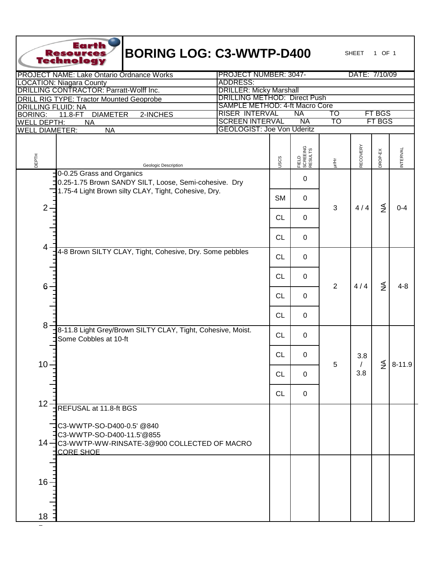| Earth<br><b>BORING LOG: C3-WWTP-D400</b><br><b>Resources</b><br><b>SHEET</b><br>1 OF 1<br><b>Technology</b>                               |                                                             |           |                              |                |                 |                      |                |  |  |  |  |
|-------------------------------------------------------------------------------------------------------------------------------------------|-------------------------------------------------------------|-----------|------------------------------|----------------|-----------------|----------------------|----------------|--|--|--|--|
| <b>PROJECT NAME: Lake Ontario Ordnance Works</b>                                                                                          | <b>PROJECT NUMBER: 3047-</b>                                |           |                              |                | DATE: 7/10/09   |                      |                |  |  |  |  |
| <b>LOCATION: Niagara County</b>                                                                                                           | <b>ADDRESS:</b>                                             |           |                              |                |                 |                      |                |  |  |  |  |
| <b>DRILLING CONTRACTOR: Parratt-Wolff Inc.</b>                                                                                            | <b>DRILLER: Micky Marshall</b>                              |           |                              |                |                 |                      |                |  |  |  |  |
| <b>DRILL RIG TYPE: Tractor Mounted Geoprobe</b>                                                                                           | <b>DRILLING METHOD: Direct Push</b>                         |           |                              |                |                 |                      |                |  |  |  |  |
| <b>DRILLING FLUID: NA</b>                                                                                                                 | <b>SAMPLE METHOD: 4-ft Macro Core</b>                       |           |                              |                |                 |                      |                |  |  |  |  |
| <b>DIAMETER</b><br><b>BORING:</b><br>2-INCHES<br>11.8-FT                                                                                  | <b>RISER INTERVAL</b>                                       |           | <b>NA</b><br><b>NA</b>       | TO<br>TO       |                 | FT BGS<br>FT BGS     |                |  |  |  |  |
| <b>WELL DEPTH:</b><br><b>NA</b><br><b>NA</b>                                                                                              | <b>SCREEN INTERVAL</b><br><b>GEOLOGIST: Joe Von Uderitz</b> |           |                              |                |                 |                      |                |  |  |  |  |
| <b>WELL DIAMETER:</b>                                                                                                                     |                                                             |           |                              |                |                 |                      |                |  |  |  |  |
| <b>DEPTH</b><br>Geologic Description                                                                                                      |                                                             | uscs      | FIELD<br>SCREEING<br>RESULTS | 主<br>互         | <b>RECOVERY</b> | DROP-EX              | <b>NTERVAL</b> |  |  |  |  |
| 0-0.25 Grass and Organics<br>0.25-1.75 Brown SANDY SILT, Loose, Semi-cohesive. Dry                                                        |                                                             |           | 0                            |                |                 |                      |                |  |  |  |  |
| 1.75-4 Light Brown silty CLAY, Tight, Cohesive, Dry.<br>$\overline{2}$                                                                    |                                                             | <b>SM</b> | 0                            | 3              | 4/4             | $\widetilde{\Sigma}$ | $0 - 4$        |  |  |  |  |
|                                                                                                                                           |                                                             | <b>CL</b> | 0                            |                |                 |                      |                |  |  |  |  |
|                                                                                                                                           |                                                             |           | $\mathbf 0$                  |                |                 |                      |                |  |  |  |  |
| $\overline{4}$<br>4-8 Brown SILTY CLAY, Tight, Cohesive, Dry. Some pebbles                                                                |                                                             |           | $\Omega$                     |                |                 |                      |                |  |  |  |  |
|                                                                                                                                           |                                                             |           | 0                            |                |                 |                      |                |  |  |  |  |
| 6                                                                                                                                         |                                                             | <b>CL</b> | 0                            | $\overline{2}$ | 4/4             | $\sum_{i=1}^{n}$     | $4 - 8$        |  |  |  |  |
|                                                                                                                                           |                                                             | <b>CL</b> | $\Omega$                     |                |                 |                      |                |  |  |  |  |
| 8<br>8-11.8 Light Grey/Brown SILTY CLAY, Tight, Cohesive, Moist.<br>Some Cobbles at 10-ft                                                 |                                                             | <b>CL</b> | $\mathbf 0$                  |                |                 |                      |                |  |  |  |  |
|                                                                                                                                           |                                                             | <b>CL</b> | 0                            |                | 3.8             |                      |                |  |  |  |  |
| $10 -$                                                                                                                                    |                                                             | <b>CL</b> | 0                            | 5              | 3.8             | $\frac{4}{2}$        | $8 - 11.9$     |  |  |  |  |
|                                                                                                                                           |                                                             | <b>CL</b> | $\mathbf 0$                  |                |                 |                      |                |  |  |  |  |
| $12 -$<br>REFUSAL at 11.8-ft BGS                                                                                                          |                                                             |           |                              |                |                 |                      |                |  |  |  |  |
| C3-WWTP-SO-D400-0.5' @840<br>C3-WWTP-SO-D400-11.5'@855<br>14 <sup>-</sup> C3-WWTP-WW-RINSATE-3@900 COLLECTED OF MACRO<br><b>CORE SHOE</b> |                                                             |           |                              |                |                 |                      |                |  |  |  |  |
| 16                                                                                                                                        |                                                             |           |                              |                |                 |                      |                |  |  |  |  |
| 18                                                                                                                                        |                                                             |           |                              |                |                 |                      |                |  |  |  |  |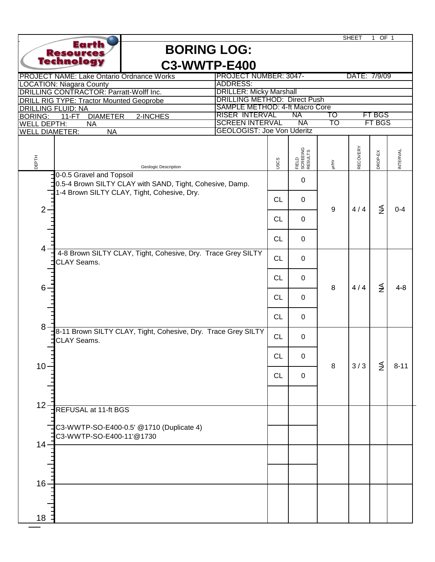|                                                                                    | <b>SHEET</b><br>OF 1<br>$\mathbf{1}$                                                  |                     |                                   |             |                                       |    |                 |               |          |  |
|------------------------------------------------------------------------------------|---------------------------------------------------------------------------------------|---------------------|-----------------------------------|-------------|---------------------------------------|----|-----------------|---------------|----------|--|
| <b>Resources<br/>Technology</b>                                                    | <b>Earth</b>                                                                          | <b>BORING LOG:</b>  |                                   |             |                                       |    |                 |               |          |  |
|                                                                                    |                                                                                       | <b>C3-WWTP-E400</b> |                                   |             |                                       |    |                 |               |          |  |
|                                                                                    | <b>PROJECT NAME: Lake Ontario Ordnance Works</b>                                      |                     | <b>PROJECT NUMBER: 3047-</b>      |             |                                       |    | DATE: 7/9/09    |               |          |  |
| <b>LOCATION: Niagara County</b>                                                    |                                                                                       | <b>ADDRESS:</b>     |                                   |             |                                       |    |                 |               |          |  |
|                                                                                    | <b>DRILLING CONTRACTOR: Parratt-Wolff Inc.</b>                                        |                     | <b>DRILLER: Micky Marshall</b>    |             | <b>DRILLING METHOD: Direct Push</b>   |    |                 |               |          |  |
| <b>DRILLING FLUID: NA</b>                                                          | <b>DRILL RIG TYPE: Tractor Mounted Geoprobe</b>                                       |                     |                                   |             | <b>SAMPLE METHOD: 4-ft Macro Core</b> |    |                 |               |          |  |
| <b>BORING:</b><br>$11-FT$                                                          | <b>DIAMETER</b><br>2-INCHES                                                           |                     | <b>RISER INTERVAL</b>             |             | NA                                    | TO |                 | FT BGS        |          |  |
| <b>WELL DEPTH:</b>                                                                 | <b>NA</b>                                                                             |                     | <b>SCREEN INTERVAL</b>            |             | <b>NA</b>                             | TO |                 | FT BGS        |          |  |
| <b>WELL DIAMETER:</b>                                                              | <b>NA</b>                                                                             |                     | <b>GEOLOGIST: Joe Von Uderitz</b> |             |                                       |    |                 |               |          |  |
| DEPTH                                                                              | Geologic Description                                                                  |                     |                                   | uscs        | FIELD<br>SCREEING<br>RESULTS          | 专  | <b>RECOVERY</b> | DROP-EX       | NTERVAL  |  |
|                                                                                    | 0-0.5 Gravel and Topsoil<br>10.5-4 Brown SILTY CLAY with SAND, Tight, Cohesive, Damp. |                     |                                   |             | 0                                     |    |                 |               |          |  |
|                                                                                    | 1-4 Brown SILTY CLAY, Tight, Cohesive, Dry.<br>$\overline{2}$                         |                     |                                   | <b>CL</b>   | $\mathbf 0$                           | 9  | 4/4             | $\frac{4}{2}$ | $0 - 4$  |  |
|                                                                                    |                                                                                       |                     |                                   |             | 0                                     |    |                 |               |          |  |
| 4                                                                                  |                                                                                       |                     |                                   |             |                                       |    |                 |               |          |  |
| 4-8 Brown SILTY CLAY, Tight, Cohesive, Dry. Trace Grey SILTY<br><b>CLAY Seams.</b> |                                                                                       |                     | <b>CL</b>                         | $\mathbf 0$ |                                       |    |                 |               |          |  |
|                                                                                    |                                                                                       |                     |                                   | <b>CL</b>   | $\mathbf 0$                           | 8  | 4/4             | $\frac{4}{2}$ | $4 - 8$  |  |
| 6                                                                                  |                                                                                       |                     |                                   | <b>CL</b>   | $\Omega$                              |    |                 |               |          |  |
|                                                                                    |                                                                                       |                     |                                   | <b>CL</b>   | $\mathbf 0$                           |    |                 |               |          |  |
| 8<br>CLAY Seams.                                                                   | 8-11 Brown SILTY CLAY, Tight, Cohesive, Dry. Trace Grey SILTY                         |                     |                                   | <b>CL</b>   | $\mathbf 0$                           |    |                 |               |          |  |
|                                                                                    |                                                                                       |                     |                                   | CL          | 0                                     |    |                 |               |          |  |
| 10                                                                                 |                                                                                       |                     |                                   | <b>CL</b>   | $\mathbf 0$                           | 8  | 3/3             | $\frac{4}{2}$ | $8 - 11$ |  |
|                                                                                    |                                                                                       |                     |                                   |             |                                       |    |                 |               |          |  |
| $12 -$                                                                             | <b>REFUSAL at 11-ft BGS</b>                                                           |                     |                                   |             |                                       |    |                 |               |          |  |
|                                                                                    | C3-WWTP-SO-E400-0.5' @1710 (Duplicate 4)<br>C3-WWTP-SO-E400-11'@1730                  |                     |                                   |             |                                       |    |                 |               |          |  |
| 14                                                                                 |                                                                                       |                     |                                   |             |                                       |    |                 |               |          |  |
|                                                                                    |                                                                                       |                     |                                   |             |                                       |    |                 |               |          |  |
| 16                                                                                 |                                                                                       |                     |                                   |             |                                       |    |                 |               |          |  |
| 18                                                                                 |                                                                                       |                     |                                   |             |                                       |    |                 |               |          |  |
|                                                                                    |                                                                                       |                     |                                   |             |                                       |    |                 |               |          |  |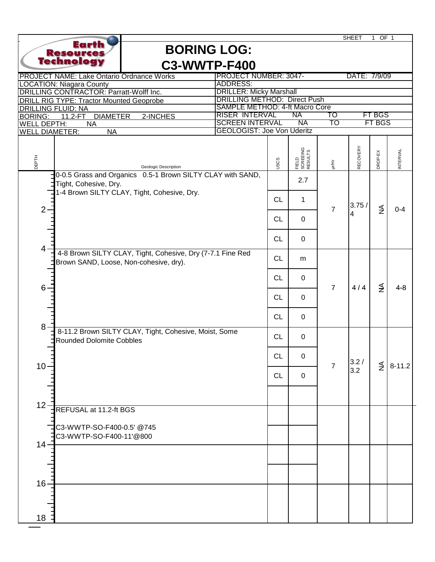|                                                                                                      | <b>SHEET</b><br>OF 1<br>$\mathbf{1}$                       |                                                             |           |                              |                |                 |               |                 |  |  |
|------------------------------------------------------------------------------------------------------|------------------------------------------------------------|-------------------------------------------------------------|-----------|------------------------------|----------------|-----------------|---------------|-----------------|--|--|
| <b>Earth</b><br><b>Resources</b><br>Technology                                                       | <b>BORING LOG:</b>                                         |                                                             |           |                              |                |                 |               |                 |  |  |
|                                                                                                      | <b>C3-WWTP-F400</b>                                        |                                                             |           |                              |                |                 |               |                 |  |  |
| <b>PROJECT NAME: Lake Ontario Ordnance Works</b>                                                     |                                                            | <b>PROJECT NUMBER: 3047-</b><br><b>ADDRESS:</b>             |           |                              |                | DATE: 7/9/09    |               |                 |  |  |
| <b>LOCATION: Niagara County</b><br><b>DRILLING CONTRACTOR: Parratt-Wolff Inc.</b>                    |                                                            | <b>DRILLER: Micky Marshall</b>                              |           |                              |                |                 |               |                 |  |  |
| <b>DRILL RIG TYPE: Tractor Mounted Geoprobe</b>                                                      |                                                            | <b>DRILLING METHOD: Direct Push</b>                         |           |                              |                |                 |               |                 |  |  |
| <b>DRILLING FLUID: NA</b>                                                                            |                                                            | <b>SAMPLE METHOD: 4-ft Macro Core</b>                       |           |                              |                |                 |               |                 |  |  |
| <b>DIAMETER</b><br><b>BORING:</b><br>$11.2-FT$                                                       | 2-INCHES                                                   | <b>RISER INTERVAL</b>                                       |           | <b>NA</b>                    | TO             |                 | FT BGS        |                 |  |  |
| <b>WELL DEPTH:</b><br><b>NA</b>                                                                      |                                                            | <b>SCREEN INTERVAL</b><br><b>GEOLOGIST: Joe Von Uderitz</b> |           | <b>NA</b>                    | TO             |                 | <b>FT BGS</b> |                 |  |  |
| <b>NA</b><br><b>WELL DIAMETER:</b>                                                                   |                                                            |                                                             |           |                              |                |                 |               |                 |  |  |
| $DEFTH$                                                                                              | Geologic Description                                       |                                                             | uscs      | FIELD<br>SCREEING<br>RESULTS | 吉              | <b>RECOVERY</b> | DROP-EX       | <b>INTERVAL</b> |  |  |
| Tight, Cohesive, Dry.                                                                                | 0-0.5 Grass and Organics 0.5-1 Brown SILTY CLAY with SAND, |                                                             |           | 2.7                          |                |                 |               |                 |  |  |
|                                                                                                      | 1-4 Brown SILTY CLAY, Tight, Cohesive, Dry.<br>2           |                                                             |           |                              | $\overline{7}$ | 3.75/           | $\frac{4}{2}$ | $0 - 4$         |  |  |
|                                                                                                      |                                                            | $\mathbf 0$                                                 |           | 4                            |                |                 |               |                 |  |  |
| 4                                                                                                    |                                                            |                                                             | <b>CL</b> | 0                            |                |                 |               |                 |  |  |
| 4-8 Brown SILTY CLAY, Tight, Cohesive, Dry (7-7.1 Fine Red<br>Brown SAND, Loose, Non-cohesive, dry). |                                                            |                                                             |           | m                            |                |                 |               |                 |  |  |
| 6                                                                                                    |                                                            |                                                             | <b>CL</b> | $\mathbf 0$                  | $\overline{7}$ | 4/4             | $\frac{4}{2}$ | $4 - 8$         |  |  |
|                                                                                                      |                                                            |                                                             | <b>CL</b> | 0                            |                |                 |               |                 |  |  |
| 8                                                                                                    |                                                            |                                                             | <b>CL</b> | $\mathbf 0$                  |                |                 |               |                 |  |  |
| <b>Rounded Dolomite Cobbles</b>                                                                      | 8-11.2 Brown SILTY CLAY, Tight, Cohesive, Moist, Some      |                                                             | <b>CL</b> | $\mathbf 0$                  |                |                 |               |                 |  |  |
| 10                                                                                                   |                                                            |                                                             | <b>CL</b> | 0                            | $\overline{7}$ | 3.2/            | $\frac{4}{5}$ | $8 - 11.2$      |  |  |
|                                                                                                      |                                                            |                                                             | <b>CL</b> | $\mathbf 0$                  |                | 3.2             |               |                 |  |  |
| $12 -$                                                                                               |                                                            |                                                             |           |                              |                |                 |               |                 |  |  |
| REFUSAL at 11.2-ft BGS                                                                               |                                                            |                                                             |           |                              |                |                 |               |                 |  |  |
| C3-WWTP-SO-F400-0.5' @745<br>C3-WWTP-SO-F400-11'@800<br>$14 -$                                       |                                                            |                                                             |           |                              |                |                 |               |                 |  |  |
|                                                                                                      |                                                            |                                                             |           |                              |                |                 |               |                 |  |  |
| 16                                                                                                   |                                                            |                                                             |           |                              |                |                 |               |                 |  |  |
|                                                                                                      |                                                            |                                                             |           |                              |                |                 |               |                 |  |  |
| 18                                                                                                   |                                                            |                                                             |           |                              |                |                 |               |                 |  |  |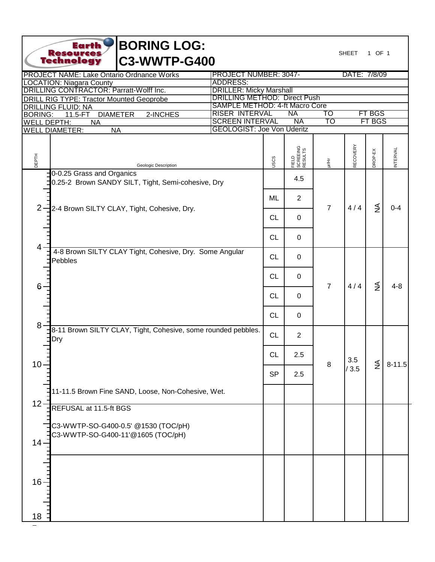|                                 | <b>BORING LOG:</b><br><b>Earth</b><br><b>Resources</b>                          |                                                   |             |                              |                | SHEET           | 1 OF 1           |                |
|---------------------------------|---------------------------------------------------------------------------------|---------------------------------------------------|-------------|------------------------------|----------------|-----------------|------------------|----------------|
|                                 | <b>C3-WWTP-G400</b><br><b>Technology</b>                                        |                                                   |             |                              |                |                 |                  |                |
|                                 | <b>PROJECT NAME: Lake Ontario Ordnance Works</b>                                | <b>PROJECT NUMBER: 3047-</b>                      |             |                              |                | DATE: 7/8/09    |                  |                |
| <b>LOCATION: Niagara County</b> | <b>DRILLING CONTRACTOR: Parratt-Wolff Inc.</b>                                  | <b>ADDRESS:</b><br><b>DRILLER: Micky Marshall</b> |             |                              |                |                 |                  |                |
| <b>DRILL</b>                    | RIG TYPE: Tractor Mounted Geoprobe                                              | <b>DRILLING METHOD: Direct Push</b>               |             |                              |                |                 |                  |                |
| <b>DRILLING FLUID: NA</b>       |                                                                                 | <b>SAMPLE METHOD: 4-ft Macro Core</b>             |             |                              |                |                 |                  |                |
| <b>BORING:</b>                  | <b>DIAMETER</b><br>2-INCHES<br>11.5-FT                                          | <b>RISER INTERVAL</b>                             |             | <b>NA</b>                    | то             |                 | FT BGS           |                |
| <b>WELL DEPTH:</b>              | <b>NA</b>                                                                       | <b>SCREEN INTERVAL</b>                            |             | <b>NA</b>                    | TO             |                 | FT BGS           |                |
| <b>WELL DIAMETER:</b>           | <b>NA</b>                                                                       | <b>GEOLOGIST: Joe Von Uderitz</b>                 |             |                              |                |                 |                  |                |
| <b>DEPTH</b>                    | Geologic Description                                                            |                                                   | uscs        | FIELD<br>SCREEING<br>RESULTS | ŧ              | <b>RECOVERY</b> | DROP-EX          | <b>NTERVAL</b> |
|                                 | 0-0.25 Grass and Organics<br>0.25-2 Brown SANDY SILT, Tight, Semi-cohesive, Dry |                                                   |             | 4.5                          |                |                 |                  |                |
|                                 |                                                                                 |                                                   | ML          | 2                            |                |                 |                  |                |
|                                 | 2-2-4 Brown SILTY CLAY, Tight, Cohesive, Dry.                                   | <b>CL</b>                                         | 0           | $\overline{7}$               | 4/4            | $\frac{4}{2}$   | $0 - 4$          |                |
|                                 |                                                                                 | <b>CL</b>                                         | $\mathbf 0$ |                              |                |                 |                  |                |
| 4                               | 4-8 Brown SILTY CLAY Tight, Cohesive, Dry. Some Angular<br>Pebbles              |                                                   |             |                              |                |                 |                  |                |
|                                 |                                                                                 |                                                   |             | 0                            |                |                 |                  |                |
| 6                               |                                                                                 |                                                   | <b>CL</b>   | 0                            | $\overline{7}$ | 4/4             | $\sum_{i=1}^{n}$ | $4 - 8$        |
|                                 |                                                                                 |                                                   | <b>CL</b>   | $\mathbf 0$                  |                |                 |                  |                |
| 8<br>Dry                        | 8-11 Brown SILTY CLAY, Tight, Cohesive, some rounded pebbles.                   |                                                   | <b>CL</b>   | $\overline{2}$               |                |                 |                  |                |
|                                 |                                                                                 |                                                   | CL          | 2.5                          |                | 3.5             |                  |                |
| $10 -$                          |                                                                                 |                                                   | <b>SP</b>   | 2.5                          | 8              | /3.5            | $\frac{4}{2}$    | $8 - 11.5$     |
|                                 | 11-11.5 Brown Fine SAND, Loose, Non-Cohesive, Wet.                              |                                                   |             |                              |                |                 |                  |                |
| $12 -$                          | REFUSAL at 11.5-ft BGS                                                          |                                                   |             |                              |                |                 |                  |                |
| $14 -$                          | C3-WWTP-SO-G400-0.5' @1530 (TOC/pH)<br>C3-WWTP-SO-G400-11'@1605 (TOC/pH)        |                                                   |             |                              |                |                 |                  |                |
|                                 |                                                                                 |                                                   |             |                              |                |                 |                  |                |
| 16 <sup>°</sup>                 |                                                                                 |                                                   |             |                              |                |                 |                  |                |
|                                 |                                                                                 |                                                   |             |                              |                |                 |                  |                |
| 18                              |                                                                                 |                                                   |             |                              |                |                 |                  |                |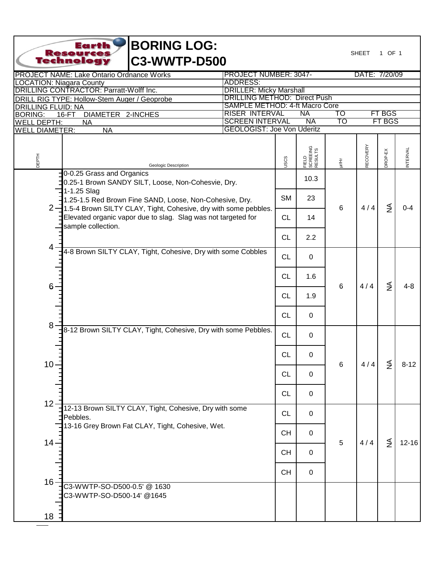| Technology                                                                | Earth<br><b>Resources</b>                                    | <b>BORING LOG:</b><br><b>C3-WWTP-D500</b>                      |                                                                                                                                  |                                                                       |             |                              |            | SHEET           | 1 OF 1               |                |
|---------------------------------------------------------------------------|--------------------------------------------------------------|----------------------------------------------------------------|----------------------------------------------------------------------------------------------------------------------------------|-----------------------------------------------------------------------|-------------|------------------------------|------------|-----------------|----------------------|----------------|
| <b>PROJECT NAME: Lake Ontario Ordnance Works</b>                          |                                                              |                                                                |                                                                                                                                  | <b>PROJECT NUMBER: 3047-</b>                                          |             |                              |            | DATE: 7/20/09   |                      |                |
| <b>LOCATION: Niagara County</b>                                           |                                                              |                                                                |                                                                                                                                  | <b>ADDRESS:</b>                                                       |             |                              |            |                 |                      |                |
| <b>DRILLING CONTRACTOR: Parratt-Wolff Inc.</b>                            |                                                              |                                                                |                                                                                                                                  | <b>DRILLER: Micky Marshall</b><br><b>DRILLING METHOD: Direct Push</b> |             |                              |            |                 |                      |                |
| DRILL RIG TYPE: Hollow-Stem Auger / Geoprobe<br><b>DRILLING FLUID: NA</b> |                                                              |                                                                |                                                                                                                                  | <b>SAMPLE METHOD: 4-ft Macro Core</b>                                 |             |                              |            |                 |                      |                |
| <b>BORING:</b><br>16-FT                                                   | DIAMETER 2-INCHES                                            |                                                                |                                                                                                                                  | <b>RISER INTERVAL</b>                                                 |             | <b>NA</b>                    | TO         |                 | FT BGS               |                |
| <b>WELL DEPTH:</b>                                                        | <b>NA</b>                                                    |                                                                |                                                                                                                                  | <b>SCREEN INTERVAL</b>                                                |             | <b>NA</b>                    | TO         |                 | FT BGS               |                |
| <b>WELL DIAMETER:</b>                                                     | <b>NA</b>                                                    |                                                                |                                                                                                                                  | <b>GEOLOGIST: Joe Von Uderitz</b>                                     |             |                              |            |                 |                      |                |
| DEPTH                                                                     |                                                              | Geologic Description                                           |                                                                                                                                  |                                                                       | uscs        | FIELD<br>SCREEING<br>RESULTS | 古<br>三     | <b>RECOVERY</b> | DROP-EX              | <b>NTERVAL</b> |
|                                                                           | 0-0.25 Grass and Organics<br>1-1.25 Slag                     | 0.25-1 Brown SANDY SILT, Loose, Non-Cohesvie, Dry.             |                                                                                                                                  |                                                                       |             | 10.3                         |            |                 |                      |                |
| $2 -$                                                                     |                                                              | 1.25-1.5 Red Brown Fine SAND, Loose, Non-Cohesive, Dry.        |                                                                                                                                  |                                                                       | <b>SM</b>   | 23                           | 6          | 4/4             | ₹                    | $0 - 4$        |
|                                                                           | sample collection.                                           |                                                                | 1.5-4 Brown SILTY CLAY, Tight, Cohesive, dry with some pebbles.<br>Elevated organic vapor due to slag. Slag was not targeted for |                                                                       |             |                              |            |                 |                      |                |
| 4                                                                         |                                                              |                                                                |                                                                                                                                  |                                                                       | <b>CL</b>   | 2.2                          |            |                 |                      |                |
|                                                                           | 4-8 Brown SILTY CLAY, Tight, Cohesive, Dry with some Cobbles |                                                                |                                                                                                                                  | <b>CL</b>                                                             | $\mathbf 0$ |                              |            |                 |                      |                |
|                                                                           |                                                              |                                                                |                                                                                                                                  |                                                                       | <b>CL</b>   | 1.6                          | 6          | 4/4             | $\widetilde{\Sigma}$ | $4 - 8$        |
| 6                                                                         |                                                              |                                                                |                                                                                                                                  |                                                                       | <b>CL</b>   | 1.9                          |            |                 |                      |                |
|                                                                           |                                                              |                                                                |                                                                                                                                  |                                                                       | <b>CL</b>   | $\Omega$                     |            |                 |                      |                |
| 8                                                                         |                                                              | 8-12 Brown SILTY CLAY, Tight, Cohesive, Dry with some Pebbles. |                                                                                                                                  |                                                                       | <b>CL</b>   | $\mathbf 0$                  |            |                 |                      |                |
|                                                                           |                                                              |                                                                |                                                                                                                                  |                                                                       | <b>CL</b>   | $\mathbf 0$                  |            |                 |                      |                |
| $10 -$                                                                    |                                                              |                                                                |                                                                                                                                  |                                                                       | <b>CL</b>   | 0                            | 6          | 4/4             | $\sum_{i=1}^{n}$     | $8 - 12$       |
|                                                                           |                                                              |                                                                |                                                                                                                                  |                                                                       | <b>CL</b>   | $\mathbf 0$                  |            |                 |                      |                |
| $12 -$                                                                    | Pebbles.                                                     | 12-13 Brown SILTY CLAY, Tight, Cohesive, Dry with some         |                                                                                                                                  |                                                                       | <b>CL</b>   | $\mathbf 0$                  |            |                 |                      |                |
|                                                                           |                                                              | 13-16 Grey Brown Fat CLAY, Tight, Cohesive, Wet.               |                                                                                                                                  |                                                                       | <b>CH</b>   | 0                            |            |                 |                      |                |
| 14                                                                        |                                                              |                                                                |                                                                                                                                  |                                                                       | <b>CH</b>   | 0                            | $\sqrt{5}$ | 4/4             | $\frac{4}{2}$        | $12 - 16$      |
|                                                                           |                                                              |                                                                |                                                                                                                                  |                                                                       | <b>CH</b>   | $\mathbf 0$                  |            |                 |                      |                |
| 16 <sup>°</sup>                                                           | C3-WWTP-SO-D500-0.5' @ 1630<br>C3-WWTP-SO-D500-14' @1645     |                                                                |                                                                                                                                  |                                                                       |             |                              |            |                 |                      |                |
| 18                                                                        |                                                              |                                                                |                                                                                                                                  |                                                                       |             |                              |            |                 |                      |                |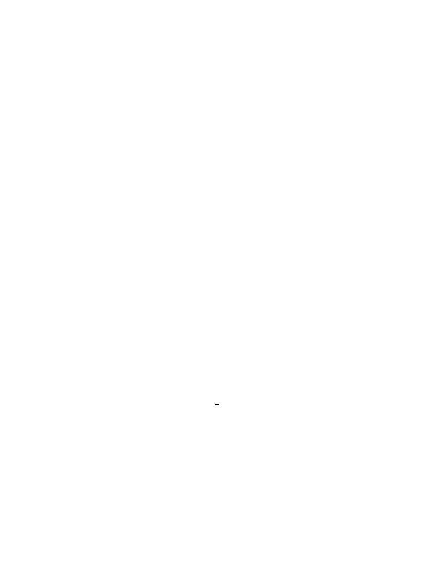$\overline{\phantom{0}}$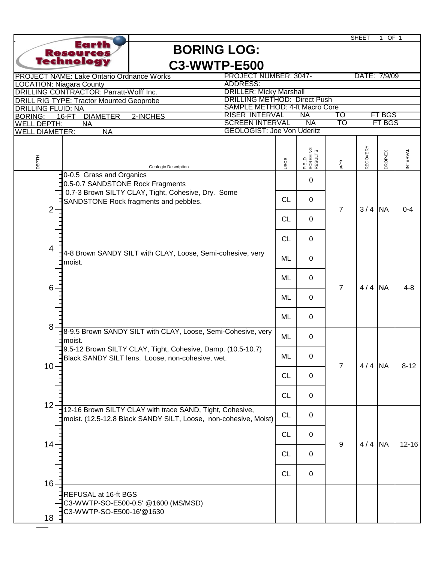|                                 |                                                                                             |                                                                              |           |                              |                | <b>SHEET</b>    | $1$ OF $1$    |                 |
|---------------------------------|---------------------------------------------------------------------------------------------|------------------------------------------------------------------------------|-----------|------------------------------|----------------|-----------------|---------------|-----------------|
|                                 | Earth<br><b>BORING LOG:</b><br><b>Resources</b>                                             |                                                                              |           |                              |                |                 |               |                 |
|                                 | <b>Technology</b><br><b>C3-WWTP-E500</b>                                                    |                                                                              |           |                              |                |                 |               |                 |
|                                 | <b>PROJECT NAME: Lake Ontario Ordnance Works</b>                                            | <b>PROJECT NUMBER: 3047-</b>                                                 |           |                              |                | DATE: 7/9/09    |               |                 |
| <b>LOCATION: Niagara County</b> |                                                                                             | <b>ADDRESS:</b>                                                              |           |                              |                |                 |               |                 |
|                                 | <b>DRILLING CONTRACTOR: Parratt-Wolff Inc.</b>                                              | <b>DRILLER: Micky Marshall</b>                                               |           |                              |                |                 |               |                 |
| <b>DRILLING FLUID: NA</b>       | <b>DRILL RIG TYPE: Tractor Mounted Geoprobe</b>                                             | <b>DRILLING METHOD: Direct Push</b><br><b>SAMPLE METHOD: 4-ft Macro Core</b> |           |                              |                |                 |               |                 |
| <b>BORING:</b>                  | <b>DIAMETER</b><br>2-INCHES<br>16-FT                                                        | <b>RISER INTERVAL</b>                                                        |           | <b>NA</b>                    | TO             |                 | FT BGS        |                 |
| <b>WELL DEPTH:</b>              | <b>NA</b>                                                                                   | <b>SCREEN INTERVAL</b>                                                       |           | <b>NA</b>                    | TO             |                 | <b>FT BGS</b> |                 |
| <b>WELL DIAMETER:</b>           | <b>NA</b>                                                                                   | <b>GEOLOGIST: Joe Von Uderitz</b>                                            |           |                              |                |                 |               |                 |
| DEPTH                           | Geologic Description                                                                        |                                                                              | uscs      | FIELD<br>SCREEING<br>RESULTS | 专              | <b>RECOVERY</b> | DROP-EX       | <b>INTERVAL</b> |
|                                 | 0-0.5 Grass and Organics<br>10.5-0.7 SANDSTONE Rock Fragments                               |                                                                              |           | 0                            |                |                 |               |                 |
|                                 | 0.7-3 Brown SILTY CLAY, Tight, Cohesive, Dry. Some<br>SANDSTONE Rock fragments and pebbles. |                                                                              | <b>CL</b> | 0                            |                |                 |               |                 |
| $2 -$                           |                                                                                             | <b>CL</b>                                                                    | 0         | $\overline{7}$               | $3/4$ NA       |                 | $0 - 4$       |                 |
|                                 |                                                                                             |                                                                              | <b>CL</b> | 0                            |                |                 |               |                 |
| 4                               | 4-8 Brown SANDY SILT with CLAY, Loose, Semi-cohesive, very<br>moist.                        |                                                                              | ML        | $\mathbf 0$                  |                |                 |               |                 |
|                                 |                                                                                             |                                                                              | ML        | 0                            |                |                 |               |                 |
| 6                               |                                                                                             |                                                                              | <b>ML</b> | $\mathbf{0}$                 | $\overline{7}$ | 4/4             | <b>NA</b>     | $4 - 8$         |
|                                 |                                                                                             |                                                                              | ML        | $\mathbf 0$                  |                |                 |               |                 |
| 8                               | 8-9.5 Brown SANDY SILT with CLAY, Loose, Semi-Cohesive, very                                |                                                                              | <b>ML</b> | $\mathbf 0$                  |                |                 |               |                 |
|                                 | moist.<br>9.5-12 Brown SILTY CLAY, Tight, Cohesive, Damp. (10.5-10.7)                       |                                                                              | ML        | 0                            |                |                 |               |                 |
| $10 -$                          | Black SANDY SILT lens. Loose, non-cohesive, wet.                                            |                                                                              |           |                              | $\overline{7}$ | $4/4$ NA        |               | $8 - 12$        |
|                                 |                                                                                             |                                                                              | <b>CL</b> | 0                            |                |                 |               |                 |
| $12 -$                          | 12-16 Brown SILTY CLAY with trace SAND, Tight, Cohesive,                                    |                                                                              | <b>CL</b> | 0                            |                |                 |               |                 |
|                                 | moist. (12.5-12.8 Black SANDY SILT, Loose, non-cohesive, Moist)                             |                                                                              | <b>CL</b> | $\mathbf 0$                  |                |                 |               |                 |
| 14                              |                                                                                             |                                                                              | <b>CL</b> | 0                            | 9              | $4/4$ NA        |               | $12 - 16$       |
|                                 |                                                                                             |                                                                              | <b>CL</b> | 0                            |                |                 |               |                 |
| $16 -$                          |                                                                                             |                                                                              | <b>CL</b> | $\mathbf 0$                  |                |                 |               |                 |
| 18                              | REFUSAL at 16-ft BGS<br>C3-WWTP-SO-E500-0.5' @1600 (MS/MSD)<br>C3-WWTP-SO-E500-16'@1630     |                                                                              |           |                              |                |                 |               |                 |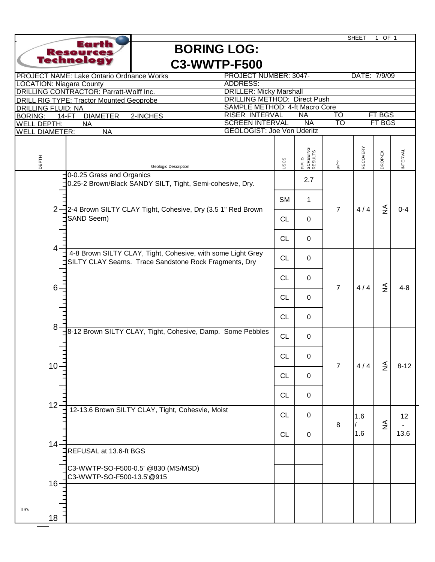|                                                                              |                                                                                                                      |                                                                              |           |                              |                | <b>SHEET</b>    | OF 1<br>$\mathbf{1}$ |                |
|------------------------------------------------------------------------------|----------------------------------------------------------------------------------------------------------------------|------------------------------------------------------------------------------|-----------|------------------------------|----------------|-----------------|----------------------|----------------|
| Earth<br><b>Resources</b>                                                    | <b>BORING LOG:</b>                                                                                                   |                                                                              |           |                              |                |                 |                      |                |
| <b>Technology</b>                                                            | <b>C3-WWTP-F500</b>                                                                                                  |                                                                              |           |                              |                |                 |                      |                |
| <b>PROJECT NAME: Lake Ontario Ordnance Works</b>                             |                                                                                                                      | <b>PROJECT NUMBER: 3047-</b>                                                 |           |                              |                | DATE: 7/9/09    |                      |                |
| <b>LOCATION: Niagara County</b>                                              |                                                                                                                      | <b>ADDRESS:</b>                                                              |           |                              |                |                 |                      |                |
| <b>DRILLING CONTRACTOR: Parratt-Wolff Inc.</b>                               |                                                                                                                      | <b>DRILLER: Micky Marshall</b>                                               |           |                              |                |                 |                      |                |
| <b>DRILL RIG TYPE: Tractor Mounted Geoprobe</b><br><b>DRILLING FLUID: NA</b> |                                                                                                                      | <b>DRILLING METHOD: Direct Push</b><br><b>SAMPLE METHOD: 4-ft Macro Core</b> |           |                              |                |                 |                      |                |
| <b>DIAMETER</b><br><b>BORING:</b><br>14-FT                                   | 2-INCHES                                                                                                             | <b>RISER INTERVAL</b>                                                        |           | <b>NA</b>                    | TO             |                 | FT BGS               |                |
| <b>WELL DEPTH:</b><br><b>NA</b>                                              |                                                                                                                      | <b>SCREEN INTERVAL</b>                                                       |           | <b>NA</b>                    | TO             |                 | FT BGS               |                |
| <b>WELL DIAMETER:</b><br><b>NA</b>                                           |                                                                                                                      | <b>GEOLOGIST: Joe Von Uderitz</b>                                            |           |                              |                |                 |                      |                |
|                                                                              |                                                                                                                      |                                                                              |           |                              |                |                 |                      |                |
|                                                                              |                                                                                                                      |                                                                              |           |                              |                |                 |                      |                |
| <b>DEPTH</b>                                                                 | Geologic Description                                                                                                 |                                                                              | uscs      | FIELD<br>SCREEING<br>RESULTS | 主旨             | <b>RECOVERY</b> | DROP-EX              | <b>NTERVAL</b> |
| 0-0.25 Grass and Organics                                                    |                                                                                                                      |                                                                              |           |                              |                |                 |                      |                |
|                                                                              | 0.25-2 Brown/Black SANDY SILT, Tight, Semi-cohesive, Dry.                                                            |                                                                              |           | 2.7                          |                |                 |                      |                |
|                                                                              |                                                                                                                      |                                                                              | <b>SM</b> | $\mathbf{1}$                 |                |                 |                      |                |
| $2 -$                                                                        | 2-4 Brown SILTY CLAY Tight, Cohesive, Dry (3.5 1" Red Brown                                                          |                                                                              |           |                              | $\overline{7}$ | 4/4             | $\frac{4}{2}$        | $0 - 4$        |
| SAND Seem)                                                                   |                                                                                                                      |                                                                              | <b>CL</b> | $\mathbf 0$                  |                |                 |                      |                |
|                                                                              |                                                                                                                      |                                                                              |           |                              |                |                 |                      |                |
|                                                                              |                                                                                                                      |                                                                              | <b>CL</b> | $\mathbf 0$                  |                |                 |                      |                |
| 4.                                                                           |                                                                                                                      |                                                                              |           |                              |                |                 |                      |                |
|                                                                              | 4-8 Brown SILTY CLAY, Tight, Cohesive, with some Light Grey<br>SILTY CLAY Seams. Trace Sandstone Rock Fragments, Dry |                                                                              | <b>CL</b> | $\mathbf 0$                  |                |                 |                      |                |
|                                                                              |                                                                                                                      |                                                                              |           |                              |                |                 |                      |                |
|                                                                              |                                                                                                                      |                                                                              | <b>CL</b> | $\mathbf 0$                  |                |                 |                      |                |
| 6                                                                            |                                                                                                                      |                                                                              |           |                              | $\overline{7}$ | 4/4             | $\frac{4}{2}$        | $4 - 8$        |
|                                                                              |                                                                                                                      |                                                                              | <b>CL</b> | $\Omega$                     |                |                 |                      |                |
|                                                                              |                                                                                                                      |                                                                              |           |                              |                |                 |                      |                |
|                                                                              |                                                                                                                      |                                                                              | CL        | $\mathbf 0$                  |                |                 |                      |                |
| 8                                                                            | 8-12 Brown SILTY CLAY, Tight, Cohesive, Damp. Some Pebbles                                                           |                                                                              |           |                              |                |                 |                      |                |
|                                                                              |                                                                                                                      |                                                                              | CL        | $\mathbf 0$                  |                |                 |                      |                |
|                                                                              |                                                                                                                      |                                                                              |           |                              |                |                 |                      |                |
|                                                                              |                                                                                                                      |                                                                              | <b>CL</b> | $\mathbf 0$                  |                |                 |                      |                |
| 10                                                                           |                                                                                                                      |                                                                              |           |                              | $\overline{7}$ | 4/4             | $\frac{4}{2}$        | $8 - 12$       |
|                                                                              |                                                                                                                      |                                                                              | CL        | $\mathbf 0$                  |                |                 |                      |                |
|                                                                              |                                                                                                                      |                                                                              | <b>CL</b> | $\mathbf 0$                  |                |                 |                      |                |
| 12                                                                           |                                                                                                                      |                                                                              |           |                              |                |                 |                      |                |
|                                                                              | 12-13.6 Brown SILTY CLAY, Tight, Cohesvie, Moist                                                                     |                                                                              | CL        | $\mathbf 0$                  |                | 1.6             |                      | 12             |
|                                                                              |                                                                                                                      |                                                                              |           |                              | 8              |                 | $\frac{4}{2}$        |                |
|                                                                              |                                                                                                                      |                                                                              | <b>CL</b> | $\mathbf 0$                  |                | 1.6             |                      | 13.6           |
| 14                                                                           |                                                                                                                      |                                                                              |           |                              |                |                 |                      |                |
| REFUSAL at 13.6-ft BGS                                                       |                                                                                                                      |                                                                              |           |                              |                |                 |                      |                |
|                                                                              |                                                                                                                      |                                                                              |           |                              |                |                 |                      |                |
| C3-WWTP-SO-F500-13.5'@915                                                    | C3-WWTP-SO-F500-0.5' @830 (MS/MSD)                                                                                   |                                                                              |           |                              |                |                 |                      |                |
| $16 -$                                                                       |                                                                                                                      |                                                                              |           |                              |                |                 |                      |                |
|                                                                              |                                                                                                                      |                                                                              |           |                              |                |                 |                      |                |
|                                                                              |                                                                                                                      |                                                                              |           |                              |                |                 |                      |                |
| 16<br>18                                                                     |                                                                                                                      |                                                                              |           |                              |                |                 |                      |                |
|                                                                              |                                                                                                                      |                                                                              |           |                              |                |                 |                      |                |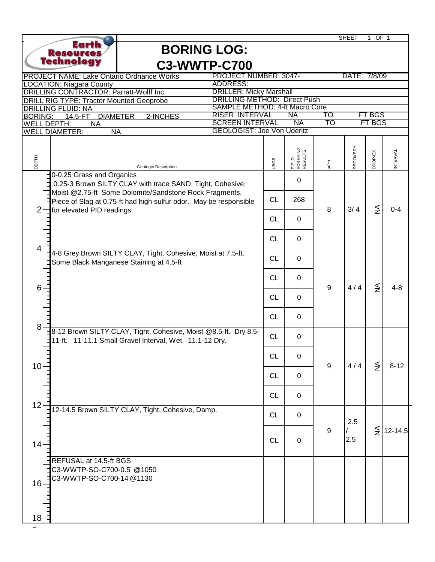| <b>BORING LOG:</b><br><b>Resources</b><br><b>Technology</b><br><b>C3-WWTP-C700</b><br><b>PROJECT NUMBER: 3047-</b><br>DATE: 7/8/09<br><b>ADDRESS:</b><br><b>LOCATION: Niagara County</b><br><b>DRILLING CONTRACTOR: Parratt-Wolff Inc.</b><br><b>DRILLER: Micky Marshall</b><br><b>DRILLING METHOD: Direct Push</b><br><b>DRILL RIG TYPE: Tractor Mounted Geoprobe</b><br><b>SAMPLE METHOD: 4-ft Macro Core</b><br><b>DRILLING FLUID: NA</b><br><b>RISER INTERVAL</b><br><b>NA</b><br>то<br>FT BGS<br><b>DIAMETER</b><br>2-INCHES<br><b>BORING:</b><br>14.5-FT<br>TO<br>FT BGS<br><b>SCREEN INTERVAL</b><br><b>NA</b><br><b>WELL DEPTH:</b><br><b>NA</b><br><b>GEOLOGIST: Joe Von Uderitz</b><br><b>WELL DIAMETER:</b><br><b>NA</b><br><b>RECOVERY</b><br>FIELD<br>SCREEING<br>RESULTS<br><b>INTERVAL</b><br>DROP-EX<br>DEPTH<br>USCS<br>吉<br>Geologic Description<br>0-0.25 Grass and Organics<br>0<br>0.25-3 Brown SILTY CLAY with trace SAND, Tight, Cohesive,<br>Moist @2.75-ft Some Dolomite/Sandstone Rock Fragments.<br><b>CL</b><br>268<br>Piece of Slag at 0.75-ft had high sulfur odor. May be responsible<br>₹<br>8<br>3/4<br>$0 - 4$<br>$2 -$<br>for elevated PID readings.<br><b>CL</b><br>0<br><b>CL</b><br>$\Omega$<br>4<br>4-8 Grey Brown SILTY CLAY, Tight, Cohesive, Moist at 7.5-ft.<br><b>CL</b><br>$\mathbf 0$<br>Some Black Manganese Staining at 4.5-ft<br><b>CL</b><br>0<br>₹<br>9<br>4/4<br>6<br>$4 - 8$<br><b>CL</b><br>0<br><b>CL</b><br>$\mathbf 0$<br>8<br>8-12 Brown SILTY CLAY, Tight, Cohesive, Moist @8.5-ft. Dry 8.5-<br><b>CL</b><br>0<br>11-ft. 11-11.1 Small Gravel Interval, Wet. 11.1-12 Dry.<br><b>CL</b><br>$\mathbf 0$<br>$\frac{4}{2}$<br>4/4<br>$8 - 12$<br>10<br>9<br><b>CL</b><br>0<br><b>CL</b><br>0<br>12 <sub>2</sub><br>12-14.5 Brown SILTY CLAY, Tight, Cohesive, Damp.<br><b>CL</b><br>$\mathbf 0$<br>2.5<br>$\frac{4}{5}$<br>9<br>2.5<br><b>CL</b><br>$\mathbf 0$<br>14<br>REFUSAL at 14.5-ft BGS<br>C3-WWTP-SO-C700-0.5' @1050<br>C3-WWTP-SO-C700-14'@1130<br>16 |                                                  | <b>SHEET</b><br>OF 1<br>$\mathbf{1}$ |  |  |  |  |  |  |  |  |
|------------------------------------------------------------------------------------------------------------------------------------------------------------------------------------------------------------------------------------------------------------------------------------------------------------------------------------------------------------------------------------------------------------------------------------------------------------------------------------------------------------------------------------------------------------------------------------------------------------------------------------------------------------------------------------------------------------------------------------------------------------------------------------------------------------------------------------------------------------------------------------------------------------------------------------------------------------------------------------------------------------------------------------------------------------------------------------------------------------------------------------------------------------------------------------------------------------------------------------------------------------------------------------------------------------------------------------------------------------------------------------------------------------------------------------------------------------------------------------------------------------------------------------------------------------------------------------------------------------------------------------------------------------------------------------------------------------------------------------------------------------------------------------------------------------------------------------------------------------------------------------------------------------------------------------------------------------------------------------------------------------------------|--------------------------------------------------|--------------------------------------|--|--|--|--|--|--|--|--|
| 12-14.5                                                                                                                                                                                                                                                                                                                                                                                                                                                                                                                                                                                                                                                                                                                                                                                                                                                                                                                                                                                                                                                                                                                                                                                                                                                                                                                                                                                                                                                                                                                                                                                                                                                                                                                                                                                                                                                                                                                                                                                                                | <b>Earth</b>                                     |                                      |  |  |  |  |  |  |  |  |
|                                                                                                                                                                                                                                                                                                                                                                                                                                                                                                                                                                                                                                                                                                                                                                                                                                                                                                                                                                                                                                                                                                                                                                                                                                                                                                                                                                                                                                                                                                                                                                                                                                                                                                                                                                                                                                                                                                                                                                                                                        |                                                  |                                      |  |  |  |  |  |  |  |  |
|                                                                                                                                                                                                                                                                                                                                                                                                                                                                                                                                                                                                                                                                                                                                                                                                                                                                                                                                                                                                                                                                                                                                                                                                                                                                                                                                                                                                                                                                                                                                                                                                                                                                                                                                                                                                                                                                                                                                                                                                                        |                                                  |                                      |  |  |  |  |  |  |  |  |
|                                                                                                                                                                                                                                                                                                                                                                                                                                                                                                                                                                                                                                                                                                                                                                                                                                                                                                                                                                                                                                                                                                                                                                                                                                                                                                                                                                                                                                                                                                                                                                                                                                                                                                                                                                                                                                                                                                                                                                                                                        | <b>PROJECT NAME: Lake Ontario Ordnance Works</b> |                                      |  |  |  |  |  |  |  |  |
|                                                                                                                                                                                                                                                                                                                                                                                                                                                                                                                                                                                                                                                                                                                                                                                                                                                                                                                                                                                                                                                                                                                                                                                                                                                                                                                                                                                                                                                                                                                                                                                                                                                                                                                                                                                                                                                                                                                                                                                                                        |                                                  |                                      |  |  |  |  |  |  |  |  |
|                                                                                                                                                                                                                                                                                                                                                                                                                                                                                                                                                                                                                                                                                                                                                                                                                                                                                                                                                                                                                                                                                                                                                                                                                                                                                                                                                                                                                                                                                                                                                                                                                                                                                                                                                                                                                                                                                                                                                                                                                        |                                                  |                                      |  |  |  |  |  |  |  |  |
|                                                                                                                                                                                                                                                                                                                                                                                                                                                                                                                                                                                                                                                                                                                                                                                                                                                                                                                                                                                                                                                                                                                                                                                                                                                                                                                                                                                                                                                                                                                                                                                                                                                                                                                                                                                                                                                                                                                                                                                                                        |                                                  |                                      |  |  |  |  |  |  |  |  |
|                                                                                                                                                                                                                                                                                                                                                                                                                                                                                                                                                                                                                                                                                                                                                                                                                                                                                                                                                                                                                                                                                                                                                                                                                                                                                                                                                                                                                                                                                                                                                                                                                                                                                                                                                                                                                                                                                                                                                                                                                        |                                                  |                                      |  |  |  |  |  |  |  |  |
|                                                                                                                                                                                                                                                                                                                                                                                                                                                                                                                                                                                                                                                                                                                                                                                                                                                                                                                                                                                                                                                                                                                                                                                                                                                                                                                                                                                                                                                                                                                                                                                                                                                                                                                                                                                                                                                                                                                                                                                                                        |                                                  |                                      |  |  |  |  |  |  |  |  |
|                                                                                                                                                                                                                                                                                                                                                                                                                                                                                                                                                                                                                                                                                                                                                                                                                                                                                                                                                                                                                                                                                                                                                                                                                                                                                                                                                                                                                                                                                                                                                                                                                                                                                                                                                                                                                                                                                                                                                                                                                        |                                                  |                                      |  |  |  |  |  |  |  |  |
|                                                                                                                                                                                                                                                                                                                                                                                                                                                                                                                                                                                                                                                                                                                                                                                                                                                                                                                                                                                                                                                                                                                                                                                                                                                                                                                                                                                                                                                                                                                                                                                                                                                                                                                                                                                                                                                                                                                                                                                                                        |                                                  |                                      |  |  |  |  |  |  |  |  |
|                                                                                                                                                                                                                                                                                                                                                                                                                                                                                                                                                                                                                                                                                                                                                                                                                                                                                                                                                                                                                                                                                                                                                                                                                                                                                                                                                                                                                                                                                                                                                                                                                                                                                                                                                                                                                                                                                                                                                                                                                        |                                                  |                                      |  |  |  |  |  |  |  |  |
|                                                                                                                                                                                                                                                                                                                                                                                                                                                                                                                                                                                                                                                                                                                                                                                                                                                                                                                                                                                                                                                                                                                                                                                                                                                                                                                                                                                                                                                                                                                                                                                                                                                                                                                                                                                                                                                                                                                                                                                                                        |                                                  |                                      |  |  |  |  |  |  |  |  |
|                                                                                                                                                                                                                                                                                                                                                                                                                                                                                                                                                                                                                                                                                                                                                                                                                                                                                                                                                                                                                                                                                                                                                                                                                                                                                                                                                                                                                                                                                                                                                                                                                                                                                                                                                                                                                                                                                                                                                                                                                        |                                                  |                                      |  |  |  |  |  |  |  |  |
|                                                                                                                                                                                                                                                                                                                                                                                                                                                                                                                                                                                                                                                                                                                                                                                                                                                                                                                                                                                                                                                                                                                                                                                                                                                                                                                                                                                                                                                                                                                                                                                                                                                                                                                                                                                                                                                                                                                                                                                                                        |                                                  |                                      |  |  |  |  |  |  |  |  |
|                                                                                                                                                                                                                                                                                                                                                                                                                                                                                                                                                                                                                                                                                                                                                                                                                                                                                                                                                                                                                                                                                                                                                                                                                                                                                                                                                                                                                                                                                                                                                                                                                                                                                                                                                                                                                                                                                                                                                                                                                        |                                                  |                                      |  |  |  |  |  |  |  |  |
|                                                                                                                                                                                                                                                                                                                                                                                                                                                                                                                                                                                                                                                                                                                                                                                                                                                                                                                                                                                                                                                                                                                                                                                                                                                                                                                                                                                                                                                                                                                                                                                                                                                                                                                                                                                                                                                                                                                                                                                                                        |                                                  |                                      |  |  |  |  |  |  |  |  |
|                                                                                                                                                                                                                                                                                                                                                                                                                                                                                                                                                                                                                                                                                                                                                                                                                                                                                                                                                                                                                                                                                                                                                                                                                                                                                                                                                                                                                                                                                                                                                                                                                                                                                                                                                                                                                                                                                                                                                                                                                        |                                                  |                                      |  |  |  |  |  |  |  |  |
|                                                                                                                                                                                                                                                                                                                                                                                                                                                                                                                                                                                                                                                                                                                                                                                                                                                                                                                                                                                                                                                                                                                                                                                                                                                                                                                                                                                                                                                                                                                                                                                                                                                                                                                                                                                                                                                                                                                                                                                                                        |                                                  |                                      |  |  |  |  |  |  |  |  |
|                                                                                                                                                                                                                                                                                                                                                                                                                                                                                                                                                                                                                                                                                                                                                                                                                                                                                                                                                                                                                                                                                                                                                                                                                                                                                                                                                                                                                                                                                                                                                                                                                                                                                                                                                                                                                                                                                                                                                                                                                        |                                                  |                                      |  |  |  |  |  |  |  |  |
|                                                                                                                                                                                                                                                                                                                                                                                                                                                                                                                                                                                                                                                                                                                                                                                                                                                                                                                                                                                                                                                                                                                                                                                                                                                                                                                                                                                                                                                                                                                                                                                                                                                                                                                                                                                                                                                                                                                                                                                                                        |                                                  |                                      |  |  |  |  |  |  |  |  |
|                                                                                                                                                                                                                                                                                                                                                                                                                                                                                                                                                                                                                                                                                                                                                                                                                                                                                                                                                                                                                                                                                                                                                                                                                                                                                                                                                                                                                                                                                                                                                                                                                                                                                                                                                                                                                                                                                                                                                                                                                        |                                                  |                                      |  |  |  |  |  |  |  |  |
|                                                                                                                                                                                                                                                                                                                                                                                                                                                                                                                                                                                                                                                                                                                                                                                                                                                                                                                                                                                                                                                                                                                                                                                                                                                                                                                                                                                                                                                                                                                                                                                                                                                                                                                                                                                                                                                                                                                                                                                                                        |                                                  |                                      |  |  |  |  |  |  |  |  |
|                                                                                                                                                                                                                                                                                                                                                                                                                                                                                                                                                                                                                                                                                                                                                                                                                                                                                                                                                                                                                                                                                                                                                                                                                                                                                                                                                                                                                                                                                                                                                                                                                                                                                                                                                                                                                                                                                                                                                                                                                        |                                                  |                                      |  |  |  |  |  |  |  |  |
|                                                                                                                                                                                                                                                                                                                                                                                                                                                                                                                                                                                                                                                                                                                                                                                                                                                                                                                                                                                                                                                                                                                                                                                                                                                                                                                                                                                                                                                                                                                                                                                                                                                                                                                                                                                                                                                                                                                                                                                                                        |                                                  |                                      |  |  |  |  |  |  |  |  |
|                                                                                                                                                                                                                                                                                                                                                                                                                                                                                                                                                                                                                                                                                                                                                                                                                                                                                                                                                                                                                                                                                                                                                                                                                                                                                                                                                                                                                                                                                                                                                                                                                                                                                                                                                                                                                                                                                                                                                                                                                        |                                                  |                                      |  |  |  |  |  |  |  |  |
|                                                                                                                                                                                                                                                                                                                                                                                                                                                                                                                                                                                                                                                                                                                                                                                                                                                                                                                                                                                                                                                                                                                                                                                                                                                                                                                                                                                                                                                                                                                                                                                                                                                                                                                                                                                                                                                                                                                                                                                                                        |                                                  |                                      |  |  |  |  |  |  |  |  |
|                                                                                                                                                                                                                                                                                                                                                                                                                                                                                                                                                                                                                                                                                                                                                                                                                                                                                                                                                                                                                                                                                                                                                                                                                                                                                                                                                                                                                                                                                                                                                                                                                                                                                                                                                                                                                                                                                                                                                                                                                        |                                                  |                                      |  |  |  |  |  |  |  |  |
|                                                                                                                                                                                                                                                                                                                                                                                                                                                                                                                                                                                                                                                                                                                                                                                                                                                                                                                                                                                                                                                                                                                                                                                                                                                                                                                                                                                                                                                                                                                                                                                                                                                                                                                                                                                                                                                                                                                                                                                                                        |                                                  |                                      |  |  |  |  |  |  |  |  |
|                                                                                                                                                                                                                                                                                                                                                                                                                                                                                                                                                                                                                                                                                                                                                                                                                                                                                                                                                                                                                                                                                                                                                                                                                                                                                                                                                                                                                                                                                                                                                                                                                                                                                                                                                                                                                                                                                                                                                                                                                        |                                                  |                                      |  |  |  |  |  |  |  |  |
|                                                                                                                                                                                                                                                                                                                                                                                                                                                                                                                                                                                                                                                                                                                                                                                                                                                                                                                                                                                                                                                                                                                                                                                                                                                                                                                                                                                                                                                                                                                                                                                                                                                                                                                                                                                                                                                                                                                                                                                                                        |                                                  |                                      |  |  |  |  |  |  |  |  |
|                                                                                                                                                                                                                                                                                                                                                                                                                                                                                                                                                                                                                                                                                                                                                                                                                                                                                                                                                                                                                                                                                                                                                                                                                                                                                                                                                                                                                                                                                                                                                                                                                                                                                                                                                                                                                                                                                                                                                                                                                        |                                                  |                                      |  |  |  |  |  |  |  |  |
|                                                                                                                                                                                                                                                                                                                                                                                                                                                                                                                                                                                                                                                                                                                                                                                                                                                                                                                                                                                                                                                                                                                                                                                                                                                                                                                                                                                                                                                                                                                                                                                                                                                                                                                                                                                                                                                                                                                                                                                                                        |                                                  |                                      |  |  |  |  |  |  |  |  |
|                                                                                                                                                                                                                                                                                                                                                                                                                                                                                                                                                                                                                                                                                                                                                                                                                                                                                                                                                                                                                                                                                                                                                                                                                                                                                                                                                                                                                                                                                                                                                                                                                                                                                                                                                                                                                                                                                                                                                                                                                        |                                                  |                                      |  |  |  |  |  |  |  |  |
|                                                                                                                                                                                                                                                                                                                                                                                                                                                                                                                                                                                                                                                                                                                                                                                                                                                                                                                                                                                                                                                                                                                                                                                                                                                                                                                                                                                                                                                                                                                                                                                                                                                                                                                                                                                                                                                                                                                                                                                                                        |                                                  |                                      |  |  |  |  |  |  |  |  |
|                                                                                                                                                                                                                                                                                                                                                                                                                                                                                                                                                                                                                                                                                                                                                                                                                                                                                                                                                                                                                                                                                                                                                                                                                                                                                                                                                                                                                                                                                                                                                                                                                                                                                                                                                                                                                                                                                                                                                                                                                        |                                                  |                                      |  |  |  |  |  |  |  |  |
|                                                                                                                                                                                                                                                                                                                                                                                                                                                                                                                                                                                                                                                                                                                                                                                                                                                                                                                                                                                                                                                                                                                                                                                                                                                                                                                                                                                                                                                                                                                                                                                                                                                                                                                                                                                                                                                                                                                                                                                                                        |                                                  |                                      |  |  |  |  |  |  |  |  |
|                                                                                                                                                                                                                                                                                                                                                                                                                                                                                                                                                                                                                                                                                                                                                                                                                                                                                                                                                                                                                                                                                                                                                                                                                                                                                                                                                                                                                                                                                                                                                                                                                                                                                                                                                                                                                                                                                                                                                                                                                        |                                                  |                                      |  |  |  |  |  |  |  |  |
|                                                                                                                                                                                                                                                                                                                                                                                                                                                                                                                                                                                                                                                                                                                                                                                                                                                                                                                                                                                                                                                                                                                                                                                                                                                                                                                                                                                                                                                                                                                                                                                                                                                                                                                                                                                                                                                                                                                                                                                                                        |                                                  |                                      |  |  |  |  |  |  |  |  |
|                                                                                                                                                                                                                                                                                                                                                                                                                                                                                                                                                                                                                                                                                                                                                                                                                                                                                                                                                                                                                                                                                                                                                                                                                                                                                                                                                                                                                                                                                                                                                                                                                                                                                                                                                                                                                                                                                                                                                                                                                        |                                                  |                                      |  |  |  |  |  |  |  |  |
|                                                                                                                                                                                                                                                                                                                                                                                                                                                                                                                                                                                                                                                                                                                                                                                                                                                                                                                                                                                                                                                                                                                                                                                                                                                                                                                                                                                                                                                                                                                                                                                                                                                                                                                                                                                                                                                                                                                                                                                                                        |                                                  |                                      |  |  |  |  |  |  |  |  |
|                                                                                                                                                                                                                                                                                                                                                                                                                                                                                                                                                                                                                                                                                                                                                                                                                                                                                                                                                                                                                                                                                                                                                                                                                                                                                                                                                                                                                                                                                                                                                                                                                                                                                                                                                                                                                                                                                                                                                                                                                        |                                                  |                                      |  |  |  |  |  |  |  |  |
|                                                                                                                                                                                                                                                                                                                                                                                                                                                                                                                                                                                                                                                                                                                                                                                                                                                                                                                                                                                                                                                                                                                                                                                                                                                                                                                                                                                                                                                                                                                                                                                                                                                                                                                                                                                                                                                                                                                                                                                                                        |                                                  |                                      |  |  |  |  |  |  |  |  |
|                                                                                                                                                                                                                                                                                                                                                                                                                                                                                                                                                                                                                                                                                                                                                                                                                                                                                                                                                                                                                                                                                                                                                                                                                                                                                                                                                                                                                                                                                                                                                                                                                                                                                                                                                                                                                                                                                                                                                                                                                        |                                                  |                                      |  |  |  |  |  |  |  |  |
|                                                                                                                                                                                                                                                                                                                                                                                                                                                                                                                                                                                                                                                                                                                                                                                                                                                                                                                                                                                                                                                                                                                                                                                                                                                                                                                                                                                                                                                                                                                                                                                                                                                                                                                                                                                                                                                                                                                                                                                                                        |                                                  |                                      |  |  |  |  |  |  |  |  |
|                                                                                                                                                                                                                                                                                                                                                                                                                                                                                                                                                                                                                                                                                                                                                                                                                                                                                                                                                                                                                                                                                                                                                                                                                                                                                                                                                                                                                                                                                                                                                                                                                                                                                                                                                                                                                                                                                                                                                                                                                        |                                                  |                                      |  |  |  |  |  |  |  |  |
|                                                                                                                                                                                                                                                                                                                                                                                                                                                                                                                                                                                                                                                                                                                                                                                                                                                                                                                                                                                                                                                                                                                                                                                                                                                                                                                                                                                                                                                                                                                                                                                                                                                                                                                                                                                                                                                                                                                                                                                                                        |                                                  |                                      |  |  |  |  |  |  |  |  |
|                                                                                                                                                                                                                                                                                                                                                                                                                                                                                                                                                                                                                                                                                                                                                                                                                                                                                                                                                                                                                                                                                                                                                                                                                                                                                                                                                                                                                                                                                                                                                                                                                                                                                                                                                                                                                                                                                                                                                                                                                        |                                                  |                                      |  |  |  |  |  |  |  |  |
|                                                                                                                                                                                                                                                                                                                                                                                                                                                                                                                                                                                                                                                                                                                                                                                                                                                                                                                                                                                                                                                                                                                                                                                                                                                                                                                                                                                                                                                                                                                                                                                                                                                                                                                                                                                                                                                                                                                                                                                                                        |                                                  |                                      |  |  |  |  |  |  |  |  |
|                                                                                                                                                                                                                                                                                                                                                                                                                                                                                                                                                                                                                                                                                                                                                                                                                                                                                                                                                                                                                                                                                                                                                                                                                                                                                                                                                                                                                                                                                                                                                                                                                                                                                                                                                                                                                                                                                                                                                                                                                        |                                                  |                                      |  |  |  |  |  |  |  |  |
|                                                                                                                                                                                                                                                                                                                                                                                                                                                                                                                                                                                                                                                                                                                                                                                                                                                                                                                                                                                                                                                                                                                                                                                                                                                                                                                                                                                                                                                                                                                                                                                                                                                                                                                                                                                                                                                                                                                                                                                                                        |                                                  |                                      |  |  |  |  |  |  |  |  |
|                                                                                                                                                                                                                                                                                                                                                                                                                                                                                                                                                                                                                                                                                                                                                                                                                                                                                                                                                                                                                                                                                                                                                                                                                                                                                                                                                                                                                                                                                                                                                                                                                                                                                                                                                                                                                                                                                                                                                                                                                        |                                                  |                                      |  |  |  |  |  |  |  |  |
|                                                                                                                                                                                                                                                                                                                                                                                                                                                                                                                                                                                                                                                                                                                                                                                                                                                                                                                                                                                                                                                                                                                                                                                                                                                                                                                                                                                                                                                                                                                                                                                                                                                                                                                                                                                                                                                                                                                                                                                                                        |                                                  |                                      |  |  |  |  |  |  |  |  |
|                                                                                                                                                                                                                                                                                                                                                                                                                                                                                                                                                                                                                                                                                                                                                                                                                                                                                                                                                                                                                                                                                                                                                                                                                                                                                                                                                                                                                                                                                                                                                                                                                                                                                                                                                                                                                                                                                                                                                                                                                        | 18                                               |                                      |  |  |  |  |  |  |  |  |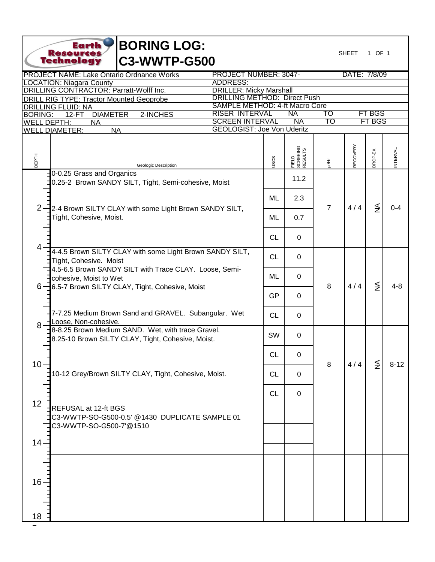| <b>BORING LOG:</b><br>Earth                                                                                                      |                                                                       |           |                              |                |              |               |                |
|----------------------------------------------------------------------------------------------------------------------------------|-----------------------------------------------------------------------|-----------|------------------------------|----------------|--------------|---------------|----------------|
| <b>Resources</b><br><b>C3-WWTP-G500</b><br>Technology                                                                            |                                                                       |           |                              |                | <b>SHEET</b> | 1 OF 1        |                |
| <b>PROJECT NAME: Lake Ontario Ordnance Works</b>                                                                                 | <b>PROJECT NUMBER: 3047-</b>                                          |           |                              |                | DATE: 7/8/09 |               |                |
| <b>LOCATION: Niagara County</b>                                                                                                  | <b>ADDRESS:</b>                                                       |           |                              |                |              |               |                |
| <b>DRILLING CONTRACTOR: Parratt-Wolff Inc.</b>                                                                                   | <b>DRILLER: Micky Marshall</b><br><b>DRILLING METHOD: Direct Push</b> |           |                              |                |              |               |                |
| DRILL RIG TYPE: Tractor Mounted Geoprobe<br><b>DRILLING FLUID: NA</b>                                                            | <b>SAMPLE METHOD: 4-ft Macro Core</b>                                 |           |                              |                |              |               |                |
| 2-INCHES<br><b>BORING:</b><br><b>DIAMETER</b><br>$12-FT$                                                                         | RISER INTERVAL                                                        |           | <b>NA</b>                    | то             |              | FT BGS        |                |
| <b>WELL DEPTH:</b><br><b>NA</b>                                                                                                  | <b>SCREEN INTERVAL</b>                                                | <b>NA</b> | TO                           | FT BGS         |              |               |                |
| <b>WELL DIAMETER:</b><br><b>NA</b>                                                                                               | <b>GEOLOGIST: Joe Von Uderitz</b>                                     |           |                              |                |              |               |                |
| <b>DEPTH</b><br>Geologic Description                                                                                             |                                                                       | uscs      | FIELD<br>SCREEING<br>RESULTS | ŧ              | RECOVERY     | DROP-EX       | <b>NTERVAL</b> |
| 0-0.25 Grass and Organics<br>0.25-2 Brown SANDY SILT, Tight, Semi-cohesive, Moist                                                |                                                                       |           | 11.2                         |                |              |               |                |
|                                                                                                                                  |                                                                       | ML        | 2.3                          | $\overline{7}$ | 4/4          | $\frac{4}{2}$ | $0 - 4$        |
| 2-2-4 Brown SILTY CLAY with some Light Brown SANDY SILT,<br>Tight, Cohesive, Moist.                                              |                                                                       | ML        | 0.7                          |                |              |               |                |
|                                                                                                                                  |                                                                       | <b>CL</b> | $\Omega$                     |                |              |               |                |
| $\overline{4}$<br>4-4.5 Brown SILTY CLAY with some Light Brown SANDY SILT,<br>Tight, Cohesive. Moist                             |                                                                       | <b>CL</b> | $\Omega$                     |                |              |               |                |
| 4.5-6.5 Brown SANDY SILT with Trace CLAY. Loose, Semi-<br>cohesive, Moist to Wet                                                 |                                                                       | ML        | $\Omega$                     |                |              |               |                |
| 6-6.5-7 Brown SILTY CLAY, Tight, Cohesive, Moist                                                                                 |                                                                       | GP        | $\Omega$                     | 8              | 4/4          | ≨             | $4 - 8$        |
| 7-7.25 Medium Brown Sand and GRAVEL. Subangular. Wet                                                                             |                                                                       | <b>CL</b> | $\Omega$                     |                |              |               |                |
| 8 Loose, Non-cohesive.<br>8-8.25 Brown Medium SAND. Wet, with trace Gravel.<br>8.25-10 Brown SILTY CLAY, Tight, Cohesive, Moist. |                                                                       | SW        | $\Omega$                     |                |              |               |                |
|                                                                                                                                  |                                                                       | <b>CL</b> | 0                            |                |              |               |                |
| $10 -$<br>10-12 Grey/Brown SILTY CLAY, Tight, Cohesive, Moist.                                                                   |                                                                       | <b>CL</b> | 0                            | 8              | 4/4          | $\frac{4}{2}$ | $8 - 12$       |
|                                                                                                                                  |                                                                       | <b>CL</b> | $\mathbf 0$                  |                |              |               |                |
| $12 -$<br><b>REFUSAL at 12-ft BGS</b><br>C3-WWTP-SO-G500-0.5' @1430 DUPLICATE SAMPLE 01<br>C3-WWTP-SO-G500-7'@1510<br>14         |                                                                       |           |                              |                |              |               |                |
| 16<br>18                                                                                                                         |                                                                       |           |                              |                |              |               |                |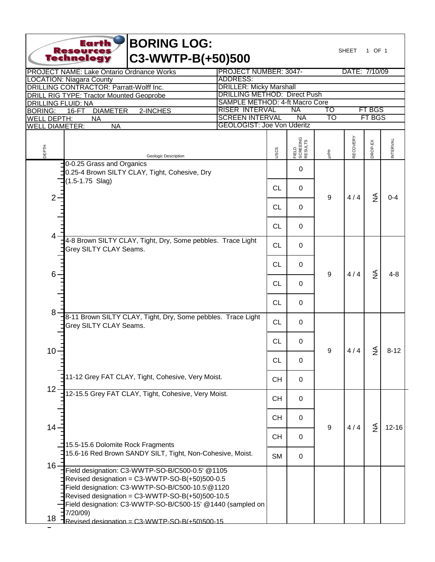| <b>BORING LOG:</b><br>Earth<br><b>Resources</b><br>C3-WWTP-B(+50)500<br><b>Technology</b>                                                                                                                                                                                                                                                              |                                       |           |                              |          | <b>SHEET</b>    | 1 OF 1        |           |
|--------------------------------------------------------------------------------------------------------------------------------------------------------------------------------------------------------------------------------------------------------------------------------------------------------------------------------------------------------|---------------------------------------|-----------|------------------------------|----------|-----------------|---------------|-----------|
| <b>PROJECT NAME: Lake Ontario Ordnance Works</b>                                                                                                                                                                                                                                                                                                       | <b>PROJECT NUMBER: 3047-</b>          |           |                              |          | DATE: 7/10/09   |               |           |
| <b>LOCATION: Niagara County</b>                                                                                                                                                                                                                                                                                                                        | <b>ADDRESS:</b>                       |           |                              |          |                 |               |           |
| <b>DRILLING CONTRACTOR: Parratt-Wolff Inc.</b>                                                                                                                                                                                                                                                                                                         | <b>DRILLER: Micky Marshall</b>        |           |                              |          |                 |               |           |
| <b>DRILL RIG TYPE: Tractor Mounted Geoprobe</b>                                                                                                                                                                                                                                                                                                        | <b>DRILLING METHOD: Direct Push</b>   |           |                              |          |                 |               |           |
| <b>DRILLING FLUID: NA</b>                                                                                                                                                                                                                                                                                                                              | <b>SAMPLE METHOD: 4-ft Macro Core</b> |           |                              |          |                 |               |           |
| <b>DIAMETER</b><br>2-INCHES<br><b>BORING:</b><br>16-FT                                                                                                                                                                                                                                                                                                 | <b>RISER INTERVAL</b>                 |           | <b>NA</b>                    | TO       |                 | FT BGS        |           |
| <b>WELL DEPTH:</b><br><b>NA</b>                                                                                                                                                                                                                                                                                                                        | <b>SCREEN INTERVAL</b>                |           | <b>NA</b>                    | TO       |                 | FT BGS        |           |
| <b>WELL DIAMETER:</b><br><b>NA</b>                                                                                                                                                                                                                                                                                                                     | <b>GEOLOGIST: Joe Von Uderitz</b>     |           |                              |          |                 |               |           |
|                                                                                                                                                                                                                                                                                                                                                        |                                       |           |                              |          |                 |               |           |
| DEPTH<br>Geologic Description                                                                                                                                                                                                                                                                                                                          |                                       | uscs      | FIELD<br>SCREEING<br>RESULTS | <b>H</b> | <b>RECOVERY</b> | DROP-EX       | NTERVAL   |
| 0-0.25 Grass and Organics<br>0.25-4 Brown SILTY CLAY, Tight, Cohesive, Dry<br>$(1.5-1.75$ Slag)                                                                                                                                                                                                                                                        |                                       |           | 0                            |          |                 |               |           |
| $\overline{2}$                                                                                                                                                                                                                                                                                                                                         |                                       | <b>CL</b> | 0                            | 9        | 4/4             | $\frac{4}{2}$ | $0 - 4$   |
|                                                                                                                                                                                                                                                                                                                                                        |                                       | <b>CL</b> | $\Omega$                     |          |                 |               |           |
|                                                                                                                                                                                                                                                                                                                                                        |                                       | <b>CL</b> | $\Omega$                     |          |                 |               |           |
| 4<br>4-8 Brown SILTY CLAY, Tight, Dry, Some pebbles. Trace Light<br>Grey SILTY CLAY Seams.                                                                                                                                                                                                                                                             |                                       | <b>CL</b> | $\Omega$                     |          |                 |               |           |
|                                                                                                                                                                                                                                                                                                                                                        |                                       | <b>CL</b> | 0                            |          |                 |               |           |
| 6                                                                                                                                                                                                                                                                                                                                                      |                                       | <b>CL</b> | $\Omega$                     | 9        | 4/4             | $\leq$        | $4 - 8$   |
|                                                                                                                                                                                                                                                                                                                                                        |                                       | <b>CL</b> | 0                            |          |                 |               |           |
| 8<br>8-11 Brown SILTY CLAY, Tight, Dry, Some pebbles. Trace Light                                                                                                                                                                                                                                                                                      |                                       |           |                              |          |                 |               |           |
| Grey SILTY CLAY Seams.                                                                                                                                                                                                                                                                                                                                 |                                       | <b>CL</b> | 0                            |          |                 |               |           |
| 10                                                                                                                                                                                                                                                                                                                                                     |                                       | <b>CL</b> | 0                            | 9        | 4/4             | ≨             | $8 - 12$  |
|                                                                                                                                                                                                                                                                                                                                                        |                                       | <b>CL</b> | 0                            |          |                 |               |           |
| 11-12 Grey FAT CLAY, Tight, Cohesive, Very Moist.<br>$12 -$                                                                                                                                                                                                                                                                                            |                                       | <b>CH</b> | 0                            |          |                 |               |           |
| 12-15.5 Grey FAT CLAY, Tight, Cohesive, Very Moist.                                                                                                                                                                                                                                                                                                    |                                       | <b>CH</b> | 0                            |          |                 |               |           |
|                                                                                                                                                                                                                                                                                                                                                        |                                       | <b>CH</b> | 0                            |          |                 |               |           |
| 14                                                                                                                                                                                                                                                                                                                                                     |                                       | <b>CH</b> | 0                            | 9        | 4/4             | $\frac{4}{2}$ | $12 - 16$ |
| 15.5-15.6 Dolomite Rock Fragments<br>15.6-16 Red Brown SANDY SILT, Tight, Non-Cohesive, Moist.                                                                                                                                                                                                                                                         |                                       | <b>SM</b> | 0                            |          |                 |               |           |
| $16 -$<br>Field designation: C3-WWTP-SO-B/C500-0.5' @1105<br>Revised designation = $C3-WWTP-SO-B(+50)500-0.5$<br>Field designation: C3-WWTP-SO-B/C500-10.5'@1120<br>Revised designation = C3-WWTP-SO-B(+50)500-10.5<br>Field designation: C3-WWTP-SO-B/C500-15' @1440 (sampled on<br>7/20/09)<br>18<br>Revised designation = $C3-WWTP-SO-B(+50)500-15$ |                                       |           |                              |          |                 |               |           |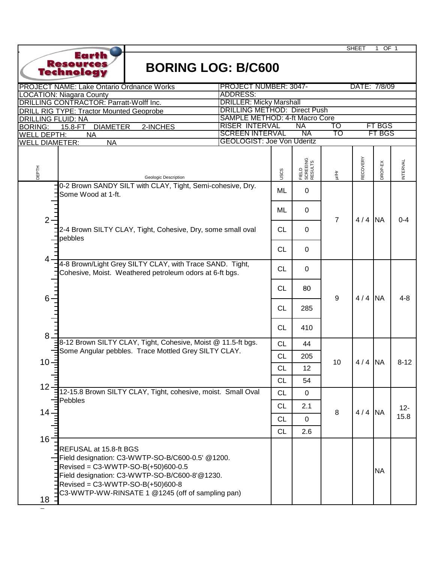|                                                                                                                                                                                                                                                                                           |                                                             |           |                              |                 | <b>SHEET</b>    | OF 1<br>$\mathbf{1}$ |                |
|-------------------------------------------------------------------------------------------------------------------------------------------------------------------------------------------------------------------------------------------------------------------------------------------|-------------------------------------------------------------|-----------|------------------------------|-----------------|-----------------|----------------------|----------------|
| Earth<br><b>Resources</b>                                                                                                                                                                                                                                                                 |                                                             |           |                              |                 |                 |                      |                |
| <b>Technology</b>                                                                                                                                                                                                                                                                         | <b>BORING LOG: B/C600</b>                                   |           |                              |                 |                 |                      |                |
|                                                                                                                                                                                                                                                                                           |                                                             |           |                              |                 |                 |                      |                |
| <b>PROJECT NAME: Lake Ontario Ordnance Works</b><br><b>LOCATION: Niagara County</b>                                                                                                                                                                                                       | <b>PROJECT NUMBER: 3047-</b><br><b>ADDRESS:</b>             |           |                              |                 | DATE: 7/8/09    |                      |                |
| <b>DRILLING CONTRACTOR: Parratt-Wolff Inc.</b>                                                                                                                                                                                                                                            | <b>DRILLER: Micky Marshall</b>                              |           |                              |                 |                 |                      |                |
| <b>DRILL RIG TYPE: Tractor Mounted Geoprobe</b>                                                                                                                                                                                                                                           | <b>DRILLING METHOD: Direct Push</b>                         |           |                              |                 |                 |                      |                |
| <b>DRILLING FLUID: NA</b>                                                                                                                                                                                                                                                                 | <b>SAMPLE METHOD: 4-ft Macro Core</b>                       |           |                              |                 |                 |                      |                |
| 2-INCHES<br><b>BORING:</b><br><b>DIAMETER</b><br>15.8-FT                                                                                                                                                                                                                                  | <b>RISER INTERVAL</b>                                       |           | <b>NA</b>                    | то              |                 | FT BGS               |                |
| <b>WELL DEPTH:</b><br><b>NA</b>                                                                                                                                                                                                                                                           | <b>SCREEN INTERVAL</b><br><b>GEOLOGIST: Joe Von Uderitz</b> |           | <b>NA</b>                    | TO              |                 | FT BGS               |                |
| <b>NA</b><br><b>WELL DIAMETER:</b>                                                                                                                                                                                                                                                        |                                                             |           |                              |                 |                 |                      |                |
| DEPTH<br>Geologic Description                                                                                                                                                                                                                                                             |                                                             | uscs      | FIELD<br>SCREEING<br>RESULTS | H/H             | <b>RECOVERY</b> | DROP-EX              | <b>NTERVAL</b> |
| 0-2 Brown SANDY SILT with CLAY, Tight, Semi-cohesive, Dry.<br>Some Wood at 1-ft.                                                                                                                                                                                                          |                                                             | ML        | $\mathbf{0}$                 |                 |                 |                      |                |
|                                                                                                                                                                                                                                                                                           |                                                             | ML        | $\mathbf 0$                  |                 |                 |                      |                |
| $\overline{2}$<br>2-4 Brown SILTY CLAY, Tight, Cohesive, Dry, some small oval<br>pebbles                                                                                                                                                                                                  |                                                             |           | $\mathbf{0}$                 | $\overline{7}$  | $4/4$ NA        |                      | $0 - 4$        |
|                                                                                                                                                                                                                                                                                           |                                                             | <b>CL</b> | $\mathbf 0$                  |                 |                 |                      |                |
| 4<br>4-8 Brown/Light Grey SILTY CLAY, with Trace SAND. Tight,<br>Cohesive, Moist. Weathered petroleum odors at 6-ft bgs.                                                                                                                                                                  |                                                             |           | $\mathbf 0$                  |                 |                 |                      |                |
|                                                                                                                                                                                                                                                                                           |                                                             | <b>CL</b> | 80                           |                 |                 |                      |                |
| 6                                                                                                                                                                                                                                                                                         |                                                             | <b>CL</b> | 285                          | 9               | $4/4$ NA        |                      | $4 - 8$        |
|                                                                                                                                                                                                                                                                                           |                                                             | <b>CL</b> | 410                          |                 |                 |                      |                |
| 8<br>8-12 Brown SILTY CLAY, Tight, Cohesive, Moist @ 11.5-ft bgs.                                                                                                                                                                                                                         |                                                             | <b>CL</b> | 44                           |                 |                 |                      |                |
| Some Angular pebbles. Trace Mottled Grey SILTY CLAY.                                                                                                                                                                                                                                      |                                                             | CL        | 205                          |                 |                 |                      |                |
| 10                                                                                                                                                                                                                                                                                        |                                                             |           |                              | 10 <sub>1</sub> | $4/4$ NA        |                      | $8 - 12$       |
|                                                                                                                                                                                                                                                                                           |                                                             | <b>CL</b> | 12                           |                 |                 |                      |                |
|                                                                                                                                                                                                                                                                                           |                                                             | <b>CL</b> | 54                           |                 |                 |                      |                |
| 12 <sub>1</sub><br>12-15.8 Brown SILTY CLAY, Tight, cohesive, moist. Small Oval<br>Pebbles                                                                                                                                                                                                |                                                             | <b>CL</b> | $\mathbf 0$                  |                 |                 |                      |                |
|                                                                                                                                                                                                                                                                                           |                                                             | <b>CL</b> | 2.1                          |                 |                 |                      | $12 -$         |
| $14 -$                                                                                                                                                                                                                                                                                    |                                                             | <b>CL</b> | $\mathbf{0}$                 | 8               | $4/4$ NA        |                      | 15.8           |
|                                                                                                                                                                                                                                                                                           |                                                             | <b>CL</b> | 2.6                          |                 |                 |                      |                |
| 16 <sup>°</sup><br><b>REFUSAL at 15.8-ft BGS</b><br>Field designation: C3-WWTP-SO-B/C600-0.5' @1200.<br>Revised = C3-WWTP-SO-B(+50)600-0.5<br>Field designation: C3-WWTP-SO-B/C600-8'@1230.<br>Revised = C3-WWTP-SO-B(+50)600-8<br>C3-WWTP-WW-RINSATE 1 @1245 (off of sampling pan)<br>18 |                                                             |           |                              |                 |                 | <b>NA</b>            |                |

Ξ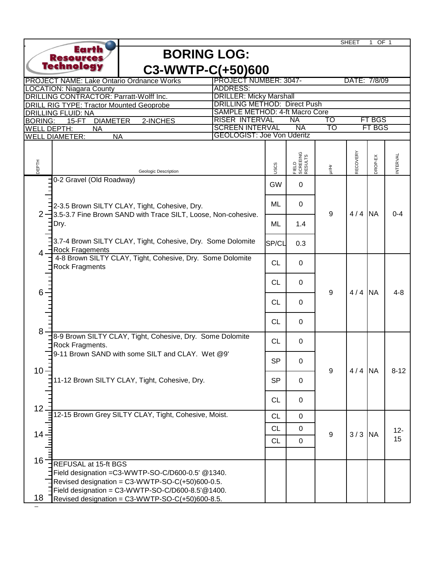|                                                                  |                                                             |           |                              |     | <b>SHEET</b> | OF 1<br>$\mathbf{1}$ |                |
|------------------------------------------------------------------|-------------------------------------------------------------|-----------|------------------------------|-----|--------------|----------------------|----------------|
| Earth<br><b>BORING LOG:</b>                                      |                                                             |           |                              |     |              |                      |                |
| <b>Resources</b>                                                 |                                                             |           |                              |     |              |                      |                |
| <b>Technology</b><br>C3-WWTP-C(+50)600                           |                                                             |           |                              |     |              |                      |                |
| <b>PROJECT NAME: Lake Ontario Ordnance Works</b>                 | <b>PROJECT NUMBER: 3047-</b>                                |           |                              |     | DATE: 7/8/09 |                      |                |
| <b>LOCATION: Niagara County</b>                                  | <b>ADDRESS:</b>                                             |           |                              |     |              |                      |                |
| <b>DRILLING CONTRACTOR: Parratt-Wolff Inc.</b>                   | <b>DRILLER: Micky Marshall</b>                              |           |                              |     |              |                      |                |
| <b>DRILL RIG TYPE: Tractor Mounted Geoprobe</b>                  | <b>DRILLING METHOD: Direct Push</b>                         |           |                              |     |              |                      |                |
| <b>DRILLING FLUID: NA</b>                                        | <b>SAMPLE METHOD: 4-ft Macro Core</b>                       |           |                              |     |              |                      |                |
| <b>DIAMETER</b><br>2-INCHES<br><b>BORING:</b><br>$15-FT$         | <b>RISER INTERVAL</b>                                       |           | <b>NA</b>                    | TO  |              | FT BGS               |                |
| <b>WELL DEPTH:</b><br><b>NA</b>                                  | <b>SCREEN INTERVAL</b><br><b>GEOLOGIST: Joe Von Uderitz</b> |           | <b>NA</b>                    | TO  |              | FT BGS               |                |
| <b>NA</b><br><b>WELL DIAMETER:</b>                               |                                                             |           |                              |     |              |                      |                |
|                                                                  |                                                             |           |                              |     |              |                      |                |
|                                                                  |                                                             |           |                              |     |              |                      |                |
| <b>DEPTH</b><br>Geologic Description                             |                                                             | uscs      | FIELD<br>SCREEING<br>RESULTS | H/H | RECOVERY     | DROP-EX              | <b>NTERVAL</b> |
| 0-2 Gravel (Old Roadway)                                         |                                                             |           |                              |     |              |                      |                |
|                                                                  |                                                             | <b>GW</b> | 0                            |     |              |                      |                |
|                                                                  |                                                             |           |                              |     |              |                      |                |
| 2-3.5 Brown SILTY CLAY, Tight, Cohesive, Dry.                    |                                                             | ML        | $\Omega$                     |     |              |                      |                |
| 2 -3.5-3.7 Fine Brown SAND with Trace SILT, Loose, Non-cohesive. |                                                             |           |                              | 9   | $4/4$ NA     |                      | $0 - 4$        |
| Dry.                                                             |                                                             | ML        | 1.4                          |     |              |                      |                |
|                                                                  |                                                             |           |                              |     |              |                      |                |
| 3.7-4 Brown SILTY CLAY, Tight, Cohesive, Dry. Some Dolomite      |                                                             | SP/CL     | 0.3                          |     |              |                      |                |
| <b>Rock Fragements</b><br>$\mathbf{4}$                           |                                                             |           |                              |     |              |                      |                |
| 4-8 Brown SILTY CLAY, Tight, Cohesive, Dry. Some Dolomite        |                                                             | <b>CL</b> | 0                            |     |              |                      |                |
| <b>Rock Fragments</b>                                            |                                                             |           |                              |     |              |                      |                |
|                                                                  |                                                             |           |                              |     |              |                      |                |
|                                                                  |                                                             | <b>CL</b> | 0                            |     |              |                      |                |
| 6                                                                |                                                             |           |                              | 9   | 4/4          | <b>NA</b>            | $4 - 8$        |
|                                                                  |                                                             | <b>CL</b> | 0                            |     |              |                      |                |
|                                                                  |                                                             |           |                              |     |              |                      |                |
|                                                                  |                                                             | <b>CL</b> | 0                            |     |              |                      |                |
| 8                                                                |                                                             |           |                              |     |              |                      |                |
| 8-9 Brown SILTY CLAY, Tight, Cohesive, Dry. Some Dolomite        |                                                             | <b>CL</b> | 0                            |     |              |                      |                |
| Rock Fragments.                                                  |                                                             |           |                              |     |              |                      |                |
| 9-11 Brown SAND with some SILT and CLAY. Wet @9'                 |                                                             | <b>SP</b> | $\mathbf 0$                  |     |              |                      |                |
| $10 -$                                                           |                                                             |           |                              | 9   | $4/4$ NA     |                      | $8 - 12$       |
| 11-12 Brown SILTY CLAY, Tight, Cohesive, Dry.                    |                                                             | <b>SP</b> |                              |     |              |                      |                |
|                                                                  |                                                             |           | 0                            |     |              |                      |                |
|                                                                  |                                                             |           |                              |     |              |                      |                |
|                                                                  |                                                             | <b>CL</b> | 0                            |     |              |                      |                |
| $12 -$<br>12-15 Brown Grey SILTY CLAY, Tight, Cohesive, Moist.   |                                                             | <b>CL</b> | 0                            |     |              |                      |                |
|                                                                  |                                                             |           |                              |     |              |                      |                |
|                                                                  |                                                             | <b>CL</b> | 0                            |     |              |                      | $12 -$         |
| 14                                                               |                                                             | CL        | $\mathbf 0$                  | 9   | $3/3$ NA     |                      | 15             |
|                                                                  |                                                             |           |                              |     |              |                      |                |
| $16 -$                                                           |                                                             |           |                              |     |              |                      |                |
| <b>REFUSAL at 15-ft BGS</b>                                      |                                                             |           |                              |     |              |                      |                |
| Field designation =C3-WWTP-SO-C/D600-0.5' @1340.                 |                                                             |           |                              |     |              |                      |                |
| Revised designation = C3-WWTP-SO-C(+50)600-0.5.                  |                                                             |           |                              |     |              |                      |                |
| Field designation = C3-WWTP-SO-C/D600-8.5'@1400.                 |                                                             |           |                              |     |              |                      |                |
| 18<br>Revised designation = $C3-WWTP-SO-C(+50)600-8.5$ .         |                                                             |           |                              |     |              |                      |                |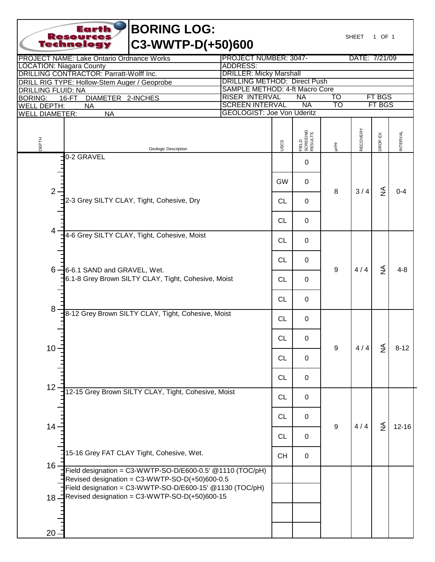| <b>BORING LOG:</b><br>Earth<br><b>Resources</b><br><b>Technology</b><br>C3-WWTP-D(+50)600                  |                                                                       |           |                              |    | <b>SHEET</b>    | 1 OF 1             |                 |
|------------------------------------------------------------------------------------------------------------|-----------------------------------------------------------------------|-----------|------------------------------|----|-----------------|--------------------|-----------------|
| <b>PROJECT NAME: Lake Ontario Ordnance Works</b>                                                           | <b>PROJECT NUMBER: 3047-</b>                                          |           |                              |    | DATE: 7/21/09   |                    |                 |
| <b>LOCATION: Niagara County</b>                                                                            | <b>ADDRESS:</b>                                                       |           |                              |    |                 |                    |                 |
| <b>DRILLING CONTRACTOR: Parratt-Wolff Inc.</b>                                                             | <b>DRILLER: Micky Marshall</b><br><b>DRILLING METHOD: Direct Push</b> |           |                              |    |                 |                    |                 |
| DRILL RIG TYPE: Hollow-Stem Auger / Geoprobe<br><b>DRILLING FLUID: NA</b>                                  | <b>SAMPLE METHOD: 4-ft Macro Core</b>                                 |           |                              |    |                 |                    |                 |
| DIAMETER 2-INCHES<br><b>BORING:</b><br>16-FT                                                               | <b>RISER INTERVAL</b>                                                 |           | <b>NA</b>                    | TO |                 | FT BGS             |                 |
| <b>WELL DEPTH:</b><br><b>NA</b>                                                                            | <b>SCREEN INTERVAL</b>                                                |           | <b>NA</b>                    | TO |                 | FT BGS             |                 |
| <b>WELL DIAMETER:</b><br><b>NA</b>                                                                         | <b>GEOLOGIST: Joe Von Uderitz</b>                                     |           |                              |    |                 |                    |                 |
| <b>DEPTH</b><br>Geologic Description                                                                       |                                                                       | USCS      | FIELD<br>SCREEING<br>RESULTS | 吉  | <b>RECOVERY</b> | DROP-EX            | <b>INTERVAL</b> |
| 0-2 GRAVEL                                                                                                 |                                                                       |           | 0                            |    |                 |                    |                 |
|                                                                                                            |                                                                       | <b>GW</b> | $\mathbf 0$                  |    |                 |                    |                 |
| 2<br>2-3 Grey SILTY CLAY, Tight, Cohesive, Dry                                                             |                                                                       | <b>CL</b> | 0                            | 8  | 3/4             | $\widetilde{\geq}$ | $0 - 4$         |
|                                                                                                            |                                                                       | <b>CL</b> | $\Omega$                     |    |                 |                    |                 |
| 4<br>4-6 Grey SILTY CLAY, Tight, Cohesive, Moist                                                           |                                                                       | <b>CL</b> | 0                            |    |                 |                    |                 |
|                                                                                                            |                                                                       | <b>CL</b> | 0                            |    |                 |                    |                 |
| 6-6-1 SAND and GRAVEL, Wet.<br>6.1-8 Grey Brown SILTY CLAY, Tight, Cohesive, Moist                         |                                                                       | <b>CL</b> | 0                            | 9  | 4/4             | $\frac{4}{2}$      | $4 - 8$         |
|                                                                                                            |                                                                       | <b>CL</b> | $\mathbf 0$                  |    |                 |                    |                 |
| 8<br>8-12 Grey Brown SILTY CLAY, Tight, Cohesive, Moist                                                    |                                                                       | <b>CL</b> | $\mathbf 0$                  |    |                 |                    |                 |
|                                                                                                            |                                                                       | <b>CL</b> | 0                            |    |                 |                    |                 |
| 10                                                                                                         |                                                                       | <b>CL</b> | $\pmb{0}$                    | 9  | 4/4             | $\leq$             | $8 - 12$        |
|                                                                                                            |                                                                       | <b>CL</b> | $\mathbf 0$                  |    |                 |                    |                 |
| 12<br>12-15 Grey Brown SILTY CLAY, Tight, Cohesive, Moist                                                  |                                                                       | <b>CL</b> | $\pmb{0}$                    |    |                 |                    |                 |
|                                                                                                            |                                                                       | <b>CL</b> | $\pmb{0}$                    |    |                 |                    |                 |
| 14                                                                                                         |                                                                       | <b>CL</b> | $\mathbf 0$                  | 9  | 4/4             | $\frac{4}{2}$      | $12 - 16$       |
| 15-16 Grey FAT CLAY Tight, Cohesive, Wet.                                                                  |                                                                       |           |                              |    |                 |                    |                 |
| $16 -$<br>Field designation = C3-WWTP-SO-D/E600-0.5' @1110 (TOC/pH)                                        |                                                                       | <b>CH</b> | $\mathbf 0$                  |    |                 |                    |                 |
| Revised designation = C3-WWTP-SO-D(+50)600-0.5<br>Field designation = C3-WWTP-SO-D/E600-15' @1130 (TOC/pH) |                                                                       |           |                              |    |                 |                    |                 |
| Revised designation = C3-WWTP-SO-D(+50)600-15<br>$18 -$                                                    |                                                                       |           |                              |    |                 |                    |                 |
|                                                                                                            |                                                                       |           |                              |    |                 |                    |                 |
| 20                                                                                                         |                                                                       |           |                              |    |                 |                    |                 |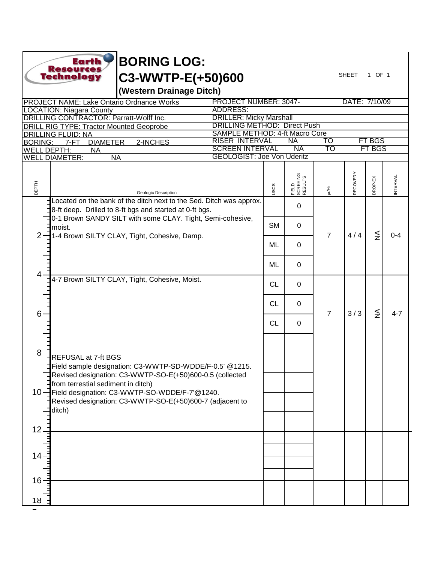| <b>BORING LOG:</b><br>Earth<br><b>Resources</b><br>Technology<br>C3-WWTP-E(+50)600<br>(Western Drainage Ditch)                 |                                       |           |                              |                | SHEET         | 1 OF 1  |                |
|--------------------------------------------------------------------------------------------------------------------------------|---------------------------------------|-----------|------------------------------|----------------|---------------|---------|----------------|
| <b>PROJECT NAME: Lake Ontario Ordnance Works</b>                                                                               | <b>PROJECT NUMBER: 3047-</b>          |           |                              |                | DATE: 7/10/09 |         |                |
| <b>LOCATION: Niagara County</b>                                                                                                | <b>ADDRESS:</b>                       |           |                              |                |               |         |                |
| <b>DRILLING CONTRACTOR: Parratt-Wolff Inc.</b>                                                                                 | <b>DRILLER: Micky Marshall</b>        |           |                              |                |               |         |                |
| <b>DRILL RIG TYPE: Tractor Mounted Geoprobe</b>                                                                                | <b>DRILLING METHOD: Direct Push</b>   |           |                              |                |               |         |                |
| <b>DRILLING FLUID: NA</b>                                                                                                      | <b>SAMPLE METHOD: 4-ft Macro Core</b> |           |                              |                |               |         |                |
| <b>DIAMETER</b><br>2-INCHES<br><b>BORING:</b><br>7-FT                                                                          | <b>RISER INTERVAL</b>                 |           | <b>NA</b>                    | TO             |               | FT BGS  |                |
| <b>WELL DEPTH:</b><br><b>NA</b>                                                                                                | <b>SCREEN INTERVAL</b>                |           | <b>NA</b>                    | TO             |               | FT BGS  |                |
| <b>WELL DIAMETER:</b><br><b>NA</b>                                                                                             | <b>GEOLOGIST: Joe Von Uderitz</b>     |           |                              |                |               |         |                |
|                                                                                                                                |                                       |           |                              |                |               |         |                |
| <b>DEPTH</b><br><b>Geologic Description</b>                                                                                    |                                       | USCS      | FIELD<br>SCREEING<br>RESULTS | Ĕ              | RECOVERY      | DROP-EX | <b>NTERVAL</b> |
| Located on the bank of the ditch next to the Sed. Ditch was approx.<br>8-ft deep. Drilled to 8-ft bgs and started at 0-ft bgs. |                                       |           | 0                            |                |               |         |                |
| 0-1 Brown SANDY SILT with some CLAY. Tight, Semi-cohesive,<br>moist.                                                           |                                       | <b>SM</b> | $\mathbf 0$                  |                |               |         |                |
| $2 -$<br>1-4 Brown SILTY CLAY, Tight, Cohesive, Damp.                                                                          |                                       | ML        | 0                            | $\overline{7}$ | 4/4           | ₹       | $0 - 4$        |
|                                                                                                                                |                                       | ML        | 0                            |                |               |         |                |
| 4                                                                                                                              |                                       |           |                              |                |               |         |                |
| 4-7 Brown SILTY CLAY, Tight, Cohesive, Moist.                                                                                  |                                       | <b>CL</b> | 0                            |                |               |         |                |
|                                                                                                                                |                                       | <b>CL</b> | 0                            |                |               |         |                |
| 6                                                                                                                              |                                       | <b>CL</b> | $\mathbf 0$                  | $\overline{7}$ | 3/3           | ₹       | $4 - 7$        |
|                                                                                                                                |                                       |           |                              |                |               |         |                |
| 8<br>REFUSAL at 7-ft BGS                                                                                                       |                                       |           |                              |                |               |         |                |
| Field sample designation: C3-WWTP-SD-WDDE/F-0.5' @1215.                                                                        |                                       |           |                              |                |               |         |                |
| Revised designation: C3-WWTP-SO-E(+50)600-0.5 (collected<br>from terrestial sediment in ditch)                                 |                                       |           |                              |                |               |         |                |
| 10 Field designation: C3-WWTP-SO-WDDE/F-7'@1240.<br>Revised designation: C3-WWTP-SO-E(+50)600-7 (adjacent to                   |                                       |           |                              |                |               |         |                |
| ditch)                                                                                                                         |                                       |           |                              |                |               |         |                |
| 12 <sub>1</sub>                                                                                                                |                                       |           |                              |                |               |         |                |
|                                                                                                                                |                                       |           |                              |                |               |         |                |
|                                                                                                                                |                                       |           |                              |                |               |         |                |
| $16 -$                                                                                                                         |                                       |           |                              |                |               |         |                |
| 18                                                                                                                             |                                       |           |                              |                |               |         |                |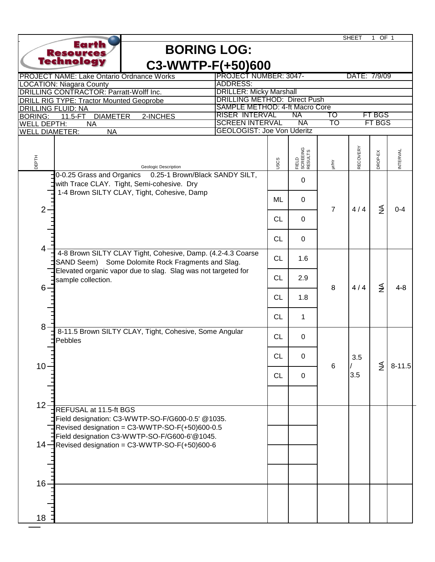|                           |                                                                                     |                                                                                                                  |                                       |           |                              |                | <b>SHEET</b>    | OF 1<br>1          |                 |
|---------------------------|-------------------------------------------------------------------------------------|------------------------------------------------------------------------------------------------------------------|---------------------------------------|-----------|------------------------------|----------------|-----------------|--------------------|-----------------|
|                           | Earth<br><b>Resources</b><br><b>Technology</b>                                      |                                                                                                                  | <b>BORING LOG:</b>                    |           |                              |                |                 |                    |                 |
|                           |                                                                                     | C3-WWTP-F(+50)600                                                                                                | <b>PROJECT NUMBER: 3047-</b>          |           |                              |                | DATE: 7/9/09    |                    |                 |
|                           | <b>PROJECT NAME: Lake Ontario Ordnance Works</b><br><b>LOCATION: Niagara County</b> |                                                                                                                  | <b>ADDRESS:</b>                       |           |                              |                |                 |                    |                 |
|                           | <b>DRILLING CONTRACTOR: Parratt-Wolff Inc.</b>                                      |                                                                                                                  | <b>DRILLER: Micky Marshall</b>        |           |                              |                |                 |                    |                 |
|                           | <b>DRILL RIG TYPE: Tractor Mounted Geoprobe</b>                                     |                                                                                                                  | <b>DRILLING METHOD: Direct Push</b>   |           |                              |                |                 |                    |                 |
| <b>DRILLING FLUID: NA</b> |                                                                                     |                                                                                                                  | <b>SAMPLE METHOD: 4-ft Macro Core</b> |           |                              |                |                 |                    |                 |
| <b>BORING:</b>            | <b>DIAMETER</b><br>11.5-FT                                                          | 2-INCHES                                                                                                         | <b>RISER INTERVAL</b>                 |           | <b>NA</b>                    | TO             |                 | FT BGS             |                 |
| <b>WELL DEPTH:</b>        | <b>NA</b>                                                                           |                                                                                                                  | <b>SCREEN INTERVAL</b>                |           | <b>NA</b>                    | TO             |                 | FT BGS             |                 |
| <b>WELL DIAMETER:</b>     | <b>NA</b>                                                                           |                                                                                                                  | <b>GEOLOGIST: Joe Von Uderitz</b>     |           |                              |                |                 |                    |                 |
| DEPTH                     |                                                                                     | Geologic Description                                                                                             |                                       | uscs      | FIELD<br>SCREEING<br>RESULTS | 吉              | <b>RECOVERY</b> | DROP-EX            | <b>INTERVAL</b> |
|                           | 0-0.25 Grass and Organics                                                           | 0.25-1 Brown/Black SANDY SILT,<br>with Trace CLAY. Tight, Semi-cohesive. Dry                                     |                                       |           | 0                            |                |                 |                    |                 |
| $\overline{2}$            |                                                                                     | 1-4 Brown SILTY CLAY, Tight, Cohesive, Damp                                                                      |                                       | ML        | 0                            | $\overline{7}$ | 4/4             | $\widetilde{\geq}$ | $0 - 4$         |
|                           |                                                                                     |                                                                                                                  |                                       | <b>CL</b> | 0                            |                |                 |                    |                 |
|                           |                                                                                     |                                                                                                                  |                                       | <b>CL</b> | $\mathbf 0$                  |                |                 |                    |                 |
| 4                         |                                                                                     | 4-8 Brown SILTY CLAY Tight, Cohesive, Damp. (4.2-4.3 Coarse<br>SAND Seem) Some Dolomite Rock Fragments and Slag. |                                       | <b>CL</b> | 1.6                          | 8              |                 |                    |                 |
|                           | sample collection.                                                                  | Elevated organic vapor due to slag. Slag was not targeted for                                                    |                                       | <b>CL</b> | 2.9                          |                |                 |                    |                 |
| 6                         |                                                                                     |                                                                                                                  |                                       | <b>CL</b> | 1.8                          |                | 4/4             | $\frac{4}{2}$      | $4 - 8$         |
|                           |                                                                                     |                                                                                                                  |                                       | <b>CL</b> | 1                            |                |                 |                    |                 |
| 8                         | Pebbles                                                                             | 8-11.5 Brown SILTY CLAY, Tight, Cohesive, Some Angular                                                           |                                       | <b>CL</b> | 0                            |                |                 |                    |                 |
|                           |                                                                                     |                                                                                                                  |                                       | CL        | 0                            |                | 3.5             |                    |                 |
| 10                        |                                                                                     |                                                                                                                  |                                       | <b>CL</b> | $\Omega$                     | 6              | 3.5             | $\mathfrak{Z}$     | $8 - 11.5$      |
|                           |                                                                                     |                                                                                                                  |                                       |           |                              |                |                 |                    |                 |
| $12 -$                    | REFUSAL at 11.5-ft BGS                                                              |                                                                                                                  |                                       |           |                              |                |                 |                    |                 |
|                           |                                                                                     | Field designation: C3-WWTP-SO-F/G600-0.5' @1035.                                                                 |                                       |           |                              |                |                 |                    |                 |
|                           |                                                                                     | Revised designation = C3-WWTP-SO-F(+50)600-0.5<br>Field designation C3-WWTP-SO-F/G600-6'@1045.                   |                                       |           |                              |                |                 |                    |                 |
|                           |                                                                                     | 14 $\overline{\text{I}}$ Revised designation = C3-WWTP-SO-F(+50)600-6                                            |                                       |           |                              |                |                 |                    |                 |
|                           |                                                                                     |                                                                                                                  |                                       |           |                              |                |                 |                    |                 |
| 16                        |                                                                                     |                                                                                                                  |                                       |           |                              |                |                 |                    |                 |
|                           |                                                                                     |                                                                                                                  |                                       |           |                              |                |                 |                    |                 |
| 18                        |                                                                                     |                                                                                                                  |                                       |           |                              |                |                 |                    |                 |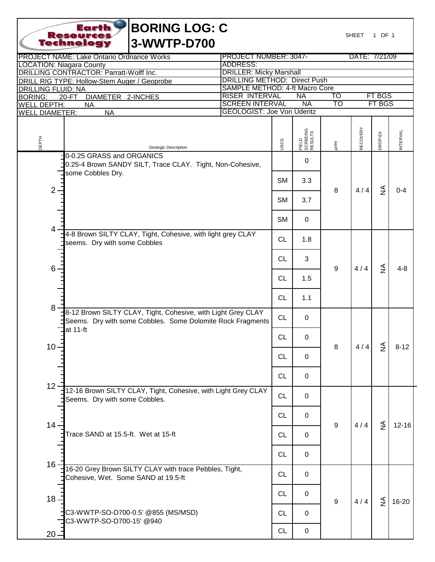| <b>BORING LOG: C</b><br>Earth<br><b>Resources</b><br>3-WWTP-D700<br>Technology                                                  |                                       |                        |                              |        | <b>SHEET</b>    | 1 OF 1         |                 |
|---------------------------------------------------------------------------------------------------------------------------------|---------------------------------------|------------------------|------------------------------|--------|-----------------|----------------|-----------------|
| <b>PROJECT NAME: Lake Ontario Ordnance Works</b>                                                                                | <b>PROJECT NUMBER: 3047-</b>          |                        |                              |        | DATE: 7/21/09   |                |                 |
| <b>LOCATION: Niagara County</b>                                                                                                 | <b>ADDRESS:</b>                       |                        |                              |        |                 |                |                 |
| <b>DRILLING CONTRACTOR: Parratt-Wolff Inc.</b>                                                                                  | <b>DRILLER: Micky Marshall</b>        |                        |                              |        |                 |                |                 |
| DRILL RIG TYPE: Hollow-Stem Auger / Geoprobe                                                                                    | <b>DRILLING METHOD: Direct Push</b>   |                        |                              |        |                 |                |                 |
| <b>DRILLING FLUID: NA</b>                                                                                                       | <b>SAMPLE METHOD: 4-ft Macro Core</b> |                        |                              |        |                 |                |                 |
| <b>BORING:</b><br>20-FT<br>DIAMETER 2-INCHES                                                                                    | <b>RISER INTERVAL</b>                 |                        | <b>NA</b>                    | TO     |                 | FT BGS         |                 |
| <b>WELL DEPTH:</b><br><b>NA</b>                                                                                                 | <b>SCREEN INTERVAL</b>                |                        | <b>NA</b>                    | TO     |                 | FT BGS         |                 |
| <b>WELL DIAMETER:</b><br><b>NA</b>                                                                                              | <b>GEOLOGIST: Joe Von Uderitz</b>     |                        |                              |        |                 |                |                 |
|                                                                                                                                 |                                       |                        |                              |        |                 |                |                 |
| DEPTH<br>Geologic Description                                                                                                   |                                       | <b>USCS</b>            | FIELD<br>SCREEING<br>RESULTS | i<br>E | <b>RECOVERY</b> | DROP-EX        | <b>INTERVAL</b> |
| 0-0.25 GRASS and ORGANICS<br>0.25-4 Brown SANDY SILT, Trace CLAY. Tight, Non-Cohesive,                                          |                                       |                        | $\mathbf 0$                  |        |                 |                |                 |
| some Cobbles Dry.<br>$\overline{2}$                                                                                             |                                       | <b>SM</b>              | 3.3                          | 8      | 4/4             | $\frac{1}{2}$  | $0 - 4$         |
|                                                                                                                                 |                                       | <b>SM</b>              | 3.7                          |        |                 |                |                 |
|                                                                                                                                 |                                       | <b>SM</b>              | $\mathbf 0$                  |        |                 |                |                 |
| 4<br>4-8 Brown SILTY CLAY, Tight, Cohesive, with light grey CLAY<br>seems. Dry with some Cobbles                                |                                       | <b>CL</b>              | 1.8                          |        |                 |                |                 |
|                                                                                                                                 |                                       | <b>CL</b>              | 3                            |        |                 |                |                 |
| 6                                                                                                                               |                                       | <b>CL</b>              | 1.5                          | 9      | 4/4             | $\frac{1}{2}$  | $4 - 8$         |
|                                                                                                                                 |                                       | <b>CL</b>              | 1.1                          |        |                 |                |                 |
| 8<br>8-12 Brown SILTY CLAY, Tight, Cohesive, with Light Grey CLAY<br>Seems. Dry with some Cobbles. Some Dolomite Rock Fragments |                                       | <b>CL</b>              | $\mathbf 0$                  |        |                 |                |                 |
| at 11-ft                                                                                                                        |                                       | <b>CL</b>              | $\mathbf 0$                  |        |                 |                |                 |
| 10                                                                                                                              |                                       | <b>CL</b>              | $\mathbf{0}$                 | 8      | 4/4             | $\frac{4}{2}$  | $8 - 12$        |
|                                                                                                                                 |                                       | <b>CL</b>              | $\Omega$                     |        |                 |                |                 |
| $12 -$<br>12-16 Brown SILTY CLAY, Tight, Cohesive, with Light Grey CLAY                                                         |                                       | CL                     | $\mathbf 0$                  |        |                 |                |                 |
| Seems. Dry with some Cobbles.                                                                                                   |                                       | <b>CL</b>              | $\mathbf 0$                  |        |                 |                |                 |
| 14<br>Trace SAND at 15.5-ft. Wet at 15-ft                                                                                       |                                       | <b>CL</b>              | $\mathbf{0}$                 | 9      | 4/4             | $\leq$         | $12 - 16$       |
|                                                                                                                                 |                                       | <b>CL</b>              | $\mathbf 0$                  |        |                 |                |                 |
| $16 -$<br>16-20 Grey Brown SILTY CLAY with trace Pebbles, Tight,                                                                |                                       | <b>CL</b>              | $\Omega$                     |        |                 |                |                 |
| Cohesive, Wet. Some SAND at 19.5-ft                                                                                             |                                       | CL                     | $\mathbf 0$                  |        |                 |                |                 |
| 18 <sub>1</sub>                                                                                                                 |                                       |                        |                              | 9      | 4/4             | $\mathfrak{Z}$ | 16-20           |
| C3-WWTP-SO-D700-0.5' @855 (MS/MSD)<br>C3-WWTP-SO-D700-15' @940                                                                  |                                       | <b>CL</b><br><b>CL</b> | $\Omega$                     |        |                 |                |                 |
| $20 -$                                                                                                                          |                                       |                        | $\mathbf 0$                  |        |                 |                |                 |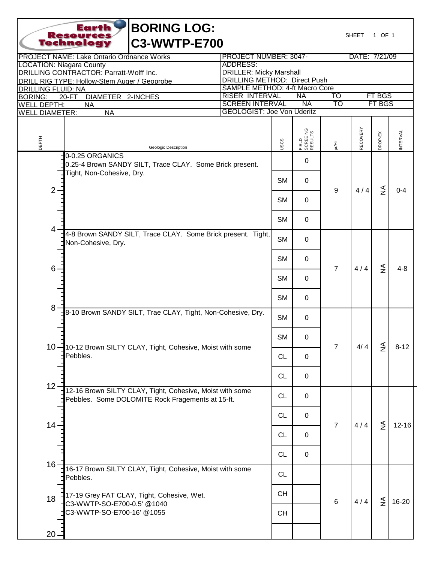| <b>BORING LOG:</b><br>Earth<br><b>Resource:</b><br><b>C3-WWTP-E700</b><br><b>Technology</b>              |                                          |           |                              |                | <b>SHEET</b>    | 1 OF 1             |           |
|----------------------------------------------------------------------------------------------------------|------------------------------------------|-----------|------------------------------|----------------|-----------------|--------------------|-----------|
| <b>PROJECT NAME: Lake Ontario Ordnance Works</b>                                                         | <b>PROJECT NUMBER: 3047-</b>             |           |                              |                | DATE: 7/21/09   |                    |           |
| <b>LOCATION: Niagara County</b>                                                                          | <b>ADDRESS:</b>                          |           |                              |                |                 |                    |           |
| <b>DRILLING CONTRACTOR: Parratt-Wolff Inc.</b>                                                           | <b>DRILLER: Micky Marshall</b>           |           |                              |                |                 |                    |           |
| DRILL RIG TYPE: Hollow-Stem Auger / Geoprobe                                                             | <b>DRILLING METHOD: Direct Push</b>      |           |                              |                |                 |                    |           |
| <b>DRILLING FLUID: NA</b>                                                                                | <b>SAMPLE METHOD: 4-ft Macro Core</b>    |           |                              |                |                 |                    |           |
| DIAMETER 2-INCHES<br><b>BORING:</b><br>20-FT<br><b>WELL DEPTH:</b><br><b>NA</b>                          | RISER INTERVAL<br><b>SCREEN INTERVAL</b> |           | <b>NA</b><br><b>NA</b>       | TO<br>TO       |                 | FT BGS<br>FT BGS   |           |
| <b>NA</b><br><b>WELL DIAMETER:</b>                                                                       | <b>GEOLOGIST: Joe Von Uderitz</b>        |           |                              |                |                 |                    |           |
|                                                                                                          |                                          |           |                              |                |                 |                    |           |
| DEPTH<br>Geologic Description                                                                            |                                          | uscs      | FIELD<br>SCREEING<br>RESULTS | ŧ              | <b>RECOVERY</b> | DROP-EX            | NTERVAL   |
| 0-0.25 ORGANICS<br>0.25-4 Brown SANDY SILT, Trace CLAY. Some Brick present.<br>Tight, Non-Cohesive, Dry. |                                          |           | $\mathbf 0$                  |                |                 |                    |           |
| $\overline{2}$                                                                                           |                                          | <b>SM</b> | $\mathbf 0$                  | 9              | 4/4             | $\widetilde{\geq}$ | $0 - 4$   |
|                                                                                                          |                                          | <b>SM</b> | 0                            |                |                 |                    |           |
|                                                                                                          |                                          | <b>SM</b> | $\mathbf 0$                  |                |                 |                    |           |
| 4<br>4-8 Brown SANDY SILT, Trace CLAY. Some Brick present. Tight,<br>Non-Cohesive, Dry.                  |                                          | <b>SM</b> | $\Omega$                     |                |                 |                    |           |
|                                                                                                          |                                          | <b>SM</b> | $\Omega$                     |                |                 |                    |           |
| 6                                                                                                        |                                          | <b>SM</b> | $\Omega$                     | $\overline{7}$ | 4/4             | $\frac{4}{2}$      | $4 - 8$   |
|                                                                                                          |                                          | <b>SM</b> | 0                            |                |                 |                    |           |
| 8<br>8-10 Brown SANDY SILT, Trae CLAY, Tight, Non-Cohesive, Dry.                                         |                                          | <b>SM</b> | $\Omega$                     |                |                 |                    |           |
|                                                                                                          |                                          | <b>SM</b> | $\mathbf 0$                  |                |                 |                    |           |
| 10-12 Brown SILTY CLAY, Tight, Cohesive, Moist with some<br>Pebbles.                                     |                                          | <b>CL</b> | $\mathbf 0$                  | $\overline{7}$ | 4/4             | $\frac{4}{2}$      | $8 - 12$  |
|                                                                                                          |                                          | <b>CL</b> | $\mathbf 0$                  |                |                 |                    |           |
| $12 -$<br>12-16 Brown SILTY CLAY, Tight, Cohesive, Moist with some                                       |                                          | <b>CL</b> | $\mathbf 0$                  |                |                 |                    |           |
| Pebbles. Some DOLOMITE Rock Fragements at 15-ft.                                                         |                                          | <b>CL</b> | $\mathbf 0$                  |                |                 |                    |           |
| 14                                                                                                       |                                          |           |                              | $\overline{7}$ | 4/4             | $\leq$             | $12 - 16$ |
|                                                                                                          |                                          | <b>CL</b> | $\mathbf 0$                  |                |                 |                    |           |
| $16 -$<br>16-17 Brown SILTY CLAY, Tight, Cohesive, Moist with some                                       |                                          | <b>CL</b> | $\mathbf 0$                  |                |                 |                    |           |
| Pebbles.                                                                                                 |                                          | <b>CL</b> |                              |                |                 |                    |           |
| 17-19 Grey FAT CLAY, Tight, Cohesive, Wet.<br>$18 -$<br>C3-WWTP-SO-E700-0.5' @1040                       |                                          | <b>CH</b> |                              | 6              | 4/4             | $\leq$             | 16-20     |
| C3-WWTP-SO-E700-16' @1055                                                                                |                                          | <b>CH</b> |                              |                |                 |                    |           |
| 20                                                                                                       |                                          |           |                              |                |                 |                    |           |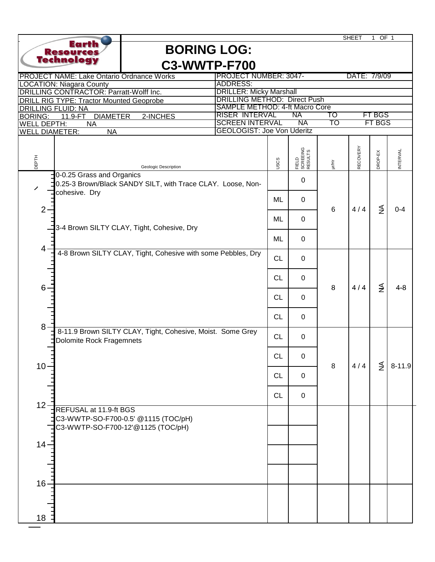|                                                                              |                                                              |                                                                              |           |                              |    | <b>SHEET</b>    | OF 1<br>$\mathbf{1}$ |                 |
|------------------------------------------------------------------------------|--------------------------------------------------------------|------------------------------------------------------------------------------|-----------|------------------------------|----|-----------------|----------------------|-----------------|
| Earth<br><b>Resources</b>                                                    | <b>BORING LOG:</b>                                           |                                                                              |           |                              |    |                 |                      |                 |
| Technology                                                                   |                                                              |                                                                              |           |                              |    |                 |                      |                 |
|                                                                              | <b>C3-WWTP-F700</b>                                          |                                                                              |           |                              |    |                 |                      |                 |
| <b>PROJECT NAME: Lake Ontario Ordnance Works</b>                             |                                                              | <b>PROJECT NUMBER: 3047-</b>                                                 |           |                              |    | DATE: 7/9/09    |                      |                 |
| <b>LOCATION: Niagara County</b>                                              |                                                              | <b>ADDRESS:</b>                                                              |           |                              |    |                 |                      |                 |
| <b>DRILLING CONTRACTOR: Parratt-Wolff Inc.</b>                               |                                                              | <b>DRILLER: Micky Marshall</b>                                               |           |                              |    |                 |                      |                 |
| <b>DRILL RIG TYPE: Tractor Mounted Geoprobe</b><br><b>DRILLING FLUID: NA</b> |                                                              | <b>DRILLING METHOD: Direct Push</b><br><b>SAMPLE METHOD: 4-ft Macro Core</b> |           |                              |    |                 |                      |                 |
| <b>DIAMETER</b><br><b>BORING:</b><br>11.9-FT                                 | 2-INCHES                                                     | <b>RISER INTERVAL</b>                                                        |           | <b>NA</b>                    | TO |                 | <b>FT BGS</b>        |                 |
| <b>WELL DEPTH:</b><br><b>NA</b>                                              |                                                              | <b>SCREEN INTERVAL</b>                                                       |           | <b>NA</b>                    | TO |                 | FT BGS               |                 |
| <b>WELL DIAMETER:</b><br><b>NA</b>                                           |                                                              | <b>GEOLOGIST: Joe Von Uderitz</b>                                            |           |                              |    |                 |                      |                 |
|                                                                              |                                                              |                                                                              |           |                              |    |                 |                      |                 |
|                                                                              |                                                              |                                                                              |           | FIELD<br>SCREEING<br>RESULTS |    | <b>RECOVERY</b> |                      |                 |
| DEPTH                                                                        |                                                              |                                                                              | uscs      |                              | 吉  |                 | DROP-EX              | <b>INTERVAL</b> |
|                                                                              | Geologic Description                                         |                                                                              |           |                              |    |                 |                      |                 |
| 0-0.25 Grass and Organics                                                    |                                                              |                                                                              |           | 0                            |    |                 |                      |                 |
| $\mathbf{v}$<br>cohesive. Dry                                                | 0.25-3 Brown/Black SANDY SILT, with Trace CLAY. Loose, Non-  |                                                                              |           |                              |    |                 |                      |                 |
|                                                                              |                                                              |                                                                              | ML        | 0                            |    |                 |                      |                 |
| 2                                                                            |                                                              |                                                                              |           |                              | 6  | 4/4             | $\widetilde{\geq}$   | $0 - 4$         |
|                                                                              |                                                              |                                                                              | ML        | 0                            |    |                 |                      |                 |
|                                                                              | 3-4 Brown SILTY CLAY, Tight, Cohesive, Dry                   |                                                                              |           |                              |    |                 |                      |                 |
|                                                                              |                                                              |                                                                              | ML        | $\mathbf 0$                  |    |                 |                      |                 |
|                                                                              |                                                              |                                                                              |           |                              |    |                 |                      |                 |
| 4                                                                            | 4-8 Brown SILTY CLAY, Tight, Cohesive with some Pebbles, Dry |                                                                              | <b>CL</b> | $\mathbf 0$                  |    |                 |                      |                 |
|                                                                              |                                                              |                                                                              |           |                              |    |                 |                      |                 |
|                                                                              |                                                              |                                                                              |           |                              |    |                 |                      |                 |
|                                                                              |                                                              |                                                                              | <b>CL</b> | 0                            |    |                 |                      |                 |
| 6                                                                            |                                                              |                                                                              |           |                              | 8  | 4/4             | $\frac{4}{2}$        | $4 - 8$         |
|                                                                              |                                                              |                                                                              | <b>CL</b> | 0                            |    |                 |                      |                 |
|                                                                              |                                                              |                                                                              |           |                              |    |                 |                      |                 |
|                                                                              |                                                              |                                                                              | <b>CL</b> | $\mathbf 0$                  |    |                 |                      |                 |
| 8                                                                            | 8-11.9 Brown SILTY CLAY, Tight, Cohesive, Moist. Some Grey   |                                                                              |           |                              |    |                 |                      |                 |
| <b>Dolomite Rock Fragemnets</b>                                              |                                                              |                                                                              | CL        | $\pmb{0}$                    |    |                 |                      |                 |
|                                                                              |                                                              |                                                                              |           |                              |    |                 |                      |                 |
|                                                                              |                                                              |                                                                              | <b>CL</b> | 0                            |    |                 |                      |                 |
| 10                                                                           |                                                              |                                                                              |           |                              | 8  | 4/4             | $\leq$               | $8 - 11.9$      |
|                                                                              |                                                              |                                                                              | <b>CL</b> | $\mathbf 0$                  |    |                 |                      |                 |
|                                                                              |                                                              |                                                                              |           |                              |    |                 |                      |                 |
|                                                                              |                                                              |                                                                              | <b>CL</b> | $\mathbf 0$                  |    |                 |                      |                 |
| $12 -$<br>REFUSAL at 11.9-ft BGS                                             |                                                              |                                                                              |           |                              |    |                 |                      |                 |
|                                                                              | C3-WWTP-SO-F700-0.5' @1115 (TOC/pH)                          |                                                                              |           |                              |    |                 |                      |                 |
|                                                                              | C3-WWTP-SO-F700-12'@1125 (TOC/pH)                            |                                                                              |           |                              |    |                 |                      |                 |
|                                                                              |                                                              |                                                                              |           |                              |    |                 |                      |                 |
| 14                                                                           |                                                              |                                                                              |           |                              |    |                 |                      |                 |
|                                                                              |                                                              |                                                                              |           |                              |    |                 |                      |                 |
|                                                                              |                                                              |                                                                              |           |                              |    |                 |                      |                 |
|                                                                              |                                                              |                                                                              |           |                              |    |                 |                      |                 |
| 16                                                                           |                                                              |                                                                              |           |                              |    |                 |                      |                 |
|                                                                              |                                                              |                                                                              |           |                              |    |                 |                      |                 |
|                                                                              |                                                              |                                                                              |           |                              |    |                 |                      |                 |
|                                                                              |                                                              |                                                                              |           |                              |    |                 |                      |                 |
| 18                                                                           |                                                              |                                                                              |           |                              |    |                 |                      |                 |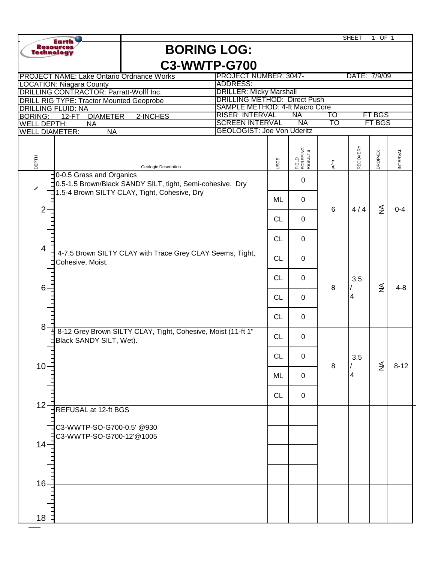| Earth                                                |                                                              |                                       |           |                              |    | <b>SHEET</b>    | OF 1<br>$\mathbf{1}$ |                 |
|------------------------------------------------------|--------------------------------------------------------------|---------------------------------------|-----------|------------------------------|----|-----------------|----------------------|-----------------|
| <b>Resource</b>                                      | <b>BORING LOG:</b>                                           |                                       |           |                              |    |                 |                      |                 |
| <b>Technology</b>                                    | <b>C3-WWTP-G700</b>                                          |                                       |           |                              |    |                 |                      |                 |
| <b>PROJECT NAME: Lake Ontario Ordnance Works</b>     |                                                              | <b>IPROJECT NUMBER: 3047-</b>         |           |                              |    | DATE: 7/9/09    |                      |                 |
| <b>LOCATION: Niagara County</b>                      |                                                              | <b>ADDRESS:</b>                       |           |                              |    |                 |                      |                 |
| <b>DRILLING CONTRACTOR: Parratt-Wolff Inc.</b>       |                                                              | <b>DRILLER: Micky Marshall</b>        |           |                              |    |                 |                      |                 |
| <b>DRILL RIG TYPE: Tractor Mounted Geoprobe</b>      |                                                              | <b>DRILLING METHOD: Direct Push</b>   |           |                              |    |                 |                      |                 |
| <b>DRILLING FLUID: NA</b>                            |                                                              | <b>SAMPLE METHOD: 4-ft Macro Core</b> |           |                              |    |                 |                      |                 |
| <b>DIAMETER</b><br><b>BORING:</b><br>$12-FT$         | 2-INCHES                                                     | <b>RISER INTERVAL</b>                 |           | <b>NA</b>                    | TO |                 | FT BGS               |                 |
| <b>WELL DEPTH:</b><br><b>NA</b>                      |                                                              | <b>SCREEN INTERVAL</b>                |           | <b>NA</b>                    | TO |                 | FT BGS               |                 |
| <b>WELL DIAMETER:</b><br><b>NA</b>                   |                                                              | <b>GEOLOGIST: Joe Von Uderitz</b>     |           |                              |    |                 |                      |                 |
| <b>DEPTH</b>                                         | Geologic Description                                         |                                       | uscs      | FIELD<br>SCREEING<br>RESULTS | 古山 | <b>RECOVERY</b> | DROP-EX              | <b>INTERVAL</b> |
| 0-0.5 Grass and Organics<br>$\overline{\phantom{a}}$ | 0.5-1.5 Brown/Black SANDY SILT, tight, Semi-cohesive. Dry    |                                       |           | 0                            |    |                 |                      |                 |
| 2                                                    | 1.5-4 Brown SILTY CLAY, Tight, Cohesive, Dry                 |                                       | ML        | $\mathbf 0$                  | 6  | 4/4             | $\widetilde{\geq}$   | $0 - 4$         |
|                                                      |                                                              |                                       | <b>CL</b> | 0                            |    |                 |                      |                 |
|                                                      |                                                              |                                       | <b>CL</b> | $\mathbf 0$                  |    |                 |                      |                 |
| 4<br>Cohesive, Moist.                                | 4-7.5 Brown SILTY CLAY with Trace Grey CLAY Seems, Tight,    |                                       | <b>CL</b> | $\mathbf 0$                  |    |                 |                      |                 |
|                                                      |                                                              |                                       | <b>CL</b> | $\mathbf 0$                  |    | 3.5             |                      |                 |
| 6                                                    |                                                              |                                       | <b>CL</b> | $\mathbf 0$                  | 8  | 4               | $\widetilde{\geq}$   | $4 - 8$         |
|                                                      |                                                              |                                       | <b>CL</b> | 0                            |    |                 |                      |                 |
| 8<br>Black SANDY SILT, Wet).                         | 8-12 Grey Brown SILTY CLAY, Tight, Cohesive, Moist (11-ft 1" |                                       | <b>CL</b> | $\mathbf 0$                  |    |                 |                      |                 |
|                                                      |                                                              |                                       | <b>CL</b> | 0                            |    | 3.5             |                      |                 |
| 10                                                   |                                                              |                                       | ML        | $\mathbf 0$                  | 8  |                 | $\frac{4}{2}$        | $8 - 12$        |
|                                                      |                                                              |                                       | <b>CL</b> | $\mathbf 0$                  |    |                 |                      |                 |
| 12 <sub>2</sub><br><b>REFUSAL at 12-ft BGS</b>       |                                                              |                                       |           |                              |    |                 |                      |                 |
| C3-WWTP-SO-G700-0.5' @930                            |                                                              |                                       |           |                              |    |                 |                      |                 |
| C3-WWTP-SO-G700-12'@1005<br>14                       |                                                              |                                       |           |                              |    |                 |                      |                 |
|                                                      |                                                              |                                       |           |                              |    |                 |                      |                 |
| 16                                                   |                                                              |                                       |           |                              |    |                 |                      |                 |
|                                                      |                                                              |                                       |           |                              |    |                 |                      |                 |
| 18                                                   |                                                              |                                       |           |                              |    |                 |                      |                 |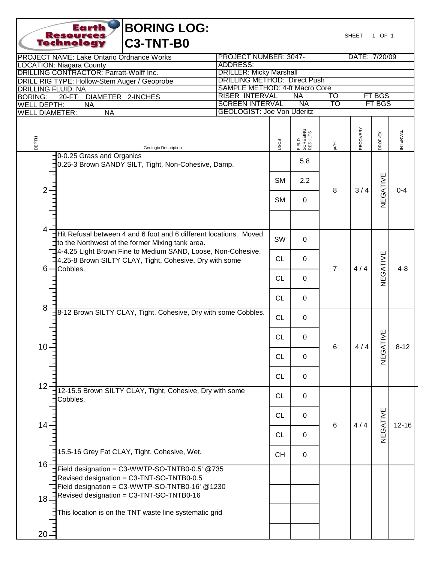|                           | Earth<br><b>Resources</b>                                                         | <b>BORING LOG:</b>                                                                                                                                                          |                                                   |           |                              |                |                 | 1 OF 1          |                 |
|---------------------------|-----------------------------------------------------------------------------------|-----------------------------------------------------------------------------------------------------------------------------------------------------------------------------|---------------------------------------------------|-----------|------------------------------|----------------|-----------------|-----------------|-----------------|
|                           | <b>Technology</b>                                                                 | C3-TNT-B0                                                                                                                                                                   |                                                   |           |                              |                | <b>SHEET</b>    |                 |                 |
|                           | <b>PROJECT NAME: Lake Ontario Ordnance Works</b>                                  |                                                                                                                                                                             | <b>PROJECT NUMBER: 3047-</b>                      |           |                              |                | DATE: 7/20/09   |                 |                 |
|                           | <b>LOCATION: Niagara County</b><br><b>DRILLING CONTRACTOR: Parratt-Wolff Inc.</b> |                                                                                                                                                                             | <b>ADDRESS:</b><br><b>DRILLER: Micky Marshall</b> |           |                              |                |                 |                 |                 |
|                           | DRILL RIG TYPE: Hollow-Stem Auger / Geoprobe                                      |                                                                                                                                                                             | <b>DRILLING METHOD: Direct Push</b>               |           |                              |                |                 |                 |                 |
| <b>DRILLING FLUID: NA</b> |                                                                                   |                                                                                                                                                                             | <b>SAMPLE METHOD: 4-ft Macro Core</b>             |           |                              |                |                 |                 |                 |
| <b>BORING:</b>            | 20-FT                                                                             | DIAMETER 2-INCHES                                                                                                                                                           | <b>RISER INTERVAL</b>                             |           | <b>NA</b>                    | TO             |                 | FT BGS          |                 |
| <b>WELL DEPTH:</b>        | <b>NA</b>                                                                         |                                                                                                                                                                             | <b>SCREEN INTERVAL</b>                            |           | <b>NA</b>                    | TO             |                 | FT BGS          |                 |
| <b>WELL DIAMETER:</b>     | <b>NA</b>                                                                         |                                                                                                                                                                             | <b>GEOLOGIST: Joe Von Uderitz</b>                 |           |                              |                |                 |                 |                 |
| <b>PLE</b>                |                                                                                   | Geologic Description                                                                                                                                                        |                                                   | USCS      | FIELD<br>SCREEING<br>RESULTS | H/H            | <b>RECOVERY</b> | DROP-EX         | <b>INTERVAL</b> |
|                           | 0-0.25 Grass and Organics                                                         | 0.25-3 Brown SANDY SILT, Tight, Non-Cohesive, Damp.                                                                                                                         |                                                   |           | 5.8                          |                |                 |                 |                 |
| $\overline{2}$            |                                                                                   |                                                                                                                                                                             |                                                   | <b>SM</b> | 2.2                          | 8              | 3/4             | NEGATIVE        | $0 - 4$         |
|                           |                                                                                   |                                                                                                                                                                             |                                                   | <b>SM</b> | 0                            |                |                 |                 |                 |
| 4 -                       |                                                                                   | Hit Refusal between 4 and 6 foot and 6 different locations. Moved                                                                                                           |                                                   | SW        | $\mathbf 0$                  |                |                 |                 |                 |
|                           |                                                                                   | to the Northwest of the former Mixing tank area.<br>4-4.25 Light Brown Fine to Medium SAND, Loose, Non-Cohesive.<br>4.25-8 Brown SILTY CLAY, Tight, Cohesive, Dry with some |                                                   |           | $\mathbf 0$                  |                |                 |                 |                 |
| $6 -$                     | Cobbles.                                                                          |                                                                                                                                                                             |                                                   |           |                              | $\overline{7}$ | 4/4             | NEGATIVE        | $4 - 8$         |
|                           |                                                                                   |                                                                                                                                                                             |                                                   | <b>CL</b> | 0                            |                |                 |                 |                 |
| 8                         |                                                                                   | 8-12 Brown SILTY CLAY, Tight, Cohesive, Dry with some Cobbles.                                                                                                              |                                                   | <b>CL</b> | $\mathbf 0$                  |                |                 |                 |                 |
| 10                        |                                                                                   |                                                                                                                                                                             |                                                   | <b>CL</b> | 0                            | 6              | 4/4             | <b>MIN</b>      | $8 - 12$        |
|                           |                                                                                   |                                                                                                                                                                             |                                                   | <b>CL</b> | $\mathbf 0$                  |                |                 | NEGATI          |                 |
| $12 -$                    |                                                                                   |                                                                                                                                                                             |                                                   | <b>CL</b> | $\mathbf 0$                  |                |                 |                 |                 |
|                           | Cobbles.                                                                          | 12-15.5 Brown SILTY CLAY, Tight, Cohesive, Dry with some                                                                                                                    |                                                   | <b>CL</b> | 0                            |                |                 |                 |                 |
| 14                        |                                                                                   |                                                                                                                                                                             |                                                   | <b>CL</b> | 0                            | 6              | 4/4             | <b>NEGATIVE</b> | $12 - 16$       |
|                           |                                                                                   |                                                                                                                                                                             |                                                   | <b>CL</b> | $\mathbf 0$                  |                |                 |                 |                 |
| $16 -$                    |                                                                                   | 15.5-16 Grey Fat CLAY, Tight, Cohesive, Wet.                                                                                                                                |                                                   | <b>CH</b> | $\mathbf 0$                  |                |                 |                 |                 |
|                           |                                                                                   | Field designation = C3-WWTP-SO-TNTB0-0.5' @735<br>Revised designation = C3-TNT-SO-TNTB0-0.5<br>Field designation = C3-WWTP-SO-TNTB0-16' @1230                               |                                                   |           |                              |                |                 |                 |                 |
| $18 -$                    |                                                                                   | Revised designation = C3-TNT-SO-TNTB0-16                                                                                                                                    |                                                   |           |                              |                |                 |                 |                 |
|                           |                                                                                   | This location is on the TNT waste line systematic grid                                                                                                                      |                                                   |           |                              |                |                 |                 |                 |
| $20 -$                    |                                                                                   |                                                                                                                                                                             |                                                   |           |                              |                |                 |                 |                 |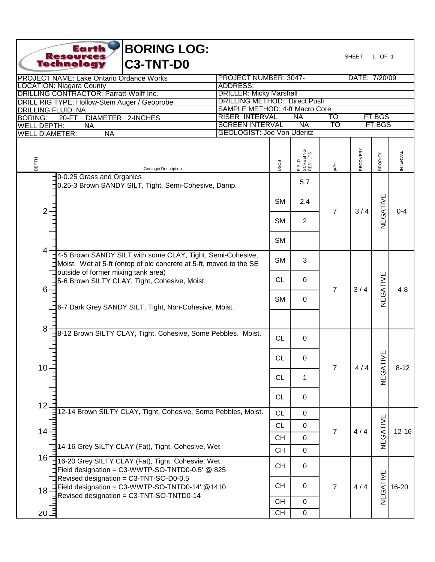|                                      | <b>BORING LOG:</b><br>Earth<br><b>Resources</b><br>C3-TNT-D0<br><b>Technology</b>                                                |                                                                |           |                              |                | SHEET           | 1 OF 1   |                 |
|--------------------------------------|----------------------------------------------------------------------------------------------------------------------------------|----------------------------------------------------------------|-----------|------------------------------|----------------|-----------------|----------|-----------------|
|                                      | <b>PROJECT NAME: Lake Ontario Ordance Works</b>                                                                                  | <b>PROJECT NUMBER: 3047-</b>                                   |           |                              |                | DATE: 7/20/09   |          |                 |
|                                      | <b>LOCATION: Niagara County</b>                                                                                                  | <b>ADDRESS:</b>                                                |           |                              |                |                 |          |                 |
|                                      | <b>DRILLING CONTRACTOR: Parratt-Wolff Inc.</b>                                                                                   | <b>DRILLER: Micky Marshall</b>                                 |           |                              |                |                 |          |                 |
|                                      | DRILL RIG TYPE: Hollow-Stem Auger / Geoprobe                                                                                     | <b>DRILLING METHOD: Direct Push</b>                            |           |                              |                |                 |          |                 |
| <b>DRILLING FLUID: NA</b>            |                                                                                                                                  | <b>SAMPLE METHOD: 4-ft Macro Core</b><br><b>RISER INTERVAL</b> |           | <b>NA</b>                    | то             |                 | FT BGS   |                 |
| <b>BORING:</b><br><b>WELL DEPTH:</b> | <b>DIAMETER</b><br>2-INCHES<br>20-FT<br><b>NA</b>                                                                                | <b>SCREEN INTERVAL</b>                                         |           | <b>NA</b>                    | TO             |                 | FT BGS   |                 |
| <b>WELL DIAMETER:</b>                | <b>NA</b>                                                                                                                        | <b>GEOLOGIST: Joe Von Uderitz</b>                              |           |                              |                |                 |          |                 |
| <b>DEPTH</b>                         | Geologic Description                                                                                                             |                                                                | uscs      | FIELD<br>SCREEING<br>RESULTS | 专              | <b>RECOVERY</b> | DROP-EX  | <b>INTERVAL</b> |
|                                      | 0-0.25 Grass and Organics<br>0.25-3 Brown SANDY SILT, Tight, Semi-Cohesive, Damp.                                                |                                                                |           | 5.7                          |                |                 |          |                 |
| 2                                    |                                                                                                                                  |                                                                | <b>SM</b> | 2.4                          | $\overline{7}$ | 3/4             | NEGATIVE | $0 - 4$         |
|                                      |                                                                                                                                  |                                                                | <b>SM</b> | 2                            |                |                 |          |                 |
| 4                                    |                                                                                                                                  |                                                                | <b>SM</b> |                              |                |                 |          |                 |
|                                      | 4-5 Brown SANDY SILT with some CLAY, Tight, Semi-Cohesive,<br>Moist. Wet at 5-ft (ontop of old concrete at 5-ft, moved to the SE |                                                                | <b>SM</b> | 3                            |                |                 |          |                 |
| $6 -$                                | outside of former mixing tank area)<br>5-6 Brown SILTY CLAY, Tight, Cohesive, Moist.                                             |                                                                | <b>CL</b> | 0                            | $\overline{7}$ | 3/4             | NEGATIVE | $4 - 8$         |
|                                      | 6-7 Dark Grey SANDY SILT, Tight, Non-Cohesive, Moist.                                                                            |                                                                | <b>SM</b> | 0                            |                |                 |          |                 |
| 8                                    | 8-12 Brown SILTY CLAY, Tight, Cohesive, Some Pebbles. Moist.                                                                     |                                                                |           |                              |                |                 |          |                 |
|                                      |                                                                                                                                  |                                                                | <b>CL</b> | 0                            |                |                 |          |                 |
| $10 -$                               |                                                                                                                                  |                                                                | <b>CL</b> | 0                            | $\overline{7}$ | 4/4             | 当        | $8 - 12$        |
|                                      |                                                                                                                                  |                                                                | <b>CL</b> | 1                            |                |                 | NEGAT    |                 |
| 12.                                  |                                                                                                                                  |                                                                | <b>CL</b> | 0                            |                |                 |          |                 |
|                                      | 12-14 Brown SILTY CLAY, Tight, Cohesive, Some Pebbles, Moist.                                                                    |                                                                | CL        | 0                            |                |                 |          |                 |
|                                      |                                                                                                                                  |                                                                | <b>CL</b> | 0                            |                |                 | NEGATIVE |                 |
| $14 -$                               |                                                                                                                                  |                                                                | <b>CH</b> | 0                            | 7              | 4/4             |          | $12 - 16$       |
|                                      | 14-16 Grey SILTY CLAY (Fat), Tight, Cohesive, Wet                                                                                |                                                                | <b>CH</b> | 0                            |                |                 |          |                 |
| $16 -$                               | 16-20 Grey SILTY CLAY (Fat), Tight, Cohesvie, Wet<br>Field designation = C3-WWTP-SO-TNTD0-0.5' @ 825                             |                                                                | <b>CH</b> | 0                            |                |                 |          |                 |
| $18 -$                               | Revised designation = C3-TNT-SO-D0-0.5<br>Field designation = C3-WWTP-SO-TNTD0-14' @1410                                         |                                                                | <b>CH</b> | 0                            | $\overline{7}$ | 4/4             | NEGATIVE | 16-20           |
|                                      | Revised designation = C3-TNT-SO-TNTD0-14                                                                                         |                                                                | <b>CH</b> | 0                            |                |                 |          |                 |
|                                      |                                                                                                                                  |                                                                | <b>CH</b> | 0                            |                |                 |          |                 |
| 20                                   |                                                                                                                                  |                                                                |           |                              |                |                 |          |                 |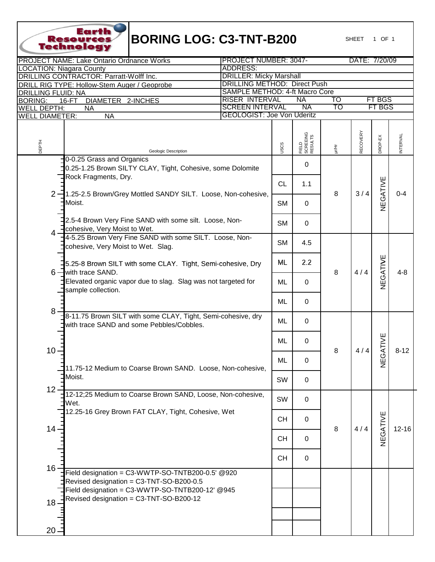|  | Earth             |
|--|-------------------|
|  | <b>Resources</b>  |
|  | <b>Technology</b> |

### **BORING LOG: C3-TNT-B200** SHEET 1 OF 1

|                                 | PROJECT NAME: Lake Ontario Ordnance Works                      | PROJECT NUMBER: 3047-                 |           |                              |        | DATE: 7/20/09   |          |                |
|---------------------------------|----------------------------------------------------------------|---------------------------------------|-----------|------------------------------|--------|-----------------|----------|----------------|
| <b>LOCATION: Niagara County</b> |                                                                | <b>ADDRESS:</b>                       |           |                              |        |                 |          |                |
|                                 | <b>DRILLING CONTRACTOR: Parratt-Wolff Inc.</b>                 | <b>DRILLER: Micky Marshall</b>        |           |                              |        |                 |          |                |
|                                 | DRILL RIG TYPE: Hollow-Stem Auger / Geoprobe                   | <b>DRILLING METHOD: Direct Push</b>   |           |                              |        |                 |          |                |
| <b>DRILLING FLUID: NA</b>       |                                                                | <b>SAMPLE METHOD: 4-ft Macro Core</b> |           |                              |        |                 |          |                |
| <b>BORING:</b>                  | DIAMETER 2-INCHES<br>16-FT                                     | <b>RISER INTERVAL</b>                 |           | <b>NA</b>                    | TO     |                 | FT BGS   |                |
| <b>WELL DEPTH:</b>              | <b>NA</b>                                                      | <b>SCREEN INTERVAL</b>                |           | <b>NA</b>                    | TO     |                 | FT BGS   |                |
| <b>WELL DIAMETER:</b>           | <b>NA</b>                                                      | <b>GEOLOGIST: Joe Von Uderitz</b>     |           |                              |        |                 |          |                |
|                                 |                                                                |                                       |           |                              |        |                 |          |                |
|                                 |                                                                |                                       |           |                              |        |                 |          |                |
|                                 |                                                                |                                       |           |                              |        |                 |          |                |
|                                 |                                                                |                                       |           |                              |        |                 |          |                |
| <b>DEPTH</b>                    | Geologic Description                                           |                                       | uscs      | FIELD<br>SCREEING<br>RESULTS | Ì<br>E | <b>RECOVERY</b> | DROP-EX  | <b>NTERVAL</b> |
|                                 | 0-0.25 Grass and Organics                                      |                                       |           |                              |        |                 |          |                |
|                                 | 0.25-1.25 Brown SILTY CLAY, Tight, Cohesive, some Dolomite     |                                       |           | 0                            |        |                 |          |                |
|                                 |                                                                |                                       |           |                              |        |                 |          |                |
|                                 | Rock Fragments, Dry.                                           |                                       |           |                              |        |                 |          |                |
|                                 |                                                                |                                       | <b>CL</b> | 1.1                          |        |                 |          |                |
|                                 | 2-1.25-2.5 Brown/Grey Mottled SANDY SILT. Loose, Non-cohesive, |                                       |           |                              | 8      | 3/4             | NEGATIVE | $0 - 4$        |
|                                 | Moist.                                                         |                                       | <b>SM</b> | 0                            |        |                 |          |                |
|                                 |                                                                |                                       |           |                              |        |                 |          |                |
|                                 |                                                                |                                       |           |                              |        |                 |          |                |
|                                 | 2.5-4 Brown Very Fine SAND with some silt. Loose, Non-         |                                       | <b>SM</b> | 0                            |        |                 |          |                |
| $4-$                            | cohesive, Very Moist to Wet.                                   |                                       |           |                              |        |                 |          |                |
|                                 | 4-5.25 Brown Very Fine SAND with some SILT. Loose, Non-        |                                       |           |                              |        |                 |          |                |
|                                 | cohesive, Very Moist to Wet. Slag.                             |                                       | <b>SM</b> | 4.5                          |        |                 |          |                |
|                                 |                                                                |                                       |           |                              |        |                 |          |                |
|                                 |                                                                |                                       | ML        | 2.2                          |        |                 |          |                |
|                                 | 15.25-8 Brown SILT with some CLAY. Tight, Semi-cohesive, Dry   |                                       |           |                              |        | 4/4             | NEGATIVE |                |
|                                 | 6-with trace SAND.                                             |                                       |           |                              | 8      |                 |          | $4 - 8$        |
|                                 | Elevated organic vapor due to slag. Slag was not targeted for  |                                       | ML        | 0                            |        |                 |          |                |
|                                 | sample collection.                                             |                                       |           |                              |        |                 |          |                |
|                                 |                                                                |                                       |           |                              |        |                 |          |                |
|                                 |                                                                |                                       | ML        | 0                            |        |                 |          |                |
| 8                               |                                                                |                                       |           |                              |        |                 |          |                |
|                                 | 8-11.75 Brown SILT with some CLAY, Tight, Semi-cohesive, dry   |                                       | ML        | 0                            |        |                 |          |                |
|                                 | with trace SAND and some Pebbles/Cobbles.                      |                                       |           |                              |        |                 |          |                |
|                                 |                                                                |                                       |           |                              |        |                 |          |                |
|                                 |                                                                |                                       | ML        | $\mathbf 0$                  |        |                 |          |                |
| $10 -$                          |                                                                |                                       |           |                              | 8      | 4/4             |          | $8 - 12$       |
|                                 |                                                                |                                       |           |                              |        |                 | NEGATIVE |                |
|                                 |                                                                |                                       | ML        | 0                            |        |                 |          |                |
|                                 | 11.75-12 Medium to Coarse Brown SAND. Loose, Non-cohesive,     |                                       |           |                              |        |                 |          |                |
|                                 | Moist.                                                         |                                       | SW        | 0                            |        |                 |          |                |
|                                 |                                                                |                                       |           |                              |        |                 |          |                |
| $12 -$                          | 12-12;25 Medium to Coarse Brown SAND, Loose, Non-cohesive,     |                                       |           |                              |        |                 |          |                |
|                                 | Wet.                                                           |                                       | SW        | $\pmb{0}$                    |        |                 |          |                |
|                                 |                                                                |                                       |           |                              |        |                 |          |                |
|                                 | 12.25-16 Grey Brown FAT CLAY, Tight, Cohesive, Wet             |                                       |           |                              |        |                 |          |                |
|                                 |                                                                |                                       | <b>CH</b> | $\mathbf 0$                  |        |                 | NEGATIVE |                |
| 14                              |                                                                |                                       |           |                              | 8      | 4/4             |          | $12 - 16$      |
|                                 |                                                                |                                       | <b>CH</b> | $\mathbf 0$                  |        |                 |          |                |
|                                 |                                                                |                                       |           |                              |        |                 |          |                |
|                                 |                                                                |                                       |           |                              |        |                 |          |                |
|                                 |                                                                |                                       | <b>CH</b> | $\mathbf 0$                  |        |                 |          |                |
| 16 <sup>°</sup>                 |                                                                |                                       |           |                              |        |                 |          |                |
|                                 | Field designation = C3-WWTP-SO-TNTB200-0.5' @920               |                                       |           |                              |        |                 |          |                |
|                                 | Revised designation = C3-TNT-SO-B200-0.5                       |                                       |           |                              |        |                 |          |                |
|                                 | Field designation = C3-WWTP-SO-TNTB200-12' @945                |                                       |           |                              |        |                 |          |                |
|                                 | Revised designation = C3-TNT-SO-B200-12                        |                                       |           |                              |        |                 |          |                |
| 18                              |                                                                |                                       |           |                              |        |                 |          |                |
|                                 |                                                                |                                       |           |                              |        |                 |          |                |
|                                 |                                                                |                                       |           |                              |        |                 |          |                |
|                                 |                                                                |                                       |           |                              |        |                 |          |                |
| 20                              |                                                                |                                       |           |                              |        |                 |          |                |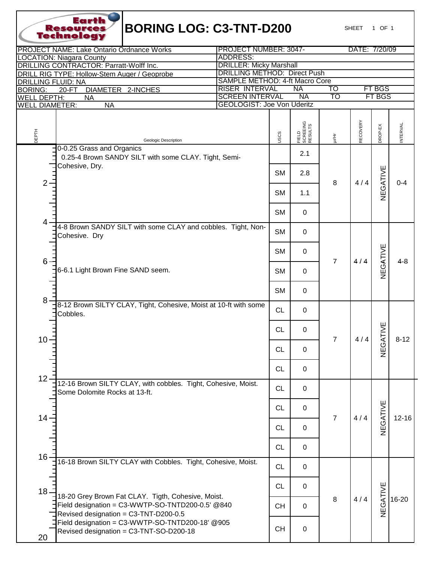| Earth<br><b>BORING LOG: C3-TNT-D200</b><br><b>Resources</b><br>Technology                                                                 |                                                                              |           |                              |                | SHEET           | 1 OF 1   |                 |
|-------------------------------------------------------------------------------------------------------------------------------------------|------------------------------------------------------------------------------|-----------|------------------------------|----------------|-----------------|----------|-----------------|
| <b>PROJECT NAME: Lake Ontario Ordnance Works</b>                                                                                          | <b>PROJECT NUMBER: 3047-</b>                                                 |           |                              |                | DATE: 7/20/09   |          |                 |
| <b>LOCATION: Niagara County</b>                                                                                                           | <b>ADDRESS:</b>                                                              |           |                              |                |                 |          |                 |
| <b>DRILLING CONTRACTOR: Parratt-Wolff Inc.</b>                                                                                            | <b>DRILLER: Micky Marshall</b>                                               |           |                              |                |                 |          |                 |
| DRILL RIG TYPE: Hollow-Stem Auger / Geoprobe                                                                                              | <b>DRILLING METHOD: Direct Push</b><br><b>SAMPLE METHOD: 4-ft Macro Core</b> |           |                              |                |                 |          |                 |
| <b>DRILLING FLUID: NA</b>                                                                                                                 | <b>RISER INTERVAL</b>                                                        |           | <b>NA</b>                    | TO             |                 | FT BGS   |                 |
| <b>BORING:</b><br>DIAMETER 2-INCHES<br>20-FT<br><b>WELL DEPTH:</b><br><b>NA</b>                                                           | <b>SCREEN INTERVAL</b>                                                       |           | <b>NA</b>                    | TO             |                 | FT BGS   |                 |
| <b>WELL DIAMETER:</b><br><b>NA</b>                                                                                                        | <b>GEOLOGIST: Joe Von Uderitz</b>                                            |           |                              |                |                 |          |                 |
|                                                                                                                                           |                                                                              |           |                              |                |                 |          |                 |
| DEPTH<br>Geologic Description                                                                                                             |                                                                              | uscs      | FIELD<br>SCREEING<br>RESULTS | 主              | <b>RECOVERY</b> | DROP-EX  | <b>INTERVAL</b> |
| 0-0.25 Grass and Organics<br>0.25-4 Brown SANDY SILT with some CLAY. Tight, Semi-                                                         |                                                                              |           | 2.1                          |                |                 |          |                 |
| Cohesive, Dry.                                                                                                                            |                                                                              | <b>SM</b> | 2.8                          |                |                 |          |                 |
| $\overline{2}$                                                                                                                            |                                                                              | <b>SM</b> | 1.1                          | 8              | 4/4             | NEGATIVE | $0 - 4$         |
|                                                                                                                                           |                                                                              | <b>SM</b> | $\Omega$                     |                |                 |          |                 |
| 4<br>4-8 Brown SANDY SILT with some CLAY and cobbles. Tight, Non-<br>Cohesive. Dry                                                        |                                                                              | <b>SM</b> | $\Omega$                     |                |                 |          |                 |
|                                                                                                                                           |                                                                              | <b>SM</b> | 0                            |                |                 |          |                 |
| 6<br>6-6.1 Light Brown Fine SAND seem.                                                                                                    |                                                                              | <b>SM</b> | 0                            | $\overline{ }$ | 4/4             | NEGATIVE | $4 - 8$         |
|                                                                                                                                           |                                                                              | <b>SM</b> | 0                            |                |                 |          |                 |
| 8<br>8-12 Brown SILTY CLAY, Tight, Cohesive, Moist at 10-ft with some<br>Cobbles.                                                         |                                                                              | <b>CL</b> | $\Omega$                     |                |                 |          |                 |
|                                                                                                                                           |                                                                              | CL        | 0                            |                |                 | ш        |                 |
| 10                                                                                                                                        |                                                                              | <b>CL</b> | 0                            | $\overline{7}$ | 4/4             | NEGATIV  | $8 - 12$        |
|                                                                                                                                           |                                                                              | CL        | $\mathbf 0$                  |                |                 |          |                 |
| 12 <sub>1</sub><br>12-16 Brown SILTY CLAY, with cobbles. Tight, Cohesive, Moist.<br>Some Dolomite Rocks at 13-ft.                         |                                                                              | CL        | $\mathbf 0$                  |                |                 |          |                 |
|                                                                                                                                           |                                                                              | <b>CL</b> | $\mathbf 0$                  |                |                 |          |                 |
| 14                                                                                                                                        |                                                                              | <b>CL</b> | $\mathbf 0$                  | $\overline{7}$ | 4/4             | NEGATIVE | $12 - 16$       |
|                                                                                                                                           |                                                                              | <b>CL</b> | 0                            |                |                 |          |                 |
| 16<br>16-18 Brown SILTY CLAY with Cobbles. Tight, Cohesive, Moist.                                                                        |                                                                              | CL        | 0                            |                |                 |          |                 |
|                                                                                                                                           |                                                                              | <b>CL</b> | $\mathbf 0$                  |                |                 |          |                 |
| $18 -$<br>18-20 Grey Brown Fat CLAY. Tigth, Cohesive, Moist.<br>Field designation = C3-WWTP-SO-TNTD200-0.5' @840                          |                                                                              | <b>CH</b> | 0                            | 8              | 4/4             | NEGATIVE | 16-20           |
| Revised designation = C3-TNT-D200-0.5<br>Field designation = C3-WWTP-SO-TNTD200-18' @905<br>Revised designation = C3-TNT-SO-D200-18<br>20 |                                                                              | <b>CH</b> | 0                            |                |                 |          |                 |
|                                                                                                                                           |                                                                              |           |                              |                |                 |          |                 |

 $\Gamma$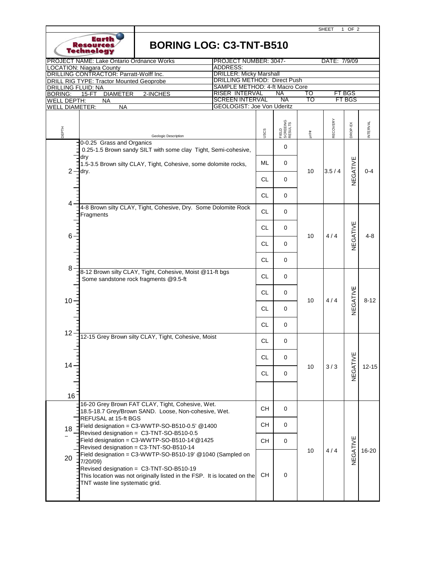|                                      |                                                                                     |                                                                                                          |                                                                          |                |                              |              | <b>SHEET</b><br>$\mathbf{1}$ | OF <sub>2</sub> |                 |
|--------------------------------------|-------------------------------------------------------------------------------------|----------------------------------------------------------------------------------------------------------|--------------------------------------------------------------------------|----------------|------------------------------|--------------|------------------------------|-----------------|-----------------|
|                                      | Eartl<br>Resource<br>Technology                                                     |                                                                                                          | <b>BORING LOG: C3-TNT-B510</b>                                           |                |                              |              |                              |                 |                 |
|                                      | <b>PROJECT NAME: Lake Ontario Ordnance Works</b><br><b>LOCATION: Niagara County</b> | PROJECT NUMBER: 3047-<br><b>ADDRESS:</b>                                                                 |                                                                          |                |                              | DATE: 7/9/09 |                              |                 |                 |
|                                      | <b>DRILLING CONTRACTOR: Parratt-Wolff Inc.</b>                                      |                                                                                                          | <b>DRILLER: Micky Marshall</b>                                           |                |                              |              |                              |                 |                 |
|                                      | <b>DRILL RIG TYPE: Tractor Mounted Geoprobe</b>                                     |                                                                                                          | <b>DRILLING METHOD: Direct Push</b>                                      |                |                              |              |                              |                 |                 |
| <b>DRILLING FLUID: NA</b>            |                                                                                     |                                                                                                          | <b>SAMPLE METHOD: 4-ft Macro Core</b><br><b>RISER INTERVAL</b>           |                | <b>NA</b>                    | TO           |                              | FT BGS          |                 |
| <b>BORING:</b><br><b>WELL DEPTH:</b> | <b>DIAMETER</b><br>15-FT<br><b>NA</b>                                               | 2-INCHES                                                                                                 | <b>SCREEN INTERVAL</b>                                                   |                | <b>NA</b>                    | TO           |                              | FT BGS          |                 |
| <b>WELL DIAMETER:</b>                | <b>NA</b>                                                                           |                                                                                                          | <b>GEOLOGIST: Joe Von Uderitz</b>                                        |                |                              |              |                              |                 |                 |
| DEPTH                                |                                                                                     | Geologic Description                                                                                     |                                                                          | uscs           | FIELD<br>SCREEING<br>RESULTS | 专            | <b>RECOVERY</b>              | DROP-EX         | <b>INTERVAL</b> |
|                                      | 0-0.25 Grass and Organics<br>dry                                                    | 0.25-1.5 Brown sandy SILT with some clay Tight, Semi-cohesive,                                           |                                                                          |                | 0                            |              |                              |                 |                 |
| $2 -$                                | dry.                                                                                | 1.5-3.5 Brown silty CLAY, Tight, Cohesive, some dolomite rocks,                                          |                                                                          | ML             | 0                            | 10           | 3.5/4                        | NEGATIVE        | $0 - 4$         |
|                                      |                                                                                     |                                                                                                          |                                                                          | CL.            | 0                            |              |                              |                 |                 |
|                                      |                                                                                     |                                                                                                          |                                                                          | <b>CL</b>      | 0                            |              |                              |                 |                 |
| 4                                    | Fragments                                                                           | 4-8 Brown silty CLAY, Tight, Cohesive, Dry. Some Dolomite Rock                                           |                                                                          | CL             | $\Omega$                     |              |                              |                 |                 |
|                                      |                                                                                     |                                                                                                          | CL.                                                                      | 0              | 10                           | 4/4          | NEGATIVE                     |                 |                 |
| 6                                    |                                                                                     |                                                                                                          | CL.                                                                      | 0              |                              |              |                              | 4-8             |                 |
|                                      |                                                                                     |                                                                                                          |                                                                          | CL.            | 0                            |              |                              |                 |                 |
| 8                                    |                                                                                     | 8-12 Brown silty CLAY, Tight, Cohesive, Moist @11-ft bgs<br>Some sandstone rock fragments @9.5-ft        |                                                                          | <b>CL</b>      | 0                            |              | 4/4                          | NEGATIVE        | $8 - 12$        |
|                                      |                                                                                     |                                                                                                          |                                                                          | <b>CL</b>      | 0                            |              |                              |                 |                 |
| 10                                   |                                                                                     |                                                                                                          |                                                                          | CL.            | $\Omega$                     | 10           |                              |                 |                 |
|                                      |                                                                                     |                                                                                                          |                                                                          | <b>CL</b>      | 0                            |              |                              |                 |                 |
| 12 <sup>°</sup>                      |                                                                                     | 12-15 Grey Brown silty CLAY, Tight, Cohesive, Moist                                                      |                                                                          | <b>CL</b>      | 0                            |              |                              |                 |                 |
|                                      |                                                                                     |                                                                                                          |                                                                          | <b>CL</b>      | 0                            |              |                              |                 |                 |
| 14                                   |                                                                                     |                                                                                                          |                                                                          | <b>CL</b>      | $\mathbf 0$                  | 10           | 3/3                          | NEGATIVE        | $12 - 15$       |
|                                      |                                                                                     |                                                                                                          |                                                                          |                |                              |              |                              |                 |                 |
| 16                                   |                                                                                     |                                                                                                          |                                                                          |                |                              |              |                              |                 |                 |
|                                      |                                                                                     | 16-20 Grey Brown FAT CLAY, Tight, Cohesive, Wet.<br>18.5-18.7 Grey/Brown SAND. Loose, Non-cohesive, Wet. |                                                                          | CH.            | 0                            |              |                              |                 |                 |
| 18                                   | REFUSAL at 15-ft BGS                                                                | $T$ Field designation = C3-WWTP-SO-B510-0.5' @1400<br>Revised designation = C3-TNT-SO-B510-0.5           |                                                                          | <b>CH</b>      | 0                            |              |                              |                 |                 |
|                                      |                                                                                     | Field designation = C3-WWTP-SO-B510-14'@1425<br>Revised designation = C3-TNT-SO-B510-14                  |                                                                          | <b>CH</b><br>0 |                              |              |                              |                 |                 |
| 20                                   | 7/20/09<br>TNT waste line systematic grid.                                          | Field designation = C3-WWTP-SO-B510-19' @1040 (Sampled on<br>Revised designation = C3-TNT-SO-B510-19     | This location was not originally listed in the FSP. It is located on the | <b>CH</b>      | 0                            | 10           | 4/4                          | NEGATIVE        | 16-20           |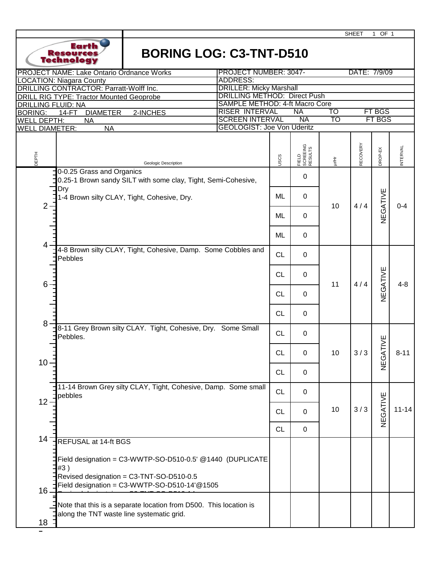|                                                                         |                                                                                                       |                                                                       |           |                              |    | <b>SHEET</b>    | OF 1<br>$\mathbf{1}$ |                 |  |
|-------------------------------------------------------------------------|-------------------------------------------------------------------------------------------------------|-----------------------------------------------------------------------|-----------|------------------------------|----|-----------------|----------------------|-----------------|--|
| Earth<br><b>Resources</b><br><b>Technology</b>                          | <b>BORING LOG: C3-TNT-D510</b>                                                                        |                                                                       |           |                              |    |                 |                      |                 |  |
| <b>PROJECT NAME: Lake Ontario Ordnance Works</b>                        |                                                                                                       | <b>PROJECT NUMBER: 3047-</b><br>DATE: 7/9/09                          |           |                              |    |                 |                      |                 |  |
| <b>LOCATION: Niagara County</b>                                         | <b>ADDRESS:</b>                                                                                       |                                                                       |           |                              |    |                 |                      |                 |  |
| <b>DRILLING CONTRACTOR: Parratt-Wolff Inc.</b>                          |                                                                                                       | <b>DRILLER: Micky Marshall</b><br><b>DRILLING METHOD: Direct Push</b> |           |                              |    |                 |                      |                 |  |
| <b>DRILL RIG TYPE: Tractor Mounted Geoprobe</b>                         |                                                                                                       | <b>SAMPLE METHOD: 4-ft Macro Core</b>                                 |           |                              |    |                 |                      |                 |  |
| <b>DRILLING FLUID: NA</b><br><b>DIAMETER</b><br><b>BORING:</b><br>14-FT | 2-INCHES                                                                                              | <b>RISER INTERVAL</b>                                                 |           | <b>NA</b>                    | то |                 | FT BGS               |                 |  |
| <b>WELL DEPTH:</b><br><b>NA</b>                                         |                                                                                                       | <b>SCREEN INTERVAL</b>                                                |           | <b>NA</b>                    | TO |                 | FT BGS               |                 |  |
| <b>WELL DIAMETER:</b><br><b>NA</b>                                      |                                                                                                       | <b>GEOLOGIST: Joe Von Uderitz</b>                                     |           |                              |    |                 |                      |                 |  |
| DEPTH                                                                   | Geologic Description                                                                                  |                                                                       | uscs      | FIELD<br>SCREEING<br>RESULTS | 吉  | <b>RECOVERY</b> | DROP-EX              | <b>INTERVAL</b> |  |
| 0-0.25 Grass and Organics                                               | 0.25-1 Brown sandy SILT with some clay, Tight, Semi-Cohesive,                                         |                                                                       |           | 0                            |    |                 |                      |                 |  |
| Dry                                                                     | 1-4 Brown silty CLAY, Tight, Cohesive, Dry.                                                           |                                                                       | ML        | 0                            |    |                 |                      | $0 - 4$         |  |
| $\overline{2}$                                                          |                                                                                                       |                                                                       | ML        | $\mathbf 0$                  | 10 | 4/4             | NEGATIVE             |                 |  |
|                                                                         |                                                                                                       |                                                                       | ML        | 0                            |    |                 |                      |                 |  |
| 4<br>Pebbles                                                            | 4-8 Brown silty CLAY, Tight, Cohesive, Damp. Some Cobbles and                                         |                                                                       | <b>CL</b> | $\Omega$                     | 11 |                 | NEGATIVE             | $4 - 8$         |  |
|                                                                         |                                                                                                       |                                                                       | <b>CL</b> | 0                            |    |                 |                      |                 |  |
| 6                                                                       |                                                                                                       |                                                                       | <b>CL</b> | 0                            |    | 4/4             |                      |                 |  |
|                                                                         |                                                                                                       |                                                                       | <b>CL</b> | 0                            |    |                 |                      |                 |  |
| 8<br>Pebbles.                                                           | 8-11 Grey Brown silty CLAY. Tight, Cohesive, Dry. Some Small                                          |                                                                       | <b>CL</b> | 0                            |    |                 |                      |                 |  |
|                                                                         |                                                                                                       |                                                                       | <b>CL</b> | $\mathbf 0$                  | 10 | 3/3             | NEGATIVE             | $8 - 11$        |  |
| $10 -$                                                                  |                                                                                                       |                                                                       | <b>CL</b> | $\mathbf 0$                  |    |                 |                      |                 |  |
| pebbles                                                                 | 11-14 Brown Grey silty CLAY, Tight, Cohesive, Damp. Some small                                        |                                                                       | <b>CL</b> | 0                            |    |                 |                      |                 |  |
| 12                                                                      |                                                                                                       |                                                                       | <b>CL</b> | $\mathbf 0$                  | 10 | 3/3             | NEGATIVE             | $11 - 14$       |  |
|                                                                         |                                                                                                       |                                                                       | <b>CL</b> | $\mathbf 0$                  |    |                 |                      |                 |  |
| 14<br><b>REFUSAL at 14-ft BGS</b>                                       |                                                                                                       |                                                                       |           |                              |    |                 |                      |                 |  |
| 7#3)                                                                    | Field designation = C3-WWTP-SO-D510-0.5' @1440 (DUPLICATE<br>Revised designation = C3-TNT-SO-D510-0.5 |                                                                       |           |                              |    |                 |                      |                 |  |
| $16-$                                                                   | Field designation = $C3-WWTP-SO-D510-14'@1505$                                                        |                                                                       |           |                              |    |                 |                      |                 |  |
| along the TNT waste line systematic grid.<br>18                         | Note that this is a separate location from D500. This location is                                     |                                                                       |           |                              |    |                 |                      |                 |  |
|                                                                         |                                                                                                       |                                                                       |           |                              |    |                 |                      |                 |  |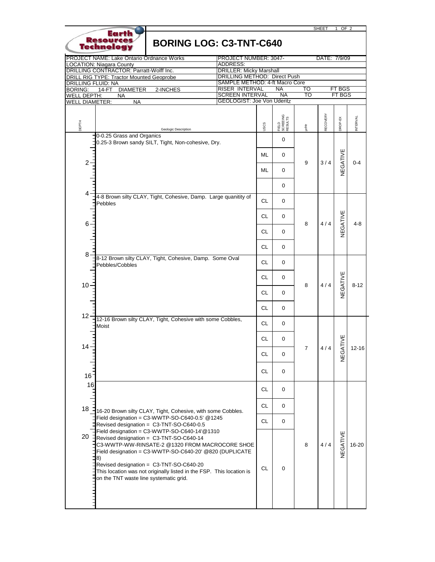|                       | Earth                                                                                                                                                                                                                                                                                                                                                                      |                                |                                                                       |           |                              |                | <b>SHEET</b>    | OF <sub>2</sub><br>$\mathbf{1}$ |                |  |  |  |  |  |
|-----------------------|----------------------------------------------------------------------------------------------------------------------------------------------------------------------------------------------------------------------------------------------------------------------------------------------------------------------------------------------------------------------------|--------------------------------|-----------------------------------------------------------------------|-----------|------------------------------|----------------|-----------------|---------------------------------|----------------|--|--|--|--|--|
|                       | <b>Resources</b><br>Technology                                                                                                                                                                                                                                                                                                                                             | <b>BORING LOG: C3-TNT-C640</b> |                                                                       |           |                              |                |                 |                                 |                |  |  |  |  |  |
|                       | <b>PROJECT NAME: Lake Ontario Ordnance Works</b><br><b>LOCATION: Niagara County</b>                                                                                                                                                                                                                                                                                        |                                | PROJECT NUMBER: 3047-<br>ADDRESS:                                     |           |                              |                | DATE: 7/9/09    |                                 |                |  |  |  |  |  |
|                       | <b>DRILLING CONTRACTOR: Parratt-Wolff Inc.</b>                                                                                                                                                                                                                                                                                                                             |                                | <b>DRILLER: Micky Marshall</b>                                        |           |                              |                |                 |                                 |                |  |  |  |  |  |
| DR                    | RIG TYPE: Tractor Mounted Geoprobe                                                                                                                                                                                                                                                                                                                                         |                                | <b>DRILLING METHOD: Direct Push</b><br>SAMPLE METHOD: 4-ft Macro Core |           |                              |                |                 |                                 |                |  |  |  |  |  |
| <b>BORING:</b>        | LING FLUID: NA<br><b>DIAMETER</b><br>14-FT                                                                                                                                                                                                                                                                                                                                 | 2-INCHES                       | RISER INTERVAL                                                        |           | <b>NA</b>                    | то             |                 | FT BGS                          |                |  |  |  |  |  |
| <b>WELL DEPTH:</b>    | <b>NA</b>                                                                                                                                                                                                                                                                                                                                                                  |                                | <b>SCREEN INTERVAL</b>                                                |           | <b>NA</b>                    | TO             |                 | FT BGS                          |                |  |  |  |  |  |
| <b>WELL DIAMETER:</b> | <b>NA</b>                                                                                                                                                                                                                                                                                                                                                                  |                                | <b>GEOLOGIST: Joe Von Uderitz</b>                                     |           |                              |                |                 |                                 |                |  |  |  |  |  |
| DEPTH                 |                                                                                                                                                                                                                                                                                                                                                                            | Geologic Description           |                                                                       | uscs      | FIELD<br>SCREEING<br>RESULTS | 专              | <b>RECOVERY</b> | DROP-EX                         | <b>NTERVAL</b> |  |  |  |  |  |
|                       | 0-0.25 Grass and Organics<br>0.25-3 Brown sandy SILT, Tight, Non-cohesive, Dry.                                                                                                                                                                                                                                                                                            |                                |                                                                       |           | 0                            |                |                 |                                 |                |  |  |  |  |  |
|                       |                                                                                                                                                                                                                                                                                                                                                                            |                                |                                                                       |           |                              |                |                 |                                 |                |  |  |  |  |  |
| $\overline{c}$        |                                                                                                                                                                                                                                                                                                                                                                            |                                |                                                                       | ML        | 0                            | 9              | 3/4             |                                 | $0 - 4$        |  |  |  |  |  |
|                       |                                                                                                                                                                                                                                                                                                                                                                            |                                |                                                                       | ML        | 0                            |                |                 | NEGATIVE                        |                |  |  |  |  |  |
|                       |                                                                                                                                                                                                                                                                                                                                                                            |                                |                                                                       |           | 0                            |                |                 |                                 |                |  |  |  |  |  |
| 4                     | 4-8 Brown silty CLAY, Tight, Cohesive, Damp. Large quanitity of<br>Pebbles                                                                                                                                                                                                                                                                                                 |                                |                                                                       | <b>CL</b> | 0                            |                |                 | NEGATIVE                        |                |  |  |  |  |  |
|                       |                                                                                                                                                                                                                                                                                                                                                                            |                                |                                                                       | СL        | 0                            |                | 4/4             |                                 | $4 - 8$        |  |  |  |  |  |
| 6                     |                                                                                                                                                                                                                                                                                                                                                                            |                                |                                                                       | СL        | 0                            | 8              |                 |                                 |                |  |  |  |  |  |
| 8                     |                                                                                                                                                                                                                                                                                                                                                                            |                                |                                                                       | CL        | $\Omega$                     |                |                 |                                 |                |  |  |  |  |  |
|                       | 8-12 Brown silty CLAY, Tight, Cohesive, Damp. Some Oval<br>Pebbles/Cobbles                                                                                                                                                                                                                                                                                                 |                                |                                                                       | CL        | 0                            |                |                 |                                 |                |  |  |  |  |  |
| 10                    |                                                                                                                                                                                                                                                                                                                                                                            | CL<br>0<br>4/4<br>8            | NEGATIVE                                                              | $8 - 12$  |                              |                |                 |                                 |                |  |  |  |  |  |
|                       |                                                                                                                                                                                                                                                                                                                                                                            |                                |                                                                       | СL        | 0                            |                |                 |                                 |                |  |  |  |  |  |
| 12.                   |                                                                                                                                                                                                                                                                                                                                                                            |                                |                                                                       | СL        | 0                            |                |                 |                                 |                |  |  |  |  |  |
|                       | 12-16 Brown silty CLAY, Tight, Cohesive with some Cobbles,<br>Moist                                                                                                                                                                                                                                                                                                        |                                |                                                                       | CL        | 0                            |                |                 | 当                               |                |  |  |  |  |  |
| $14 -$                |                                                                                                                                                                                                                                                                                                                                                                            |                                |                                                                       | CL        | 0                            | $\overline{7}$ | 4/4             |                                 | $12 - 16$      |  |  |  |  |  |
|                       |                                                                                                                                                                                                                                                                                                                                                                            |                                |                                                                       | CL        | $\mathbf 0$                  |                |                 | NEGAT                           |                |  |  |  |  |  |
| 16                    |                                                                                                                                                                                                                                                                                                                                                                            |                                |                                                                       | CL        | 0                            |                |                 |                                 |                |  |  |  |  |  |
| 16                    |                                                                                                                                                                                                                                                                                                                                                                            |                                |                                                                       | CL        | $\mathbf 0$                  |                |                 |                                 |                |  |  |  |  |  |
|                       | 18 16-20 Brown silty CLAY, Tight, Cohesive, with some Cobbles.                                                                                                                                                                                                                                                                                                             |                                |                                                                       | CL        | 0                            |                |                 |                                 |                |  |  |  |  |  |
|                       | Field designation = C3-WWTP-SO-C640-0.5' @1245<br>Revised designation = C3-TNT-SO-C640-0.5                                                                                                                                                                                                                                                                                 |                                |                                                                       | CL.       | 0                            |                |                 |                                 |                |  |  |  |  |  |
|                       | Field designation = C3-WWTP-SO-C640-14'@1310<br>20 Revised designation = C3-TNT-SO-C640-14<br>C3-WWTP-WW-RINSATE-2 @1320 FROM MACROCORE SHOE<br>Field designation = C3-WWTP-SO-C640-20' @820 (DUPLICATE<br>8)<br>Revised designation = C3-TNT-SO-C640-20<br>This location was not originally listed in the FSP. This location is<br>on the TNT waste line systematic grid. |                                |                                                                       | CL        | 0                            | 8              | 4/4             | NEGATIVE                        | $16 - 20$      |  |  |  |  |  |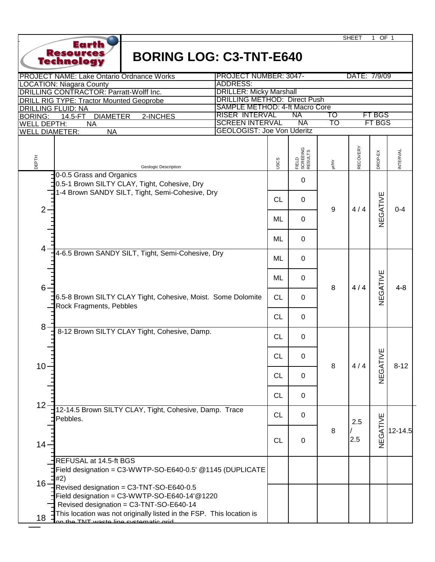|                                                                                                                                                                                                                       |           |                              |          | <b>SHEET</b> | OF 1<br>1        |          |  |  |
|-----------------------------------------------------------------------------------------------------------------------------------------------------------------------------------------------------------------------|-----------|------------------------------|----------|--------------|------------------|----------|--|--|
| Earth<br><b>Resources</b><br><b>BORING LOG: C3-TNT-E640</b><br><b>Technology</b>                                                                                                                                      |           |                              |          |              |                  |          |  |  |
| <b>PROJECT NUMBER: 3047-</b><br><b>PROJECT NAME: Lake Ontario Ordnance Works</b>                                                                                                                                      |           |                              |          | DATE: 7/9/09 |                  |          |  |  |
| <b>ADDRESS:</b><br><b>LOCATION: Niagara County</b>                                                                                                                                                                    |           |                              |          |              |                  |          |  |  |
| <b>DRILLING CONTRACTOR: Parratt-Wolff Inc.</b><br><b>DRILLER: Micky Marshall</b>                                                                                                                                      |           |                              |          |              |                  |          |  |  |
| <b>DRILLING METHOD: Direct Push</b><br><b>DRILL RIG TYPE: Tractor Mounted Geoprobe</b>                                                                                                                                |           |                              |          |              |                  |          |  |  |
| <b>SAMPLE METHOD: 4-ft Macro Core</b><br><b>DRILLING FLUID: NA</b>                                                                                                                                                    |           |                              |          |              |                  |          |  |  |
| <b>RISER INTERVAL</b><br><b>DIAMETER</b><br>2-INCHES<br><b>BORING:</b><br>14.5-FT<br><b>SCREEN INTERVAL</b><br><b>WELL DEPTH:</b>                                                                                     |           | <b>NA</b><br><b>NA</b>       | TO<br>TO |              | FT BGS<br>FT BGS |          |  |  |
| <b>NA</b><br><b>GEOLOGIST: Joe Von Uderitz</b><br><b>WELL DIAMETER:</b><br><b>NA</b>                                                                                                                                  |           |                              |          |              |                  |          |  |  |
|                                                                                                                                                                                                                       |           |                              |          |              |                  |          |  |  |
| DEPTH<br>Geologic Description                                                                                                                                                                                         | uscs      | FIELD<br>SCREEING<br>RESULTS | 吉        | RECOVERY     | DROP-EX          | NTERVAL  |  |  |
| 0-0.5 Grass and Organics<br>0.5-1 Brown SILTY CLAY, Tight, Cohesive, Dry                                                                                                                                              |           | 0                            |          |              |                  |          |  |  |
| 1-4 Brown SANDY SILT, Tight, Semi-Cohesive, Dry<br>$\overline{2}$                                                                                                                                                     | <b>CL</b> | 0                            | 9        | 4/4          | NEGATIVE         | $0 - 4$  |  |  |
|                                                                                                                                                                                                                       | ML        | $\Omega$                     |          |              |                  |          |  |  |
|                                                                                                                                                                                                                       | ML        | $\Omega$                     |          |              |                  |          |  |  |
| 4<br>4-6.5 Brown SANDY SILT, Tight, Semi-Cohesive, Dry                                                                                                                                                                | ML        | $\Omega$                     | 8        | 4/4          | NEGATIVE         |          |  |  |
|                                                                                                                                                                                                                       | ML        | $\Omega$                     |          |              |                  |          |  |  |
| 6<br>6.5-8 Brown SILTY CLAY Tight, Cohesive, Moist. Some Dolomite<br>Rock Fragments, Pebbles                                                                                                                          | <b>CL</b> | $\Omega$                     |          |              |                  | $4 - 8$  |  |  |
|                                                                                                                                                                                                                       | <b>CL</b> | $\Omega$                     |          |              |                  |          |  |  |
| 8<br>8-12 Brown SILTY CLAY Tight, Cohesive, Damp.                                                                                                                                                                     | <b>CL</b> | 0                            | 8        | 4/4          | NEGATIVE         |          |  |  |
|                                                                                                                                                                                                                       | <b>CL</b> | $\mathbf 0$                  |          |              |                  | $8 - 12$ |  |  |
| 10                                                                                                                                                                                                                    | <b>CL</b> | $\Omega$                     |          |              |                  |          |  |  |
|                                                                                                                                                                                                                       | <b>CL</b> | $\Omega$                     |          |              |                  |          |  |  |
| $12 -$<br>12-14.5 Brown SILTY CLAY, Tight, Cohesive, Damp. Trace<br>Pebbles.                                                                                                                                          | <b>CL</b> | $\mathbf 0$                  | 8        | 2.5          | NEGATIVE         |          |  |  |
| $14 -$                                                                                                                                                                                                                | <b>CL</b> | $\mathbf 0$                  |          | 2.5          |                  | 12-14.5  |  |  |
| REFUSAL at 14.5-ft BGS<br>Field designation = C3-WWTP-SO-E640-0.5' @1145 (DUPLICATE<br>#2)                                                                                                                            |           |                              |          |              |                  |          |  |  |
| $16 -$<br>Revised designation = C3-TNT-SO-E640-0.5<br>Field designation = C3-WWTP-SO-E640-14'@1220<br>Revised designation = C3-TNT-SO-E640-14<br>This location was not originally listed in the FSP. This location is |           |                              |          |              |                  |          |  |  |
| 18<br><u>n tha TNT wasta lina svetamatic aris</u>                                                                                                                                                                     |           |                              |          |              |                  |          |  |  |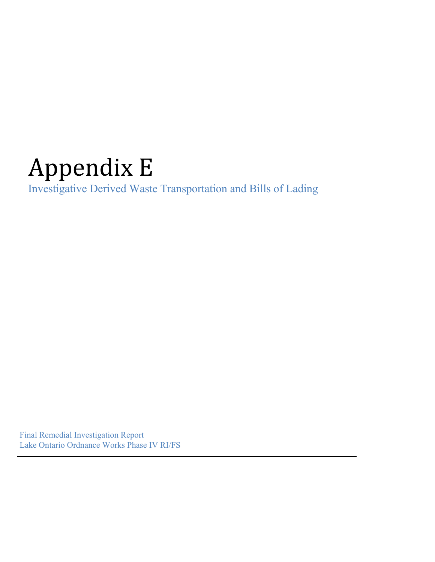### **Appendix E**

Investigative Derived Waste Transportation and Bills of Lading

Final Remedial Investigation Report Lake Ontario Ordnance Works Phase IV RI/FS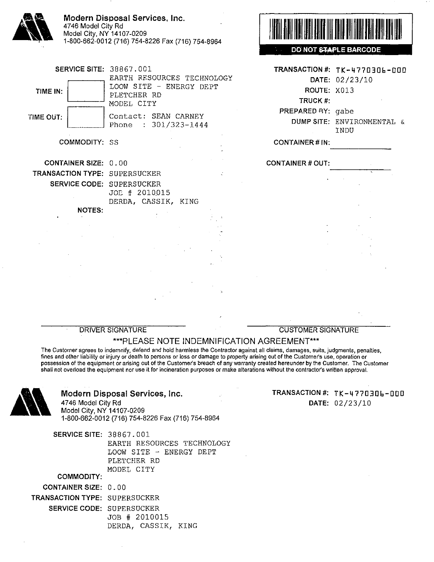

#### DRIVER SIGNATURE **CUSTOMER SIGNATURE**

### \*\*\*PLEASE NOTE INDEMNIFICATION AGREEMENT\*\*\*

The Customer agrees to indemnify, defend and hold harmless the Contractor against all claims, damages, suits, judgments, penalties, fines and other liability or injury or death to persons or loss or damage to property arising out of the Customer's use, operation or possession of the equipment or arising out of the Customer's breach of any warranty created hereunder by the Customer. The Customer shall not overload the equipment nor use it for incineration purposes or make alterations without the contractor's written approval.



#### Modern Disposal Services, Inc.

4746 Model City Rd Model City, NY 14107-0209 1-800-662-0012 (716) 754-8226 Fax (716) 754-8964

SERVICE SITE: 38867.001 COMMODITY: EARTH RESOURCES TECHNOLOGY LOOW SITE - ENERGY DEPT PLETCHER RD MODEL CITY

CONTAINER SIZE: 0.00 TRANSACTION TYPE: SUPERSUCKER SERVICE CODE: SUPERSUCKER JOB # 2010015 DERDA, CASSIK, KING TRANSACTION #:  $TK-4770306 - 000$ DATE: 02/23/10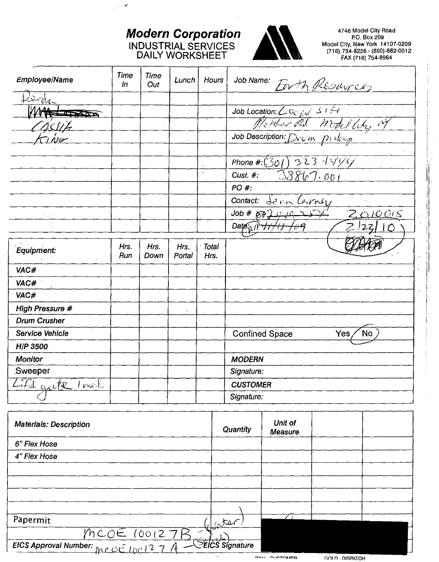#### **Modern**  INDUSTRIAL **Corporation**  SERVICES DAILY WORKSHEET

 $\sim$   $^{\prime\prime}$ 14



4746 Model City Road P.O. Box 209 Model City, New York 14107-0209 (716) 754-8226 - (800)-662-0012 FAX (716) 754-8964

 $\parallel$ 

| Employee/Name          | Time<br>In  | Time<br>Out  | Lunch          | Hours         | Job Name: Erth Resurrees                             |
|------------------------|-------------|--------------|----------------|---------------|------------------------------------------------------|
| De de                  |             |              |                |               |                                                      |
| <b>THE RAIL</b>        |             |              |                |               | Job Location: LGe iv 514                             |
|                        |             |              |                |               | Platcher Rd Model Why My                             |
| سنالات                 |             |              |                |               | Job Description: Drum pulsy                          |
|                        |             |              |                |               |                                                      |
|                        |             |              |                |               | Phone #: (301) 323 -1444                             |
|                        |             |              |                | $\mathbf{k}$  | 38867.001<br>Cust. #:                                |
|                        |             |              |                |               | PO #:                                                |
|                        |             |              |                |               | Contact:<br>Lean Lerney                              |
|                        |             |              |                |               | Job # $EP2$ + + + -<br>2010015                       |
|                        |             |              |                |               | Date $\frac{1}{2}$ / $\frac{1}{2}$<br>22/<br>$\circ$ |
|                        |             |              |                |               |                                                      |
| Equipment:             | Hrs.<br>Run | Hrs.<br>Down | Hrs.<br>Portal | Total<br>Hrs. |                                                      |
| VAC#                   |             |              |                |               |                                                      |
| VAC#                   |             |              |                |               |                                                      |
| VAC#                   |             |              |                |               |                                                      |
| High Pressure #        |             |              |                |               |                                                      |
| <b>Drum Crusher</b>    |             |              |                |               |                                                      |
| <b>Service Vehicle</b> |             |              |                |               | <b>Confined Space</b><br>No<br>Yes                   |
| H/P 3500               |             |              |                |               |                                                      |
| <b>Monitor</b>         |             |              |                |               | <b>MODERN</b>                                        |
| Sweeper                |             |              |                |               | Signature:                                           |
|                        |             |              |                |               |                                                      |
| The water<br>$I$ ruck  |             |              |                |               | <b>CUSTOMER</b>                                      |

| <b>Materials: Description</b>                                                                             | Quantity              | Unit of<br><b>Measure</b> |  |
|-----------------------------------------------------------------------------------------------------------|-----------------------|---------------------------|--|
| 6" Flex Hose                                                                                              |                       |                           |  |
| 4" Flex Hose                                                                                              |                       |                           |  |
|                                                                                                           |                       |                           |  |
|                                                                                                           |                       |                           |  |
|                                                                                                           |                       |                           |  |
|                                                                                                           |                       |                           |  |
| Papermit                                                                                                  | Huster                |                           |  |
| MCOE (00127B)                                                                                             |                       |                           |  |
| EICS Approval Number: $\frac{1}{2}$ $\frac{1}{2}$ $\frac{1}{2}$ $\frac{1}{2}$ $\frac{1}{2}$ $\frac{1}{4}$ | <b>EICS</b> Signature |                           |  |

"',0."" **..... "l.'T/"'\Ur:o** ~1l1 n - **DISPATCH**